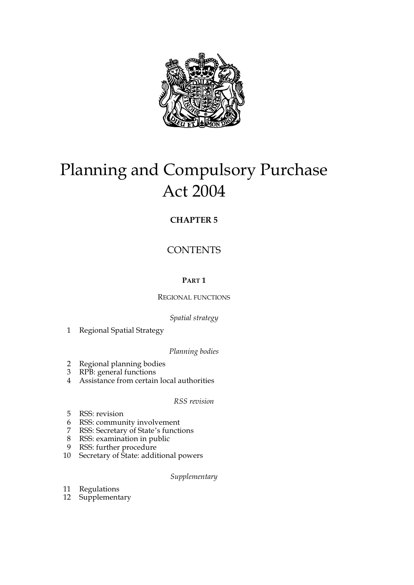

# Planning and Compulsory Purchase Act 2004

## **CHAPTER 5**

# **CONTENTS**

## **PART 1**

## REGIONAL FUNCTIONS

## *Spatial strategy*

1 Regional Spatial Strategy

## *Planning bodies*

- 2 Regional planning bodies
- 3 RPB: general functions
- 4 Assistance from certain local authorities

## *RSS revision*

- 5 RSS: revision
- 6 RSS: community involvement
- 7 RSS: Secretary of State's functions
- 8 RSS: examination in public
- 9 RSS: further procedure
- 10 Secretary of State: additional powers

## *Supplementary*

- 11 Regulations
- 12 Supplementary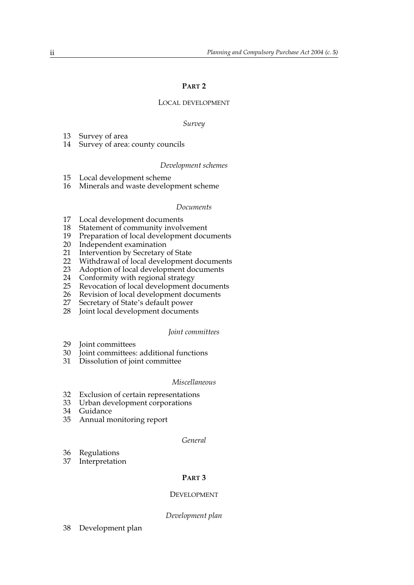#### **PART 2**

#### LOCAL DEVELOPMENT

#### *Survey*

- 13 Survey of area
- 14 Survey of area: county councils

#### *Development schemes*

- 15 Local development scheme
- 16 Minerals and waste development scheme

#### *Documents*

- 17 Local development documents<br>18 Statement of community involv
- 18 Statement of community involvement<br>19 Preparation of local development docu
- Preparation of local development documents
- 20 Independent examination<br>21 Intervention by Secretary
- 21 Intervention by Secretary of State<br>22 Withdrawal of local development
- 22 Withdrawal of local development documents<br>23 Adoption of local development documents
- 23 Adoption of local development documents<br>24 Conformity with regional strategy
- 24 Conformity with regional strategy<br>25 Revocation of local development d
- 25 Revocation of local development documents<br>26 Revision of local development documents
- 26 Revision of local development documents<br>27 Secretary of State's default power
- Secretary of State's default power
- 28 Joint local development documents

#### *Joint committees*

- 29 Joint committees<br>30 Joint committees:
- Joint committees: additional functions
- 31 Dissolution of joint committee

#### *Miscellaneous*

- 32 Exclusion of certain representations
- 33 Urban development corporations
- 34 Guidance
- 35 Annual monitoring report

#### *General*

- 36 Regulations
- 37 Interpretation

#### **PART 3**

#### DEVELOPMENT

#### *Development plan*

38 Development plan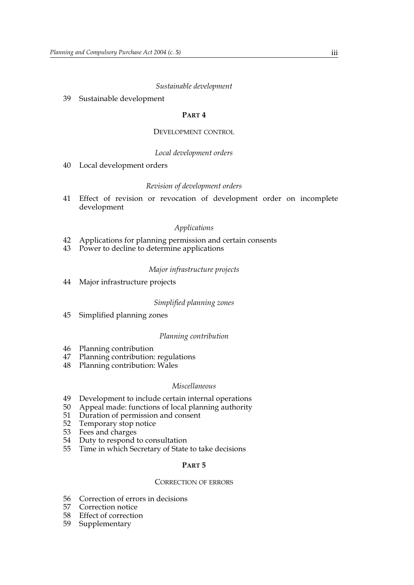## *Sustainable development*

39 Sustainable development

#### **PART 4**

#### DEVELOPMENT CONTROL

#### *Local development orders*

40 Local development orders

#### *Revision of development orders*

41 Effect of revision or revocation of development order on incomplete development

#### *Applications*

- 42 Applications for planning permission and certain consents
- 43 Power to decline to determine applications

## *Major infrastructure projects*

44 Major infrastructure projects

#### *Simplified planning zones*

45 Simplified planning zones

#### *Planning contribution*

- 46 Planning contribution<br>47 Planning contribution:
- Planning contribution: regulations
- 48 Planning contribution: Wales

#### *Miscellaneous*

- 49 Development to include certain internal operations<br>50 Appeal made: functions of local planning authority
- 50 Appeal made: functions of local planning authority<br>51 Duration of permission and consent
- 51 Duration of permission and consent
- 52 Temporary stop notice<br>53 Fees and charges
- 53 Fees and charges<br>54 Duty to respond
- Duty to respond to consultation
- 55 Time in which Secretary of State to take decisions

#### **PART 5**

#### CORRECTION OF ERRORS

- 56 Correction of errors in decisions<br>57 Correction notice
- Correction notice
- 58 Effect of correction
- 59 Supplementary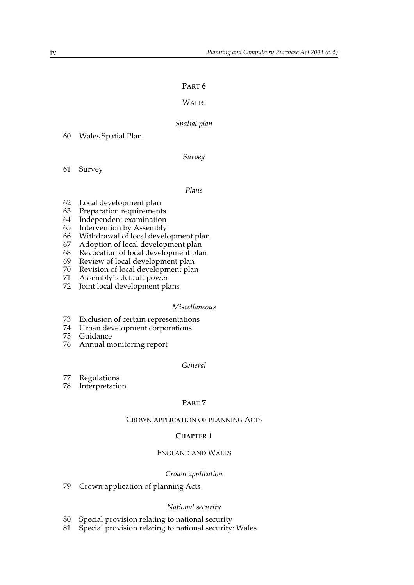#### **PART 6**

## **WALES**

#### *Spatial plan*

60 Wales Spatial Plan

*Survey*

61 Survey

#### *Plans*

- 62 Local development plan
- 63 Preparation requirements
- 64 Independent examination
- 65 Intervention by Assembly
- 66 Withdrawal of local development plan
- 67 Adoption of local development plan
- 68 Revocation of local development plan<br>69 Review of local development plan
- Review of local development plan
- 70 Revision of local development plan<br>71 Assembly's default power
- Assembly's default power
- 72 Joint local development plans

#### *Miscellaneous*

- 73 Exclusion of certain representations
- 74 Urban development corporations
- 75 Guidance
- 76 Annual monitoring report

#### *General*

- 77 Regulations<br>78 Interpretations
- Interpretation

#### **PART 7**

#### CROWN APPLICATION OF PLANNING ACTS

#### **CHAPTER 1**

## ENGLAND AND WALES

#### *Crown application*

79 Crown application of planning Acts

#### *National security*

- 80 Special provision relating to national security<br>81 Special provision relating to national security:
- Special provision relating to national security: Wales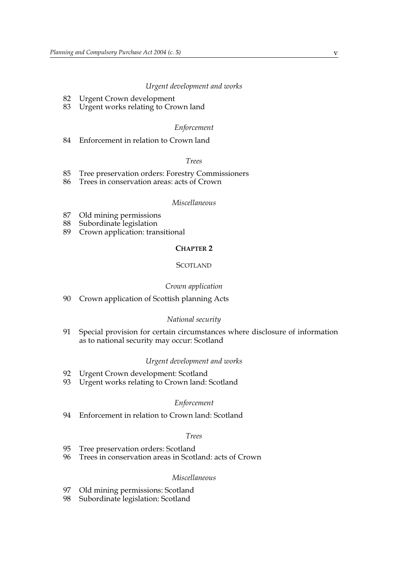#### *Urgent development and works*

- 82 Urgent Crown development
- 83 Urgent works relating to Crown land

#### *Enforcement*

84 Enforcement in relation to Crown land

#### *Trees*

- 85 Tree preservation orders: Forestry Commissioners<br>86 Trees in conservation areas: acts of Crown
- Trees in conservation areas: acts of Crown

#### *Miscellaneous*

- 87 Old mining permissions<br>88 Subordinate legislation
- Subordinate legislation
- 89 Crown application: transitional

#### **CHAPTER 2**

#### **SCOTLAND**

#### *Crown application*

90 Crown application of Scottish planning Acts

#### *National security*

91 Special provision for certain circumstances where disclosure of information as to national security may occur: Scotland

#### *Urgent development and works*

- 92 Urgent Crown development: Scotland<br>93 Urgent works relating to Crown land:
- Urgent works relating to Crown land: Scotland

#### *Enforcement*

94 Enforcement in relation to Crown land: Scotland

#### *Trees*

- 95 Tree preservation orders: Scotland<br>96 Trees in conservation areas in Scotl
- Trees in conservation areas in Scotland: acts of Crown

#### *Miscellaneous*

- 97 Old mining permissions: Scotland
- 98 Subordinate legislation: Scotland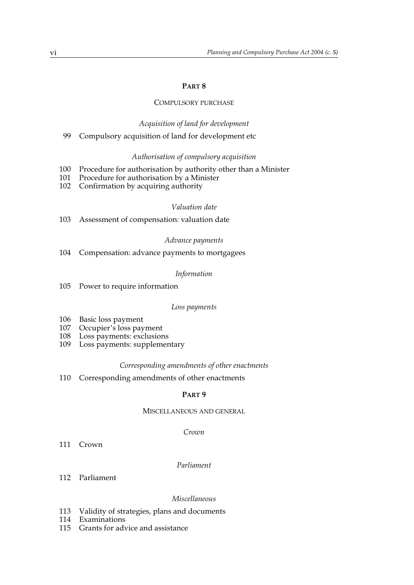#### **PART 8**

#### COMPULSORY PURCHASE

#### *Acquisition of land for development*

99 Compulsory acquisition of land for development etc

#### *Authorisation of compulsory acquisition*

- 100 Procedure for authorisation by authority other than a Minister
- 101 Procedure for authorisation by a Minister
- 102 Confirmation by acquiring authority

#### *Valuation date*

103 Assessment of compensation: valuation date

#### *Advance payments*

104 Compensation: advance payments to mortgagees

#### *Information*

105 Power to require information

#### *Loss payments*

- 
- 106 Basic loss payment<br>107 Occupier's loss pay Occupier's loss payment
- 108 Loss payments: exclusions
- 109 Loss payments: supplementary

#### *Corresponding amendments of other enactments*

110 Corresponding amendments of other enactments

#### **PART 9**

#### MISCELLANEOUS AND GENERAL

#### *Crown*

111 Crown

#### *Parliament*

112 Parliament

#### *Miscellaneous*

- 113 Validity of strategies, plans and documents
- 114 Examinations
- 115 Grants for advice and assistance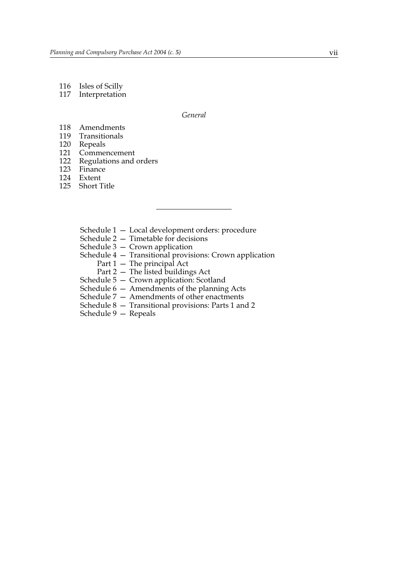- 116 Isles of Scilly
- 117 Interpretation

*General*

- 118 Amendments
- 119 Transitionals
- 120 Repeals<br>121 Commer
- 121 Commencement<br>122 Regulations and
- Regulations and orders
- 123 Finance
- 124 Extent
- 125 Short Title
	- Schedule 1 Local development orders: procedure
	- Schedule 2 Timetable for decisions
	- Schedule 3 Crown application
	- Schedule 4 Transitional provisions: Crown application
		- Part 1 The principal Act
		- Part 2 The listed buildings Act
	- Schedule 5 Crown application: Scotland
	- Schedule 6 Amendments of the planning Acts
	- Schedule 7 Amendments of other enactments
	- Schedule 8 Transitional provisions: Parts 1 and 2
	- Schedule 9 Repeals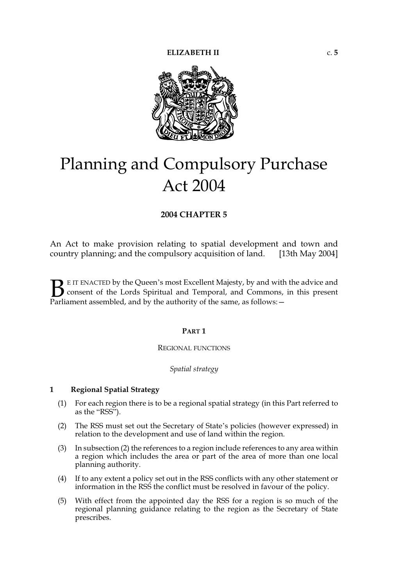

# Planning and Compulsory Purchase Act 2004

## **2004 CHAPTER 5**

An Act to make provision relating to spatial development and town and country planning; and the compulsory acquisition of land. [13th May 2004]

E IT ENACTED by the Queen's most Excellent Majesty, by and with the advice and consent of the Lords Spiritual and Temporal, and Commons, in this present **B** E IT ENACTED by the Queen's most Excellent Majesty, by and with consent of the Lords Spiritual and Temporal, and Commons, Parliament assembled, and by the authority of the same, as follows:

#### **PART 1**

#### REGIONAL FUNCTIONS

## *Spatial strategy*

#### **1 Regional Spatial Strategy**

- (1) For each region there is to be a regional spatial strategy (in this Part referred to as the "RSS").
- (2) The RSS must set out the Secretary of State's policies (however expressed) in relation to the development and use of land within the region.
- (3) In subsection (2) the references to a region include references to any area within a region which includes the area or part of the area of more than one local planning authority.
- (4) If to any extent a policy set out in the RSS conflicts with any other statement or information in the RSS the conflict must be resolved in favour of the policy.
- (5) With effect from the appointed day the RSS for a region is so much of the regional planning guidance relating to the region as the Secretary of State prescribes.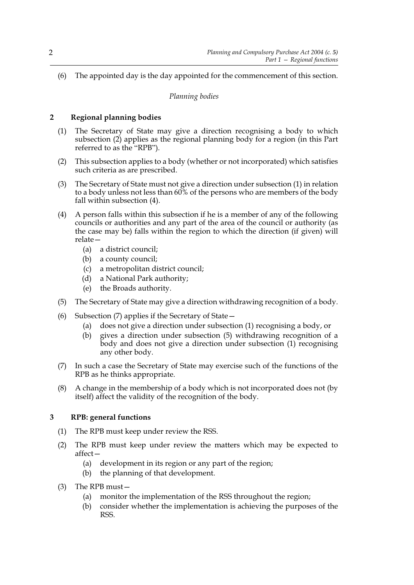(6) The appointed day is the day appointed for the commencement of this section.

## *Planning bodies*

## **2 Regional planning bodies**

- (1) The Secretary of State may give a direction recognising a body to which subsection (2) applies as the regional planning body for a region (in this Part referred to as the "RPB").
- (2) This subsection applies to a body (whether or not incorporated) which satisfies such criteria as are prescribed.
- (3) The Secretary of State must not give a direction under subsection (1) in relation to a body unless not less than 60% of the persons who are members of the body fall within subsection (4).
- (4) A person falls within this subsection if he is a member of any of the following councils or authorities and any part of the area of the council or authority (as the case may be) falls within the region to which the direction (if given) will relate—
	- (a) a district council;
	- (b) a county council;
	- (c) a metropolitan district council;
	- (d) a National Park authority;
	- (e) the Broads authority.
- (5) The Secretary of State may give a direction withdrawing recognition of a body.
- (6) Subsection (7) applies if the Secretary of State—
	- (a) does not give a direction under subsection (1) recognising a body, or
	- (b) gives a direction under subsection (5) withdrawing recognition of a body and does not give a direction under subsection (1) recognising any other body.
- (7) In such a case the Secretary of State may exercise such of the functions of the RPB as he thinks appropriate.
- (8) A change in the membership of a body which is not incorporated does not (by itself) affect the validity of the recognition of the body.

## **3 RPB: general functions**

- (1) The RPB must keep under review the RSS.
- (2) The RPB must keep under review the matters which may be expected to affect—
	- (a) development in its region or any part of the region;
	- (b) the planning of that development.
- (3) The RPB must—
	- (a) monitor the implementation of the RSS throughout the region;
	- (b) consider whether the implementation is achieving the purposes of the RSS.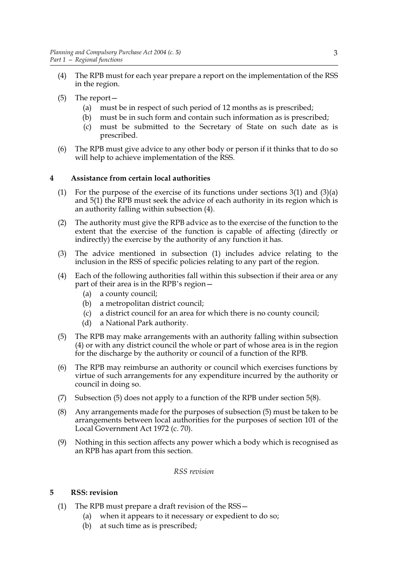- (4) The RPB must for each year prepare a report on the implementation of the RSS in the region.
- (5) The report—
	- (a) must be in respect of such period of 12 months as is prescribed;
	- (b) must be in such form and contain such information as is prescribed;
	- (c) must be submitted to the Secretary of State on such date as is prescribed.
- (6) The RPB must give advice to any other body or person if it thinks that to do so will help to achieve implementation of the RSS.

## **4 Assistance from certain local authorities**

- (1) For the purpose of the exercise of its functions under sections  $3(1)$  and  $(3)(a)$ and 5(1) the RPB must seek the advice of each authority in its region which is an authority falling within subsection (4).
- (2) The authority must give the RPB advice as to the exercise of the function to the extent that the exercise of the function is capable of affecting (directly or indirectly) the exercise by the authority of any function it has.
- (3) The advice mentioned in subsection (1) includes advice relating to the inclusion in the RSS of specific policies relating to any part of the region.
- (4) Each of the following authorities fall within this subsection if their area or any part of their area is in the RPB's region—
	- (a) a county council;
	- (b) a metropolitan district council;
	- (c) a district council for an area for which there is no county council;
	- (d) a National Park authority.
- (5) The RPB may make arrangements with an authority falling within subsection (4) or with any district council the whole or part of whose area is in the region for the discharge by the authority or council of a function of the RPB.
- (6) The RPB may reimburse an authority or council which exercises functions by virtue of such arrangements for any expenditure incurred by the authority or council in doing so.
- (7) Subsection (5) does not apply to a function of the RPB under section 5(8).
- (8) Any arrangements made for the purposes of subsection (5) must be taken to be arrangements between local authorities for the purposes of section 101 of the Local Government Act 1972 (c. 70).
- (9) Nothing in this section affects any power which a body which is recognised as an RPB has apart from this section.

## *RSS revision*

## **5 RSS: revision**

- (1) The RPB must prepare a draft revision of the RSS—
	- (a) when it appears to it necessary or expedient to do so;
	- (b) at such time as is prescribed;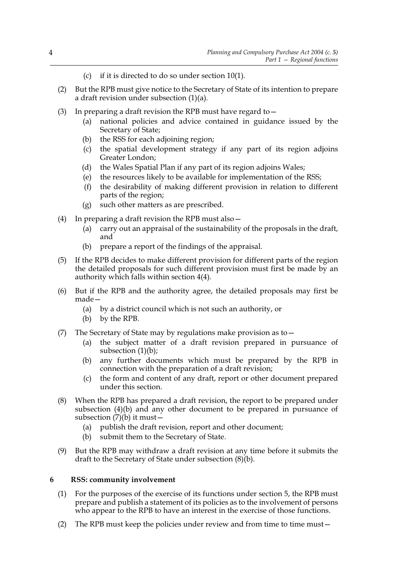- (c) if it is directed to do so under section 10(1).
- (2) But the RPB must give notice to the Secretary of State of its intention to prepare a draft revision under subsection (1)(a).
- (3) In preparing a draft revision the RPB must have regard to  $-$ 
	- (a) national policies and advice contained in guidance issued by the Secretary of State;
	- (b) the RSS for each adjoining region;
	- (c) the spatial development strategy if any part of its region adjoins Greater London;
	- (d) the Wales Spatial Plan if any part of its region adjoins Wales;
	- (e) the resources likely to be available for implementation of the RSS;
	- (f) the desirability of making different provision in relation to different parts of the region;
	- (g) such other matters as are prescribed.
- (4) In preparing a draft revision the RPB must also—
	- (a) carry out an appraisal of the sustainability of the proposals in the draft, and
	- (b) prepare a report of the findings of the appraisal.
- (5) If the RPB decides to make different provision for different parts of the region the detailed proposals for such different provision must first be made by an authority which falls within section 4(4).
- (6) But if the RPB and the authority agree, the detailed proposals may first be made—
	- (a) by a district council which is not such an authority, or
	- (b) by the RPB.
- (7) The Secretary of State may by regulations make provision as to  $-$ 
	- (a) the subject matter of a draft revision prepared in pursuance of subsection  $(1)(b)$ ;
	- (b) any further documents which must be prepared by the RPB in connection with the preparation of a draft revision;
	- (c) the form and content of any draft, report or other document prepared under this section.
- (8) When the RPB has prepared a draft revision, the report to be prepared under subsection (4)(b) and any other document to be prepared in pursuance of subsection  $(7)(b)$  it must –
	- (a) publish the draft revision, report and other document;
	- (b) submit them to the Secretary of State.
- (9) But the RPB may withdraw a draft revision at any time before it submits the draft to the Secretary of State under subsection (8)(b).

## **6 RSS: community involvement**

- (1) For the purposes of the exercise of its functions under section 5, the RPB must prepare and publish a statement of its policies as to the involvement of persons who appear to the RPB to have an interest in the exercise of those functions.
- (2) The RPB must keep the policies under review and from time to time must—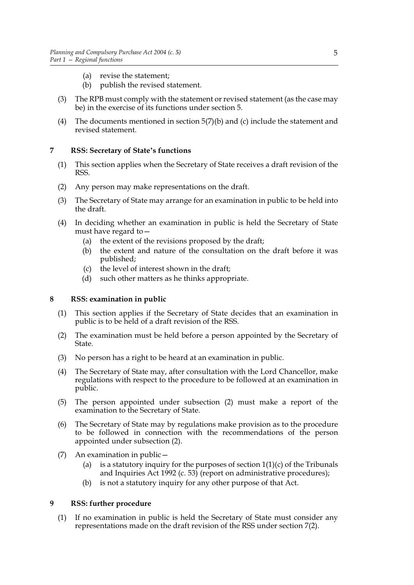- (a) revise the statement;
- (b) publish the revised statement.
- (3) The RPB must comply with the statement or revised statement (as the case may be) in the exercise of its functions under section 5.
- (4) The documents mentioned in section  $5(7)(b)$  and (c) include the statement and revised statement.

## **7 RSS: Secretary of State's functions**

- (1) This section applies when the Secretary of State receives a draft revision of the RSS.
- (2) Any person may make representations on the draft.
- (3) The Secretary of State may arrange for an examination in public to be held into the draft.
- (4) In deciding whether an examination in public is held the Secretary of State must have regard to—
	- (a) the extent of the revisions proposed by the draft;
	- (b) the extent and nature of the consultation on the draft before it was published;
	- (c) the level of interest shown in the draft;
	- (d) such other matters as he thinks appropriate.

## **8 RSS: examination in public**

- (1) This section applies if the Secretary of State decides that an examination in public is to be held of a draft revision of the RSS.
- (2) The examination must be held before a person appointed by the Secretary of State.
- (3) No person has a right to be heard at an examination in public.
- (4) The Secretary of State may, after consultation with the Lord Chancellor, make regulations with respect to the procedure to be followed at an examination in public.
- (5) The person appointed under subsection (2) must make a report of the examination to the Secretary of State.
- (6) The Secretary of State may by regulations make provision as to the procedure to be followed in connection with the recommendations of the person appointed under subsection (2).
- (7) An examination in public—
	- (a) is a statutory inquiry for the purposes of section  $1(1)(c)$  of the Tribunals and Inquiries Act 1992 (c. 53) (report on administrative procedures);
	- (b) is not a statutory inquiry for any other purpose of that Act.

## **9 RSS: further procedure**

(1) If no examination in public is held the Secretary of State must consider any representations made on the draft revision of the RSS under section 7(2).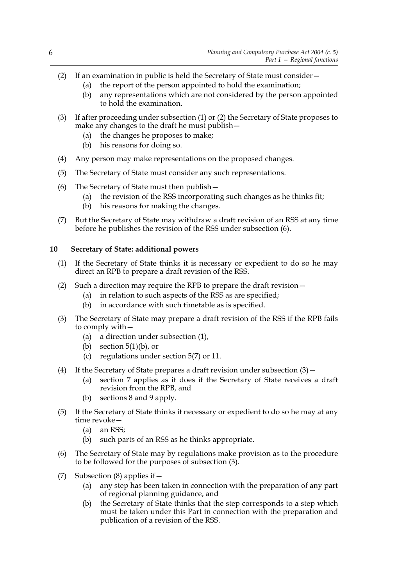- (2) If an examination in public is held the Secretary of State must consider—
	- (a) the report of the person appointed to hold the examination;
	- (b) any representations which are not considered by the person appointed to hold the examination.
- (3) If after proceeding under subsection (1) or (2) the Secretary of State proposes to make any changes to the draft he must publish—
	- (a) the changes he proposes to make;
	- (b) his reasons for doing so.
- (4) Any person may make representations on the proposed changes.
- (5) The Secretary of State must consider any such representations.
- (6) The Secretary of State must then publish—
	- (a) the revision of the RSS incorporating such changes as he thinks fit;
	- (b) his reasons for making the changes.
- (7) But the Secretary of State may withdraw a draft revision of an RSS at any time before he publishes the revision of the RSS under subsection (6).

## **10 Secretary of State: additional powers**

- (1) If the Secretary of State thinks it is necessary or expedient to do so he may direct an RPB to prepare a draft revision of the RSS.
- (2) Such a direction may require the RPB to prepare the draft revision—
	- (a) in relation to such aspects of the RSS as are specified;
	- (b) in accordance with such timetable as is specified.
- (3) The Secretary of State may prepare a draft revision of the RSS if the RPB fails to comply with—
	- (a) a direction under subsection (1),
	- (b) section  $5(1)(b)$ , or
	- (c) regulations under section 5(7) or 11.
- (4) If the Secretary of State prepares a draft revision under subsection  $(3)$  -
	- (a) section 7 applies as it does if the Secretary of State receives a draft revision from the RPB, and
	- (b) sections 8 and 9 apply.
- (5) If the Secretary of State thinks it necessary or expedient to do so he may at any time revoke—
	- (a) an RSS;
	- (b) such parts of an RSS as he thinks appropriate.
- (6) The Secretary of State may by regulations make provision as to the procedure to be followed for the purposes of subsection (3).
- (7) Subsection  $(8)$  applies if  $-$ 
	- (a) any step has been taken in connection with the preparation of any part of regional planning guidance, and
	- (b) the Secretary of State thinks that the step corresponds to a step which must be taken under this Part in connection with the preparation and publication of a revision of the RSS.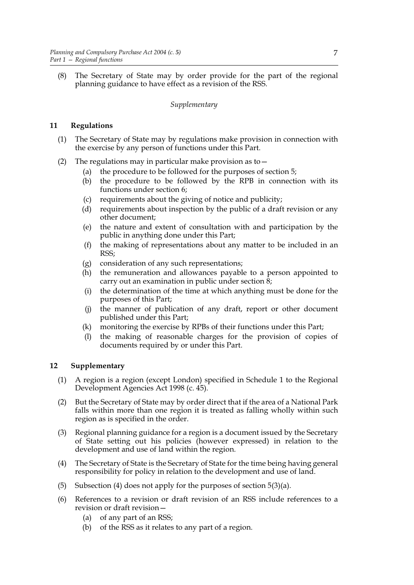(8) The Secretary of State may by order provide for the part of the regional planning guidance to have effect as a revision of the RSS.

## *Supplementary*

## **11 Regulations**

- (1) The Secretary of State may by regulations make provision in connection with the exercise by any person of functions under this Part.
- (2) The regulations may in particular make provision as to—
	- (a) the procedure to be followed for the purposes of section 5;
	- (b) the procedure to be followed by the RPB in connection with its functions under section 6;
	- (c) requirements about the giving of notice and publicity;
	- (d) requirements about inspection by the public of a draft revision or any other document;
	- (e) the nature and extent of consultation with and participation by the public in anything done under this Part;
	- (f) the making of representations about any matter to be included in an RSS;
	- (g) consideration of any such representations;
	- (h) the remuneration and allowances payable to a person appointed to carry out an examination in public under section 8;
	- (i) the determination of the time at which anything must be done for the purposes of this Part;
	- (j) the manner of publication of any draft, report or other document published under this Part;
	- (k) monitoring the exercise by RPBs of their functions under this Part;
	- (l) the making of reasonable charges for the provision of copies of documents required by or under this Part.

## **12 Supplementary**

- (1) A region is a region (except London) specified in Schedule 1 to the Regional Development Agencies Act 1998 (c. 45).
- (2) But the Secretary of State may by order direct that if the area of a National Park falls within more than one region it is treated as falling wholly within such region as is specified in the order.
- (3) Regional planning guidance for a region is a document issued by the Secretary of State setting out his policies (however expressed) in relation to the development and use of land within the region.
- (4) The Secretary of State is the Secretary of State for the time being having general responsibility for policy in relation to the development and use of land.
- (5) Subsection (4) does not apply for the purposes of section  $5(3)(a)$ .
- (6) References to a revision or draft revision of an RSS include references to a revision or draft revision—
	- (a) of any part of an RSS;
	- (b) of the RSS as it relates to any part of a region.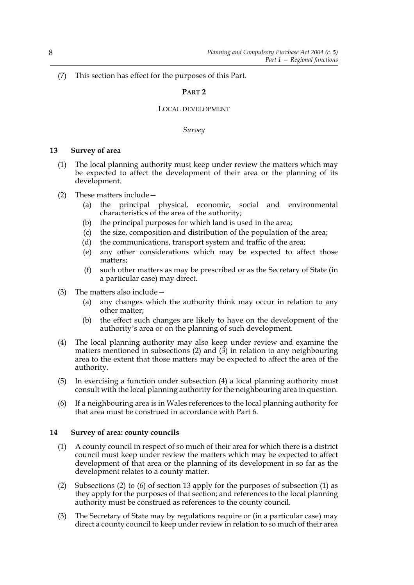(7) This section has effect for the purposes of this Part.

## **PART 2**

#### LOCAL DEVELOPMENT

#### *Survey*

## **13 Survey of area**

- (1) The local planning authority must keep under review the matters which may be expected to affect the development of their area or the planning of its development.
- (2) These matters include—
	- (a) the principal physical, economic, social and environmental characteristics of the area of the authority;
	- (b) the principal purposes for which land is used in the area;
	- (c) the size, composition and distribution of the population of the area;
	- (d) the communications, transport system and traffic of the area;
	- (e) any other considerations which may be expected to affect those matters;
	- (f) such other matters as may be prescribed or as the Secretary of State (in a particular case) may direct.
- (3) The matters also include—
	- (a) any changes which the authority think may occur in relation to any other matter;
	- (b) the effect such changes are likely to have on the development of the authority's area or on the planning of such development.
- (4) The local planning authority may also keep under review and examine the matters mentioned in subsections (2) and (3) in relation to any neighbouring area to the extent that those matters may be expected to affect the area of the authority.
- (5) In exercising a function under subsection (4) a local planning authority must consult with the local planning authority for the neighbouring area in question.
- (6) If a neighbouring area is in Wales references to the local planning authority for that area must be construed in accordance with Part 6.

## **14 Survey of area: county councils**

- (1) A county council in respect of so much of their area for which there is a district council must keep under review the matters which may be expected to affect development of that area or the planning of its development in so far as the development relates to a county matter.
- (2) Subsections (2) to (6) of section 13 apply for the purposes of subsection (1) as they apply for the purposes of that section; and references to the local planning authority must be construed as references to the county council.
- (3) The Secretary of State may by regulations require or (in a particular case) may direct a county council to keep under review in relation to so much of their area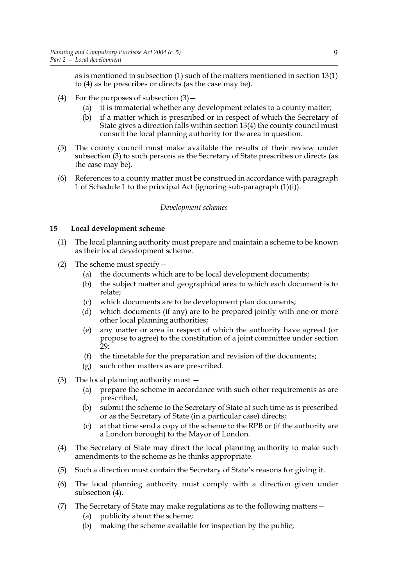as is mentioned in subsection (1) such of the matters mentioned in section 13(1) to (4) as he prescribes or directs (as the case may be).

- (4) For the purposes of subsection  $(3)$ 
	- (a) it is immaterial whether any development relates to a county matter;
	- (b) if a matter which is prescribed or in respect of which the Secretary of State gives a direction falls within section 13(4) the county council must consult the local planning authority for the area in question.
- (5) The county council must make available the results of their review under subsection (3) to such persons as the Secretary of State prescribes or directs (as the case may be).
- (6) References to a county matter must be construed in accordance with paragraph 1 of Schedule 1 to the principal Act (ignoring sub-paragraph (1)(i)).

#### *Development schemes*

## **15 Local development scheme**

- (1) The local planning authority must prepare and maintain a scheme to be known as their local development scheme.
- (2) The scheme must specify—
	- (a) the documents which are to be local development documents;
	- (b) the subject matter and geographical area to which each document is to relate;
	- (c) which documents are to be development plan documents;
	- (d) which documents (if any) are to be prepared jointly with one or more other local planning authorities;
	- (e) any matter or area in respect of which the authority have agreed (or propose to agree) to the constitution of a joint committee under section  $29:$
	- (f) the timetable for the preparation and revision of the documents;
	- (g) such other matters as are prescribed.
- (3) The local planning authority must
	- (a) prepare the scheme in accordance with such other requirements as are prescribed;
	- (b) submit the scheme to the Secretary of State at such time as is prescribed or as the Secretary of State (in a particular case) directs;
	- (c) at that time send a copy of the scheme to the RPB or (if the authority are a London borough) to the Mayor of London.
- (4) The Secretary of State may direct the local planning authority to make such amendments to the scheme as he thinks appropriate.
- (5) Such a direction must contain the Secretary of State's reasons for giving it.
- (6) The local planning authority must comply with a direction given under subsection  $(4)$ .
- (7) The Secretary of State may make regulations as to the following matters—
	- (a) publicity about the scheme;
	- (b) making the scheme available for inspection by the public;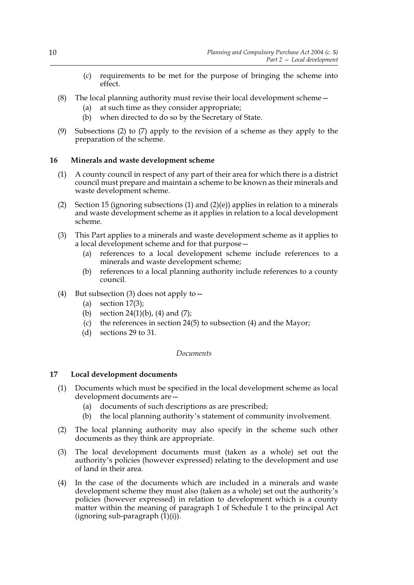- (c) requirements to be met for the purpose of bringing the scheme into effect.
- (8) The local planning authority must revise their local development scheme—
	- (a) at such time as they consider appropriate;
	- (b) when directed to do so by the Secretary of State.
- (9) Subsections (2) to (7) apply to the revision of a scheme as they apply to the preparation of the scheme.

## **16 Minerals and waste development scheme**

- (1) A county council in respect of any part of their area for which there is a district council must prepare and maintain a scheme to be known as their minerals and waste development scheme.
- (2) Section 15 (ignoring subsections (1) and (2)(e)) applies in relation to a minerals and waste development scheme as it applies in relation to a local development scheme.
- (3) This Part applies to a minerals and waste development scheme as it applies to a local development scheme and for that purpose—
	- (a) references to a local development scheme include references to a minerals and waste development scheme;
	- (b) references to a local planning authority include references to a county council.
- (4) But subsection (3) does not apply to—
	- (a) section  $17(3)$ ;
	- (b) section  $24(1)(b)$ , (4) and (7);
	- (c) the references in section 24(5) to subsection (4) and the Mayor;
	- (d) sections 29 to 31.

## *Documents*

## **17 Local development documents**

- (1) Documents which must be specified in the local development scheme as local development documents are—
	- (a) documents of such descriptions as are prescribed;
	- (b) the local planning authority's statement of community involvement.
- (2) The local planning authority may also specify in the scheme such other documents as they think are appropriate.
- (3) The local development documents must (taken as a whole) set out the authority's policies (however expressed) relating to the development and use of land in their area.
- (4) In the case of the documents which are included in a minerals and waste development scheme they must also (taken as a whole) set out the authority's policies (however expressed) in relation to development which is a county matter within the meaning of paragraph 1 of Schedule 1 to the principal Act (ignoring sub-paragraph  $(1)(i)$ ).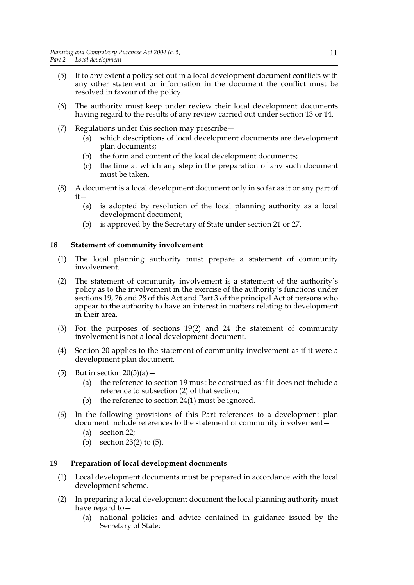- (5) If to any extent a policy set out in a local development document conflicts with any other statement or information in the document the conflict must be resolved in favour of the policy.
- (6) The authority must keep under review their local development documents having regard to the results of any review carried out under section 13 or 14.
- (7) Regulations under this section may prescribe—
	- (a) which descriptions of local development documents are development plan documents;
	- (b) the form and content of the local development documents;
	- (c) the time at which any step in the preparation of any such document must be taken.
- (8) A document is a local development document only in so far as it or any part of it—
	- (a) is adopted by resolution of the local planning authority as a local development document;
	- (b) is approved by the Secretary of State under section 21 or 27.

## **18 Statement of community involvement**

- (1) The local planning authority must prepare a statement of community involvement.
- (2) The statement of community involvement is a statement of the authority's policy as to the involvement in the exercise of the authority's functions under sections 19, 26 and 28 of this Act and Part 3 of the principal Act of persons who appear to the authority to have an interest in matters relating to development in their area.
- (3) For the purposes of sections 19(2) and 24 the statement of community involvement is not a local development document.
- (4) Section 20 applies to the statement of community involvement as if it were a development plan document.
- (5) But in section  $20(5)(a)$  -
	- (a) the reference to section 19 must be construed as if it does not include a reference to subsection (2) of that section;
	- (b) the reference to section 24(1) must be ignored.
- (6) In the following provisions of this Part references to a development plan document include references to the statement of community involvement—
	- (a) section 22;
	- (b) section 23(2) to (5).

## **19 Preparation of local development documents**

- (1) Local development documents must be prepared in accordance with the local development scheme.
- (2) In preparing a local development document the local planning authority must have regard to—
	- (a) national policies and advice contained in guidance issued by the Secretary of State;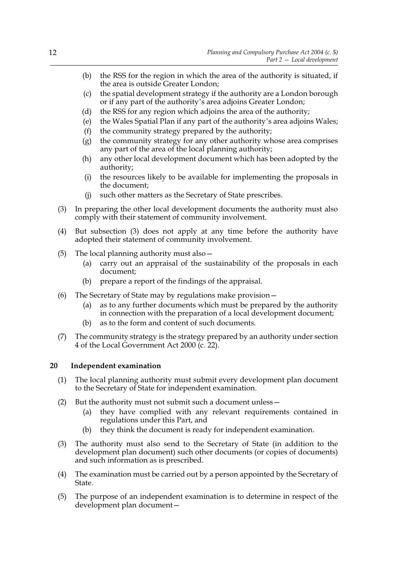- (b) the RSS for the region in which the area of the authority is situated, if the area is outside Greater London;
- (c) the spatial development strategy if the authority are a London borough or if any part of the authority's area adjoins Greater London;
- (d) the RSS for any region which adjoins the area of the authority;
- (e) the Wales Spatial Plan if any part of the authority's area adjoins Wales;
- (f) the community strategy prepared by the authority;
- (g) the community strategy for any other authority whose area comprises any part of the area of the local planning authority;
- (h) any other local development document which has been adopted by the authority;
- (i) the resources likely to be available for implementing the proposals in the document;
- (j) such other matters as the Secretary of State prescribes.
- (3) In preparing the other local development documents the authority must also comply with their statement of community involvement.
- (4) But subsection (3) does not apply at any time before the authority have adopted their statement of community involvement.
- (5) The local planning authority must also—
	- (a) carry out an appraisal of the sustainability of the proposals in each document;
	- (b) prepare a report of the findings of the appraisal.
- (6) The Secretary of State may by regulations make provision—
	- (a) as to any further documents which must be prepared by the authority in connection with the preparation of a local development document;
	- (b) as to the form and content of such documents.
- (7) The community strategy is the strategy prepared by an authority under section 4 of the Local Government Act 2000 (c. 22).

#### **20 Independent examination**

- (1) The local planning authority must submit every development plan document to the Secretary of State for independent examination.
- (2) But the authority must not submit such a document unless—
	- (a) they have complied with any relevant requirements contained in regulations under this Part, and
	- (b) they think the document is ready for independent examination.
- (3) The authority must also send to the Secretary of State (in addition to the development plan document) such other documents (or copies of documents) and such information as is prescribed.
- (4) The examination must be carried out by a person appointed by the Secretary of State.
- (5) The purpose of an independent examination is to determine in respect of the development plan document—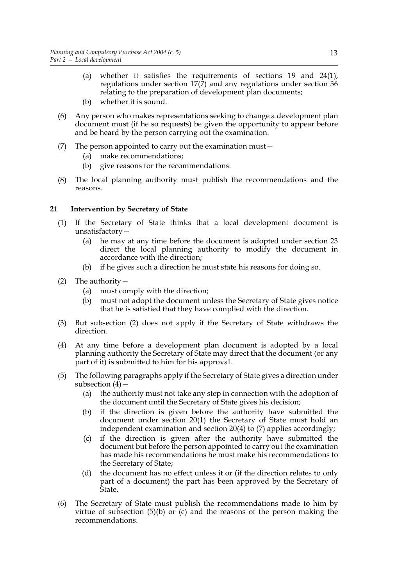- (a) whether it satisfies the requirements of sections 19 and 24(1), regulations under section  $17(7)$  and any regulations under section 36 relating to the preparation of development plan documents;
- (b) whether it is sound.
- (6) Any person who makes representations seeking to change a development plan document must (if he so requests) be given the opportunity to appear before and be heard by the person carrying out the examination.
- (7) The person appointed to carry out the examination must—
	- (a) make recommendations;
	- (b) give reasons for the recommendations.
- (8) The local planning authority must publish the recommendations and the reasons.

## **21 Intervention by Secretary of State**

- (1) If the Secretary of State thinks that a local development document is unsatisfactory—
	- (a) he may at any time before the document is adopted under section 23 direct the local planning authority to modify the document in accordance with the direction;
	- (b) if he gives such a direction he must state his reasons for doing so.
- (2) The authority—
	- (a) must comply with the direction;
	- (b) must not adopt the document unless the Secretary of State gives notice that he is satisfied that they have complied with the direction.
- (3) But subsection (2) does not apply if the Secretary of State withdraws the direction.
- (4) At any time before a development plan document is adopted by a local planning authority the Secretary of State may direct that the document (or any part of it) is submitted to him for his approval.
- (5) The following paragraphs apply if the Secretary of State gives a direction under subsection  $(4)$  –
	- (a) the authority must not take any step in connection with the adoption of the document until the Secretary of State gives his decision;
	- (b) if the direction is given before the authority have submitted the document under section 20(1) the Secretary of State must hold an independent examination and section 20(4) to (7) applies accordingly;
	- (c) if the direction is given after the authority have submitted the document but before the person appointed to carry out the examination has made his recommendations he must make his recommendations to the Secretary of State;
	- (d) the document has no effect unless it or (if the direction relates to only part of a document) the part has been approved by the Secretary of State.
- (6) The Secretary of State must publish the recommendations made to him by virtue of subsection  $(5)(b)$  or  $(c)$  and the reasons of the person making the recommendations.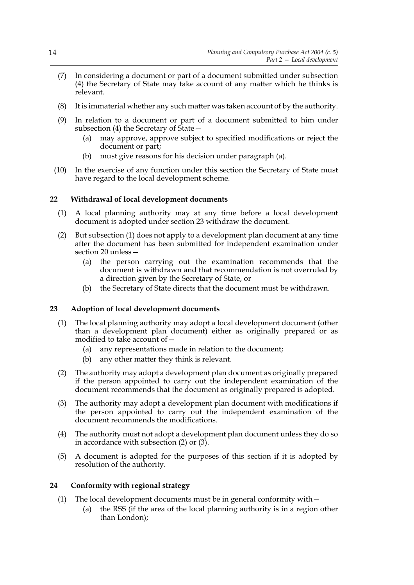- (7) In considering a document or part of a document submitted under subsection (4) the Secretary of State may take account of any matter which he thinks is relevant.
- (8) It is immaterial whether any such matter was taken account of by the authority.
- (9) In relation to a document or part of a document submitted to him under subsection (4) the Secretary of State—
	- (a) may approve, approve subject to specified modifications or reject the document or part;
	- (b) must give reasons for his decision under paragraph (a).
- (10) In the exercise of any function under this section the Secretary of State must have regard to the local development scheme.

## **22 Withdrawal of local development documents**

- (1) A local planning authority may at any time before a local development document is adopted under section 23 withdraw the document.
- (2) But subsection (1) does not apply to a development plan document at any time after the document has been submitted for independent examination under section 20 unless—
	- (a) the person carrying out the examination recommends that the document is withdrawn and that recommendation is not overruled by a direction given by the Secretary of State, or
	- (b) the Secretary of State directs that the document must be withdrawn.

## **23 Adoption of local development documents**

- (1) The local planning authority may adopt a local development document (other than a development plan document) either as originally prepared or as modified to take account of—
	- (a) any representations made in relation to the document;
	- (b) any other matter they think is relevant.
- (2) The authority may adopt a development plan document as originally prepared if the person appointed to carry out the independent examination of the document recommends that the document as originally prepared is adopted.
- (3) The authority may adopt a development plan document with modifications if the person appointed to carry out the independent examination of the document recommends the modifications.
- (4) The authority must not adopt a development plan document unless they do so in accordance with subsection (2) or (3).
- (5) A document is adopted for the purposes of this section if it is adopted by resolution of the authority.

## **24 Conformity with regional strategy**

- (1) The local development documents must be in general conformity with—
	- (a) the RSS (if the area of the local planning authority is in a region other than London);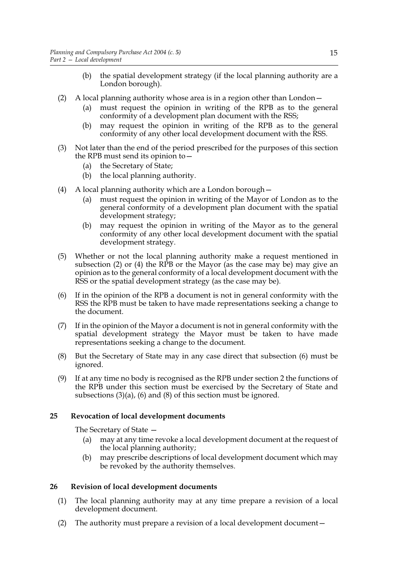- (b) the spatial development strategy (if the local planning authority are a London borough).
- (2) A local planning authority whose area is in a region other than London—
	- (a) must request the opinion in writing of the RPB as to the general conformity of a development plan document with the RSS;
	- (b) may request the opinion in writing of the RPB as to the general conformity of any other local development document with the RSS.
- (3) Not later than the end of the period prescribed for the purposes of this section the RPB must send its opinion to—
	- (a) the Secretary of State;
	- (b) the local planning authority.
- (4) A local planning authority which are a London borough—
	- (a) must request the opinion in writing of the Mayor of London as to the general conformity of a development plan document with the spatial development strategy;
	- (b) may request the opinion in writing of the Mayor as to the general conformity of any other local development document with the spatial development strategy.
- (5) Whether or not the local planning authority make a request mentioned in subsection (2) or (4) the RPB or the Mayor (as the case may be) may give an opinion as to the general conformity of a local development document with the RSS or the spatial development strategy (as the case may be).
- (6) If in the opinion of the RPB a document is not in general conformity with the RSS the RPB must be taken to have made representations seeking a change to the document.
- (7) If in the opinion of the Mayor a document is not in general conformity with the spatial development strategy the Mayor must be taken to have made representations seeking a change to the document.
- (8) But the Secretary of State may in any case direct that subsection (6) must be ignored.
- (9) If at any time no body is recognised as the RPB under section 2 the functions of the RPB under this section must be exercised by the Secretary of State and subsections (3)(a), (6) and (8) of this section must be ignored.

## **25 Revocation of local development documents**

The Secretary of State —

- (a) may at any time revoke a local development document at the request of the local planning authority;
- (b) may prescribe descriptions of local development document which may be revoked by the authority themselves.

## **26 Revision of local development documents**

- (1) The local planning authority may at any time prepare a revision of a local development document.
- (2) The authority must prepare a revision of a local development document—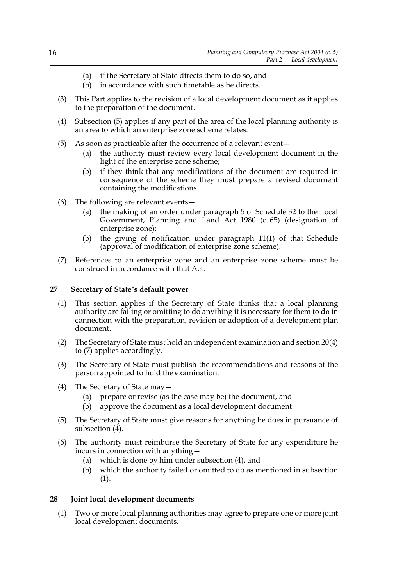- (a) if the Secretary of State directs them to do so, and
- (b) in accordance with such timetable as he directs.
- (3) This Part applies to the revision of a local development document as it applies to the preparation of the document.
- (4) Subsection (5) applies if any part of the area of the local planning authority is an area to which an enterprise zone scheme relates.
- (5) As soon as practicable after the occurrence of a relevant event—
	- (a) the authority must review every local development document in the light of the enterprise zone scheme;
	- (b) if they think that any modifications of the document are required in consequence of the scheme they must prepare a revised document containing the modifications.
- (6) The following are relevant events—
	- (a) the making of an order under paragraph 5 of Schedule 32 to the Local Government, Planning and Land Act 1980 (c. 65) (designation of enterprise zone);
	- (b) the giving of notification under paragraph 11(1) of that Schedule (approval of modification of enterprise zone scheme).
- (7) References to an enterprise zone and an enterprise zone scheme must be construed in accordance with that Act.

#### **27 Secretary of State's default power**

- (1) This section applies if the Secretary of State thinks that a local planning authority are failing or omitting to do anything it is necessary for them to do in connection with the preparation, revision or adoption of a development plan document.
- (2) The Secretary of State must hold an independent examination and section 20(4) to (7) applies accordingly.
- (3) The Secretary of State must publish the recommendations and reasons of the person appointed to hold the examination.
- (4) The Secretary of State may—
	- (a) prepare or revise (as the case may be) the document, and
	- (b) approve the document as a local development document.
- (5) The Secretary of State must give reasons for anything he does in pursuance of subsection (4).
- (6) The authority must reimburse the Secretary of State for any expenditure he incurs in connection with anything—
	- (a) which is done by him under subsection (4), and
	- (b) which the authority failed or omitted to do as mentioned in subsection (1).

#### **28 Joint local development documents**

(1) Two or more local planning authorities may agree to prepare one or more joint local development documents.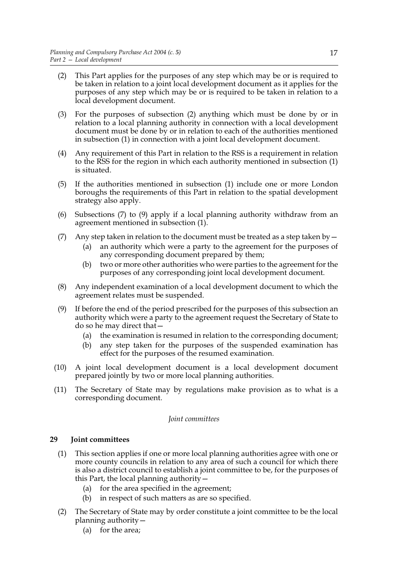- (2) This Part applies for the purposes of any step which may be or is required to be taken in relation to a joint local development document as it applies for the purposes of any step which may be or is required to be taken in relation to a local development document.
- (3) For the purposes of subsection (2) anything which must be done by or in relation to a local planning authority in connection with a local development document must be done by or in relation to each of the authorities mentioned in subsection (1) in connection with a joint local development document.
- (4) Any requirement of this Part in relation to the RSS is a requirement in relation to the RSS for the region in which each authority mentioned in subsection (1) is situated.
- (5) If the authorities mentioned in subsection (1) include one or more London boroughs the requirements of this Part in relation to the spatial development strategy also apply.
- (6) Subsections (7) to (9) apply if a local planning authority withdraw from an agreement mentioned in subsection (1).
- (7) Any step taken in relation to the document must be treated as a step taken by  $-$ 
	- (a) an authority which were a party to the agreement for the purposes of any corresponding document prepared by them;
	- (b) two or more other authorities who were parties to the agreement for the purposes of any corresponding joint local development document.
- (8) Any independent examination of a local development document to which the agreement relates must be suspended.
- (9) If before the end of the period prescribed for the purposes of this subsection an authority which were a party to the agreement request the Secretary of State to do so he may direct that—
	- (a) the examination is resumed in relation to the corresponding document;
	- (b) any step taken for the purposes of the suspended examination has effect for the purposes of the resumed examination.
- (10) A joint local development document is a local development document prepared jointly by two or more local planning authorities.
- (11) The Secretary of State may by regulations make provision as to what is a corresponding document.

## *Joint committees*

## **29 Joint committees**

- (1) This section applies if one or more local planning authorities agree with one or more county councils in relation to any area of such a council for which there is also a district council to establish a joint committee to be, for the purposes of this Part, the local planning authority—
	- (a) for the area specified in the agreement;
	- (b) in respect of such matters as are so specified.
- (2) The Secretary of State may by order constitute a joint committee to be the local planning authority—
	- (a) for the area;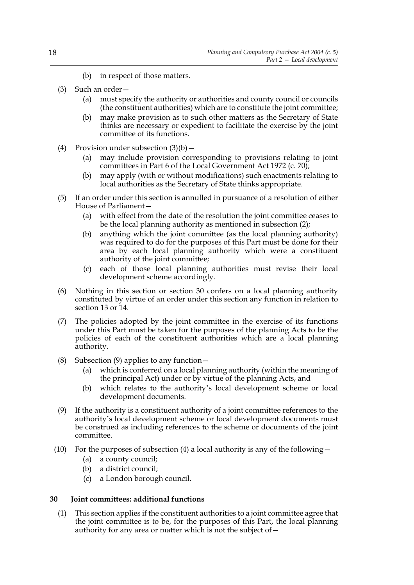- (b) in respect of those matters.
- (3) Such an order—
	- (a) must specify the authority or authorities and county council or councils (the constituent authorities) which are to constitute the joint committee;
	- (b) may make provision as to such other matters as the Secretary of State thinks are necessary or expedient to facilitate the exercise by the joint committee of its functions.
- (4) Provision under subsection  $(3)(b)$ 
	- (a) may include provision corresponding to provisions relating to joint committees in Part 6 of the Local Government Act 1972 (c. 70);
	- (b) may apply (with or without modifications) such enactments relating to local authorities as the Secretary of State thinks appropriate.
- (5) If an order under this section is annulled in pursuance of a resolution of either House of Parliament—
	- (a) with effect from the date of the resolution the joint committee ceases to be the local planning authority as mentioned in subsection (2);
	- (b) anything which the joint committee (as the local planning authority) was required to do for the purposes of this Part must be done for their area by each local planning authority which were a constituent authority of the joint committee;
	- (c) each of those local planning authorities must revise their local development scheme accordingly.
- (6) Nothing in this section or section 30 confers on a local planning authority constituted by virtue of an order under this section any function in relation to section 13 or 14.
- (7) The policies adopted by the joint committee in the exercise of its functions under this Part must be taken for the purposes of the planning Acts to be the policies of each of the constituent authorities which are a local planning authority.
- (8) Subsection (9) applies to any function—
	- (a) which is conferred on a local planning authority (within the meaning of the principal Act) under or by virtue of the planning Acts, and
	- (b) which relates to the authority's local development scheme or local development documents.
- (9) If the authority is a constituent authority of a joint committee references to the authority's local development scheme or local development documents must be construed as including references to the scheme or documents of the joint committee.
- (10) For the purposes of subsection (4) a local authority is any of the following  $-$ 
	- (a) a county council;
	- (b) a district council;
	- (c) a London borough council.

## **30 Joint committees: additional functions**

(1) This section applies if the constituent authorities to a joint committee agree that the joint committee is to be, for the purposes of this Part, the local planning authority for any area or matter which is not the subject of  $-$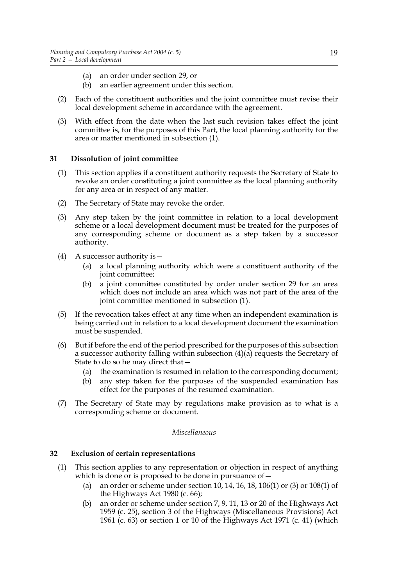- (a) an order under section 29, or
- (b) an earlier agreement under this section.
- (2) Each of the constituent authorities and the joint committee must revise their local development scheme in accordance with the agreement.
- (3) With effect from the date when the last such revision takes effect the joint committee is, for the purposes of this Part, the local planning authority for the area or matter mentioned in subsection (1).

## **31 Dissolution of joint committee**

- (1) This section applies if a constituent authority requests the Secretary of State to revoke an order constituting a joint committee as the local planning authority for any area or in respect of any matter.
- (2) The Secretary of State may revoke the order.
- (3) Any step taken by the joint committee in relation to a local development scheme or a local development document must be treated for the purposes of any corresponding scheme or document as a step taken by a successor authority.
- (4) A successor authority is  $-$ 
	- (a) a local planning authority which were a constituent authority of the joint committee;
	- (b) a joint committee constituted by order under section 29 for an area which does not include an area which was not part of the area of the joint committee mentioned in subsection (1).
- (5) If the revocation takes effect at any time when an independent examination is being carried out in relation to a local development document the examination must be suspended.
- (6) But if before the end of the period prescribed for the purposes of this subsection a successor authority falling within subsection  $(4)(a)$  requests the Secretary of State to do so he may direct that—
	- (a) the examination is resumed in relation to the corresponding document;
	- (b) any step taken for the purposes of the suspended examination has effect for the purposes of the resumed examination.
- (7) The Secretary of State may by regulations make provision as to what is a corresponding scheme or document.

#### *Miscellaneous*

## **32 Exclusion of certain representations**

- (1) This section applies to any representation or objection in respect of anything which is done or is proposed to be done in pursuance of  $-$ 
	- (a) an order or scheme under section 10, 14, 16, 18, 106(1) or (3) or 108(1) of the Highways Act 1980 (c. 66);
	- (b) an order or scheme under section 7, 9, 11, 13 or 20 of the Highways Act 1959 (c. 25), section 3 of the Highways (Miscellaneous Provisions) Act 1961 (c. 63) or section 1 or 10 of the Highways Act 1971 (c. 41) (which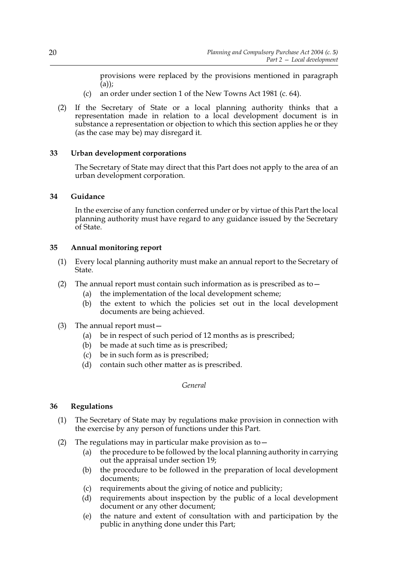provisions were replaced by the provisions mentioned in paragraph (a));

- (c) an order under section 1 of the New Towns Act 1981 (c. 64).
- (2) If the Secretary of State or a local planning authority thinks that a representation made in relation to a local development document is in substance a representation or objection to which this section applies he or they (as the case may be) may disregard it.

## **33 Urban development corporations**

The Secretary of State may direct that this Part does not apply to the area of an urban development corporation.

## **34 Guidance**

In the exercise of any function conferred under or by virtue of this Part the local planning authority must have regard to any guidance issued by the Secretary of State.

## **35 Annual monitoring report**

- (1) Every local planning authority must make an annual report to the Secretary of State.
- (2) The annual report must contain such information as is prescribed as to  $-$ 
	- (a) the implementation of the local development scheme;
	- (b) the extent to which the policies set out in the local development documents are being achieved.
- (3) The annual report must—
	- (a) be in respect of such period of 12 months as is prescribed;
	- (b) be made at such time as is prescribed;
	- (c) be in such form as is prescribed;
	- (d) contain such other matter as is prescribed.

*General*

## **36 Regulations**

- (1) The Secretary of State may by regulations make provision in connection with the exercise by any person of functions under this Part.
- (2) The regulations may in particular make provision as to  $-$ 
	- (a) the procedure to be followed by the local planning authority in carrying out the appraisal under section 19;
	- (b) the procedure to be followed in the preparation of local development documents;
	- (c) requirements about the giving of notice and publicity;
	- (d) requirements about inspection by the public of a local development document or any other document;
	- (e) the nature and extent of consultation with and participation by the public in anything done under this Part;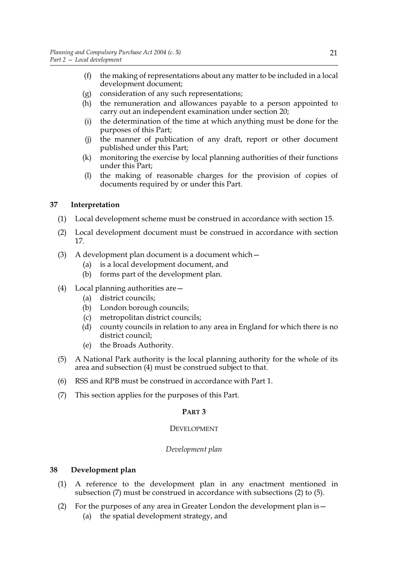- (f) the making of representations about any matter to be included in a local development document;
- (g) consideration of any such representations;
- (h) the remuneration and allowances payable to a person appointed to carry out an independent examination under section 20;
- (i) the determination of the time at which anything must be done for the purposes of this Part;
- (j) the manner of publication of any draft, report or other document published under this Part;
- (k) monitoring the exercise by local planning authorities of their functions under this Part;
- (l) the making of reasonable charges for the provision of copies of documents required by or under this Part.

## **37 Interpretation**

- (1) Local development scheme must be construed in accordance with section 15.
- (2) Local development document must be construed in accordance with section 17.
- (3) A development plan document is a document which—
	- (a) is a local development document, and
	- (b) forms part of the development plan.
- (4) Local planning authorities are—
	- (a) district councils;
	- (b) London borough councils;
	- (c) metropolitan district councils;
	- (d) county councils in relation to any area in England for which there is no district council;
	- (e) the Broads Authority.
- (5) A National Park authority is the local planning authority for the whole of its area and subsection (4) must be construed subject to that.
- (6) RSS and RPB must be construed in accordance with Part 1.
- (7) This section applies for the purposes of this Part.

## **PART 3**

## DEVELOPMENT

## *Development plan*

## **38 Development plan**

- (1) A reference to the development plan in any enactment mentioned in subsection (7) must be construed in accordance with subsections (2) to (5).
- (2) For the purposes of any area in Greater London the development plan is—
	- (a) the spatial development strategy, and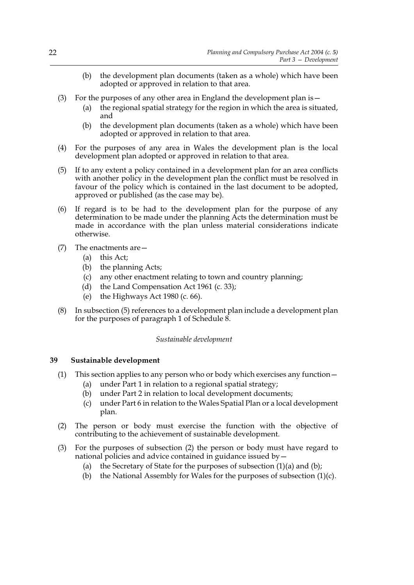- (b) the development plan documents (taken as a whole) which have been adopted or approved in relation to that area.
- (3) For the purposes of any other area in England the development plan is—
	- (a) the regional spatial strategy for the region in which the area is situated, and
	- (b) the development plan documents (taken as a whole) which have been adopted or approved in relation to that area.
- (4) For the purposes of any area in Wales the development plan is the local development plan adopted or approved in relation to that area.
- (5) If to any extent a policy contained in a development plan for an area conflicts with another policy in the development plan the conflict must be resolved in favour of the policy which is contained in the last document to be adopted, approved or published (as the case may be).
- (6) If regard is to be had to the development plan for the purpose of any determination to be made under the planning Acts the determination must be made in accordance with the plan unless material considerations indicate otherwise.
- (7) The enactments are—
	- (a) this Act;
	- (b) the planning Acts;
	- (c) any other enactment relating to town and country planning;
	- (d) the Land Compensation Act 1961 (c. 33);
	- (e) the Highways Act 1980 (c. 66).
- (8) In subsection (5) references to a development plan include a development plan for the purposes of paragraph 1 of Schedule 8.

## *Sustainable development*

## **39 Sustainable development**

- (1) This section applies to any person who or body which exercises any function—
	- (a) under Part 1 in relation to a regional spatial strategy;
	- (b) under Part 2 in relation to local development documents;
	- (c) under Part 6 in relation to the Wales Spatial Plan or a local development plan.
- (2) The person or body must exercise the function with the objective of contributing to the achievement of sustainable development.
- (3) For the purposes of subsection (2) the person or body must have regard to national policies and advice contained in guidance issued by—
	- (a) the Secretary of State for the purposes of subsection  $(1)(a)$  and  $(b)$ ;
	- (b) the National Assembly for Wales for the purposes of subsection  $(1)(c)$ .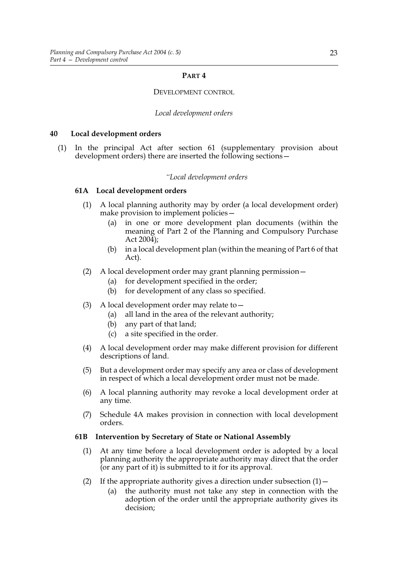#### **PART 4**

#### DEVELOPMENT CONTROL

#### *Local development orders*

#### **40 Local development orders**

(1) In the principal Act after section 61 (supplementary provision about development orders) there are inserted the following sections—

#### *"Local development orders*

## **61A Local development orders**

- (1) A local planning authority may by order (a local development order) make provision to implement policies—
	- (a) in one or more development plan documents (within the meaning of Part 2 of the Planning and Compulsory Purchase Act 2004);
	- (b) in a local development plan (within the meaning of Part 6 of that Act).
- (2) A local development order may grant planning permission—
	- (a) for development specified in the order;
	- (b) for development of any class so specified.
- (3) A local development order may relate to—
	- (a) all land in the area of the relevant authority;
	- (b) any part of that land;
	- (c) a site specified in the order.
- (4) A local development order may make different provision for different descriptions of land.
- (5) But a development order may specify any area or class of development in respect of which a local development order must not be made.
- (6) A local planning authority may revoke a local development order at any time.
- (7) Schedule 4A makes provision in connection with local development orders.

#### **61B Intervention by Secretary of State or National Assembly**

- (1) At any time before a local development order is adopted by a local planning authority the appropriate authority may direct that the order (or any part of it) is submitted to it for its approval.
- (2) If the appropriate authority gives a direction under subsection  $(1)$  -
	- (a) the authority must not take any step in connection with the adoption of the order until the appropriate authority gives its decision;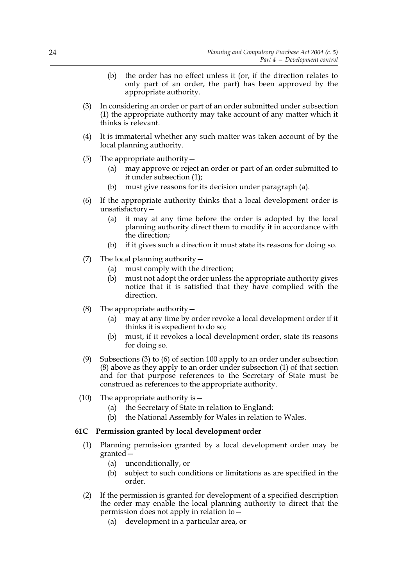- (b) the order has no effect unless it (or, if the direction relates to only part of an order, the part) has been approved by the appropriate authority.
- (3) In considering an order or part of an order submitted under subsection (1) the appropriate authority may take account of any matter which it thinks is relevant.
- (4) It is immaterial whether any such matter was taken account of by the local planning authority.
- (5) The appropriate authority—
	- (a) may approve or reject an order or part of an order submitted to it under subsection (1);
	- (b) must give reasons for its decision under paragraph (a).
- (6) If the appropriate authority thinks that a local development order is unsatisfactory—
	- (a) it may at any time before the order is adopted by the local planning authority direct them to modify it in accordance with the direction;
	- (b) if it gives such a direction it must state its reasons for doing so.
- (7) The local planning authority—
	- (a) must comply with the direction;
	- (b) must not adopt the order unless the appropriate authority gives notice that it is satisfied that they have complied with the direction.
- (8) The appropriate authority  $-$ 
	- (a) may at any time by order revoke a local development order if it thinks it is expedient to do so;
	- (b) must, if it revokes a local development order, state its reasons for doing so.
- (9) Subsections (3) to (6) of section 100 apply to an order under subsection (8) above as they apply to an order under subsection (1) of that section and for that purpose references to the Secretary of State must be construed as references to the appropriate authority.
- (10) The appropriate authority is—
	- (a) the Secretary of State in relation to England;
	- (b) the National Assembly for Wales in relation to Wales.

## **61C Permission granted by local development order**

- (1) Planning permission granted by a local development order may be granted—
	- (a) unconditionally, or
	- (b) subject to such conditions or limitations as are specified in the order.
- (2) If the permission is granted for development of a specified description the order may enable the local planning authority to direct that the permission does not apply in relation to—
	- (a) development in a particular area, or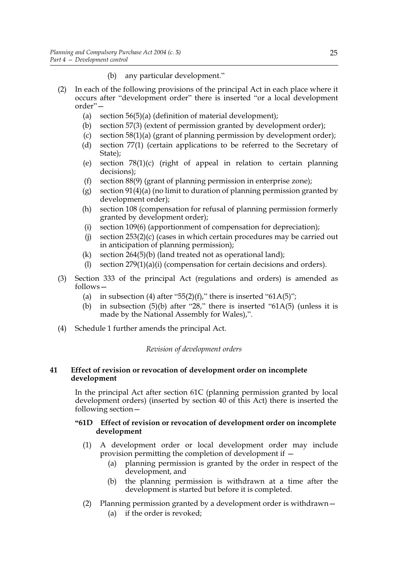- (b) any particular development."
- (2) In each of the following provisions of the principal Act in each place where it occurs after "development order" there is inserted "or a local development order"—
	- (a) section 56(5)(a) (definition of material development);
	- (b) section 57(3) (extent of permission granted by development order);
	- (c) section 58(1)(a) (grant of planning permission by development order);
	- (d) section 77(1) (certain applications to be referred to the Secretary of State);
	- (e) section 78(1)(c) (right of appeal in relation to certain planning decisions);
	- (f) section 88(9) (grant of planning permission in enterprise zone);
	- (g) section 91(4)(a) (no limit to duration of planning permission granted by development order);
	- (h) section 108 (compensation for refusal of planning permission formerly granted by development order);
	- (i) section 109(6) (apportionment of compensation for depreciation);
	- (j) section  $253(2)(c)$  (cases in which certain procedures may be carried out in anticipation of planning permission);
	- (k) section 264(5)(b) (land treated not as operational land);
	- (l) section 279(1)(a)(i) (compensation for certain decisions and orders).
- (3) Section 333 of the principal Act (regulations and orders) is amended as follows—
	- (a) in subsection (4) after "55(2)(f)," there is inserted "61A(5)";
	- (b) in subsection  $(5)(b)$  after "28," there is inserted "61A(5) (unless it is made by the National Assembly for Wales),".
- (4) Schedule 1 further amends the principal Act.

## *Revision of development orders*

## **41 Effect of revision or revocation of development order on incomplete development**

In the principal Act after section 61C (planning permission granted by local development orders) (inserted by section 40 of this Act) there is inserted the following section—

## **"61D Effect of revision or revocation of development order on incomplete development**

- (1) A development order or local development order may include provision permitting the completion of development if —
	- (a) planning permission is granted by the order in respect of the development, and
	- (b) the planning permission is withdrawn at a time after the development is started but before it is completed.
- (2) Planning permission granted by a development order is withdrawn—
	- (a) if the order is revoked;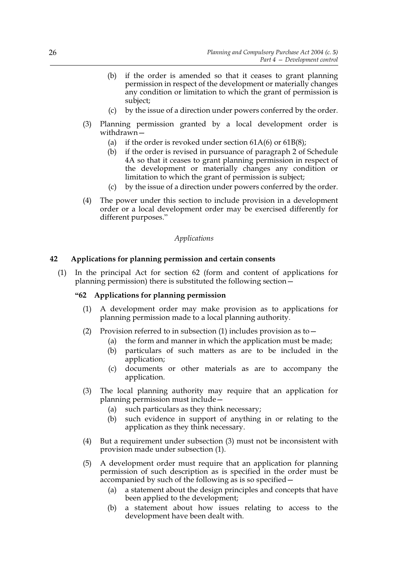- (b) if the order is amended so that it ceases to grant planning permission in respect of the development or materially changes any condition or limitation to which the grant of permission is subject;
- (c) by the issue of a direction under powers conferred by the order.
- (3) Planning permission granted by a local development order is withdrawn—
	- (a) if the order is revoked under section  $61A(6)$  or  $61B(8)$ ;
	- (b) if the order is revised in pursuance of paragraph 2 of Schedule 4A so that it ceases to grant planning permission in respect of the development or materially changes any condition or limitation to which the grant of permission is subject;
	- (c) by the issue of a direction under powers conferred by the order.
- (4) The power under this section to include provision in a development order or a local development order may be exercised differently for different purposes."

## *Applications*

## **42 Applications for planning permission and certain consents**

(1) In the principal Act for section 62 (form and content of applications for planning permission) there is substituted the following section—

## **"62 Applications for planning permission**

- (1) A development order may make provision as to applications for planning permission made to a local planning authority.
- (2) Provision referred to in subsection (1) includes provision as to  $-$ 
	- (a) the form and manner in which the application must be made;
	- (b) particulars of such matters as are to be included in the application;
	- (c) documents or other materials as are to accompany the application.
- (3) The local planning authority may require that an application for planning permission must include—
	- (a) such particulars as they think necessary;
	- (b) such evidence in support of anything in or relating to the application as they think necessary.
- (4) But a requirement under subsection (3) must not be inconsistent with provision made under subsection (1).
- (5) A development order must require that an application for planning permission of such description as is specified in the order must be accompanied by such of the following as is so specified—
	- (a) a statement about the design principles and concepts that have been applied to the development;
	- (b) a statement about how issues relating to access to the development have been dealt with.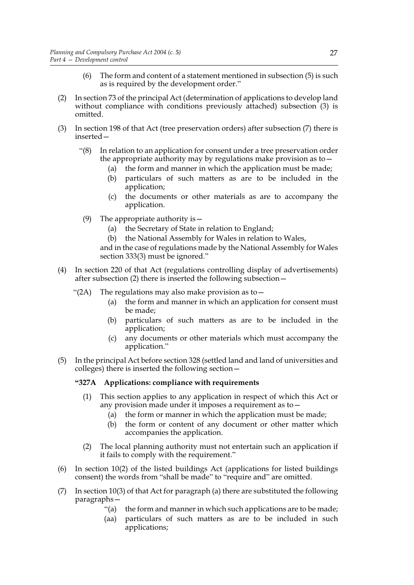- (6) The form and content of a statement mentioned in subsection (5) is such as is required by the development order."
- (2) In section 73 of the principal Act (determination of applications to develop land without compliance with conditions previously attached) subsection (3) is omitted.
- (3) In section 198 of that Act (tree preservation orders) after subsection (7) there is inserted—
	- "(8) In relation to an application for consent under a tree preservation order the appropriate authority may by regulations make provision as to—
		- (a) the form and manner in which the application must be made;
		- (b) particulars of such matters as are to be included in the application;
		- (c) the documents or other materials as are to accompany the application.
		- (9) The appropriate authority is—
			- (a) the Secretary of State in relation to England;
			- (b) the National Assembly for Wales in relation to Wales,

and in the case of regulations made by the National Assembly for Wales section 333(3) must be ignored."

- (4) In section 220 of that Act (regulations controlling display of advertisements) after subsection (2) there is inserted the following subsection—
	- "(2A) The regulations may also make provision as to  $-$ 
		- (a) the form and manner in which an application for consent must be made;
		- (b) particulars of such matters as are to be included in the application;
		- (c) any documents or other materials which must accompany the application."
- (5) In the principal Act before section 328 (settled land and land of universities and colleges) there is inserted the following section—

#### **"327A Applications: compliance with requirements**

- (1) This section applies to any application in respect of which this Act or any provision made under it imposes a requirement as to—
	- (a) the form or manner in which the application must be made;
	- (b) the form or content of any document or other matter which accompanies the application.
- (2) The local planning authority must not entertain such an application if it fails to comply with the requirement."
- (6) In section 10(2) of the listed buildings Act (applications for listed buildings consent) the words from "shall be made" to "require and" are omitted.
- (7) In section 10(3) of that Act for paragraph (a) there are substituted the following paragraphs—
	- "(a) the form and manner in which such applications are to be made;
	- (aa) particulars of such matters as are to be included in such applications;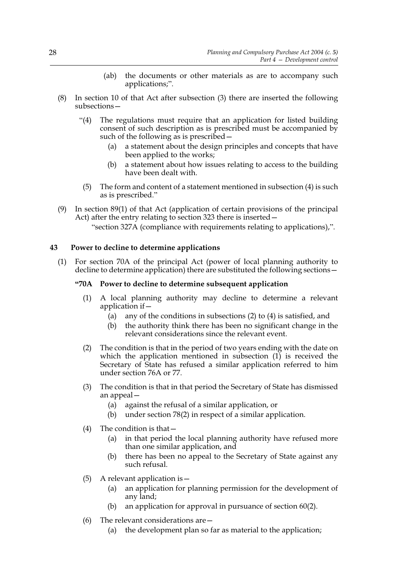- (ab) the documents or other materials as are to accompany such applications;".
- (8) In section 10 of that Act after subsection (3) there are inserted the following subsections—
	- "(4) The regulations must require that an application for listed building consent of such description as is prescribed must be accompanied by such of the following as is prescribed—
		- (a) a statement about the design principles and concepts that have been applied to the works;
		- (b) a statement about how issues relating to access to the building have been dealt with.
		- (5) The form and content of a statement mentioned in subsection (4) is such as is prescribed."
- (9) In section 89(1) of that Act (application of certain provisions of the principal Act) after the entry relating to section 323 there is inserted—

"section 327A (compliance with requirements relating to applications),".

## **43 Power to decline to determine applications**

(1) For section 70A of the principal Act (power of local planning authority to decline to determine application) there are substituted the following sections—

## **"70A Power to decline to determine subsequent application**

- (1) A local planning authority may decline to determine a relevant application if—
	- (a) any of the conditions in subsections (2) to (4) is satisfied, and
	- (b) the authority think there has been no significant change in the relevant considerations since the relevant event.
- (2) The condition is that in the period of two years ending with the date on which the application mentioned in subsection (1) is received the Secretary of State has refused a similar application referred to him under section 76A or 77.
- (3) The condition is that in that period the Secretary of State has dismissed an appeal—
	- (a) against the refusal of a similar application, or
	- (b) under section 78(2) in respect of a similar application.
- (4) The condition is that—
	- (a) in that period the local planning authority have refused more than one similar application, and
	- (b) there has been no appeal to the Secretary of State against any such refusal.
- (5) A relevant application is  $-$ 
	- (a) an application for planning permission for the development of any land;
	- (b) an application for approval in pursuance of section 60(2).
- (6) The relevant considerations are—
	- (a) the development plan so far as material to the application;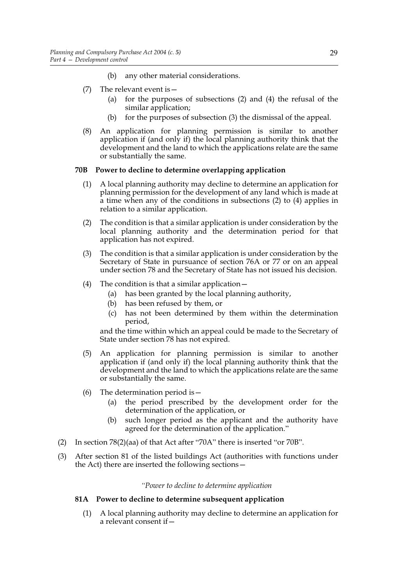- (b) any other material considerations.
- (7) The relevant event is—
	- (a) for the purposes of subsections (2) and (4) the refusal of the similar application;
	- (b) for the purposes of subsection (3) the dismissal of the appeal.
- (8) An application for planning permission is similar to another application if (and only if) the local planning authority think that the development and the land to which the applications relate are the same or substantially the same.

## **70B Power to decline to determine overlapping application**

- (1) A local planning authority may decline to determine an application for planning permission for the development of any land which is made at a time when any of the conditions in subsections (2) to (4) applies in relation to a similar application.
- (2) The condition is that a similar application is under consideration by the local planning authority and the determination period for that application has not expired.
- (3) The condition is that a similar application is under consideration by the Secretary of State in pursuance of section 76A or 77 or on an appeal under section 78 and the Secretary of State has not issued his decision.
- (4) The condition is that a similar application—
	- (a) has been granted by the local planning authority,
	- (b) has been refused by them, or
	- (c) has not been determined by them within the determination period,

and the time within which an appeal could be made to the Secretary of State under section 78 has not expired.

- (5) An application for planning permission is similar to another application if (and only if) the local planning authority think that the development and the land to which the applications relate are the same or substantially the same.
- (6) The determination period is  $-$ 
	- (a) the period prescribed by the development order for the determination of the application, or
	- (b) such longer period as the applicant and the authority have agreed for the determination of the application."
- (2) In section 78(2)(aa) of that Act after "70A" there is inserted "or 70B".
- (3) After section 81 of the listed buildings Act (authorities with functions under the Act) there are inserted the following sections—

## *"Power to decline to determine application*

## **81A Power to decline to determine subsequent application**

(1) A local planning authority may decline to determine an application for a relevant consent if—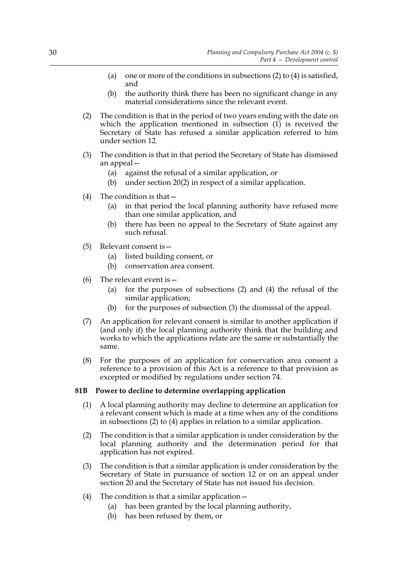- (a) one or more of the conditions in subsections  $(2)$  to  $(4)$  is satisfied, and
- (b) the authority think there has been no significant change in any material considerations since the relevant event.
- (2) The condition is that in the period of two years ending with the date on which the application mentioned in subsection  $(1)$  is received the Secretary of State has refused a similar application referred to him under section 12.
- (3) The condition is that in that period the Secretary of State has dismissed an appeal—
	- (a) against the refusal of a similar application, or
	- (b) under section 20(2) in respect of a similar application.
- (4) The condition is that—
	- (a) in that period the local planning authority have refused more than one similar application, and
	- (b) there has been no appeal to the Secretary of State against any such refusal.
- (5) Relevant consent is—
	- (a) listed building consent, or
	- (b) conservation area consent.
- (6) The relevant event is  $-$ 
	- (a) for the purposes of subsections (2) and (4) the refusal of the similar application;
	- (b) for the purposes of subsection (3) the dismissal of the appeal.
- (7) An application for relevant consent is similar to another application if (and only if) the local planning authority think that the building and works to which the applications relate are the same or substantially the same.
- (8) For the purposes of an application for conservation area consent a reference to a provision of this Act is a reference to that provision as excepted or modified by regulations under section 74.

# **81B Power to decline to determine overlapping application**

- (1) A local planning authority may decline to determine an application for a relevant consent which is made at a time when any of the conditions in subsections (2) to (4) applies in relation to a similar application.
- (2) The condition is that a similar application is under consideration by the local planning authority and the determination period for that application has not expired.
- (3) The condition is that a similar application is under consideration by the Secretary of State in pursuance of section 12 or on an appeal under section 20 and the Secretary of State has not issued his decision.
- (4) The condition is that a similar application—
	- (a) has been granted by the local planning authority,
	- (b) has been refused by them, or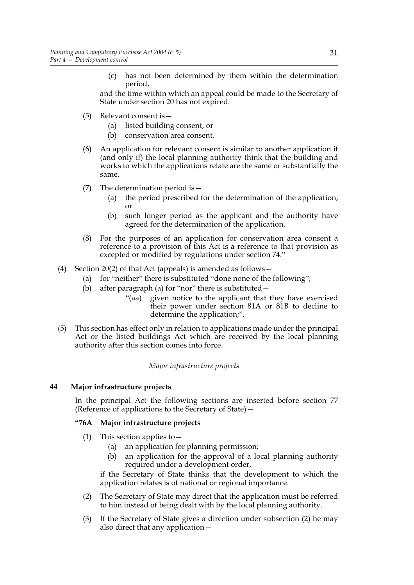(c) has not been determined by them within the determination period,

and the time within which an appeal could be made to the Secretary of State under section 20 has not expired.

- (5) Relevant consent is—
	- (a) listed building consent, or
	- (b) conservation area consent.
- (6) An application for relevant consent is similar to another application if (and only if) the local planning authority think that the building and works to which the applications relate are the same or substantially the same.
- (7) The determination period is—
	- (a) the period prescribed for the determination of the application, or
	- (b) such longer period as the applicant and the authority have agreed for the determination of the application.
- (8) For the purposes of an application for conservation area consent a reference to a provision of this Act is a reference to that provision as excepted or modified by regulations under section 74."
- (4) Section 20(2) of that Act (appeals) is amended as follows—
	- (a) for "neither" there is substituted "done none of the following";
	- (b) after paragraph (a) for "nor" there is substituted  $-$ 
		- "(aa) given notice to the applicant that they have exercised their power under section 81A or 81B to decline to determine the application;".
- (5) This section has effect only in relation to applications made under the principal Act or the listed buildings Act which are received by the local planning authority after this section comes into force.

*Major infrastructure projects*

# **44 Major infrastructure projects**

In the principal Act the following sections are inserted before section 77 (Reference of applications to the Secretary of State)—

# **"76A Major infrastructure projects**

- (1) This section applies to  $-$ 
	- (a) an application for planning permission;
	- (b) an application for the approval of a local planning authority required under a development order,

if the Secretary of State thinks that the development to which the application relates is of national or regional importance.

- (2) The Secretary of State may direct that the application must be referred to him instead of being dealt with by the local planning authority.
- (3) If the Secretary of State gives a direction under subsection (2) he may also direct that any application—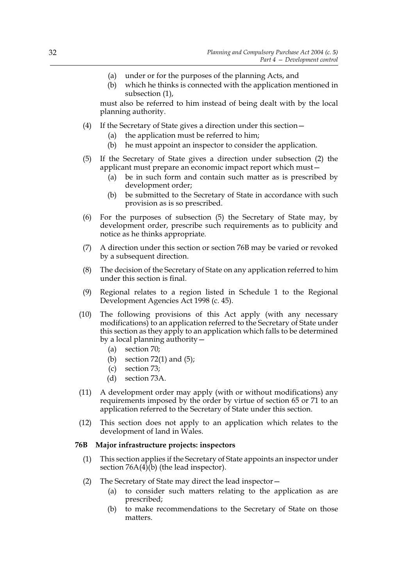- (a) under or for the purposes of the planning Acts, and
- (b) which he thinks is connected with the application mentioned in subsection (1),

must also be referred to him instead of being dealt with by the local planning authority.

- (4) If the Secretary of State gives a direction under this section—
	- (a) the application must be referred to him;
	- (b) he must appoint an inspector to consider the application.
- (5) If the Secretary of State gives a direction under subsection (2) the applicant must prepare an economic impact report which must—
	- (a) be in such form and contain such matter as is prescribed by development order;
	- (b) be submitted to the Secretary of State in accordance with such provision as is so prescribed.
- (6) For the purposes of subsection (5) the Secretary of State may, by development order, prescribe such requirements as to publicity and notice as he thinks appropriate.
- (7) A direction under this section or section 76B may be varied or revoked by a subsequent direction.
- (8) The decision of the Secretary of State on any application referred to him under this section is final.
- (9) Regional relates to a region listed in Schedule 1 to the Regional Development Agencies Act 1998 (c. 45).
- (10) The following provisions of this Act apply (with any necessary modifications) to an application referred to the Secretary of State under this section as they apply to an application which falls to be determined by a local planning authority—
	- (a) section 70;
	- (b) section  $72(1)$  and  $(5)$ ;
	- (c) section 73;
	- (d) section 73A.
- (11) A development order may apply (with or without modifications) any requirements imposed by the order by virtue of section 65 or 71 to an application referred to the Secretary of State under this section.
- (12) This section does not apply to an application which relates to the development of land in Wales.

# **76B Major infrastructure projects: inspectors**

- (1) This section applies if the Secretary of State appoints an inspector under section  $76A(4)$ (b) (the lead inspector).
- (2) The Secretary of State may direct the lead inspector—
	- (a) to consider such matters relating to the application as are prescribed;
	- (b) to make recommendations to the Secretary of State on those matters.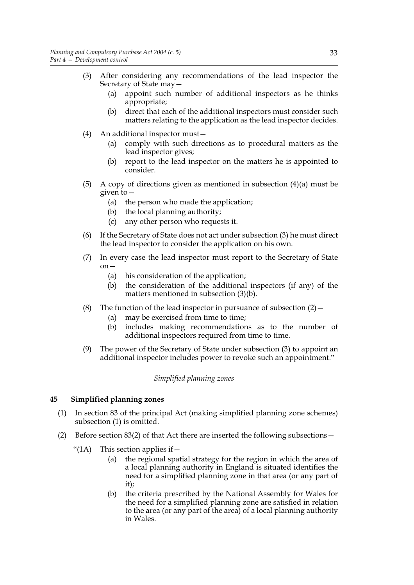- (3) After considering any recommendations of the lead inspector the Secretary of State may—
	- (a) appoint such number of additional inspectors as he thinks appropriate;
	- (b) direct that each of the additional inspectors must consider such matters relating to the application as the lead inspector decides.
- (4) An additional inspector must—
	- (a) comply with such directions as to procedural matters as the lead inspector gives;
	- (b) report to the lead inspector on the matters he is appointed to consider.
- (5) A copy of directions given as mentioned in subsection (4)(a) must be given to—
	- (a) the person who made the application;
	- (b) the local planning authority;
	- (c) any other person who requests it.
- (6) If the Secretary of State does not act under subsection (3) he must direct the lead inspector to consider the application on his own.
- (7) In every case the lead inspector must report to the Secretary of State  $\alpha$ n $-$ 
	- (a) his consideration of the application;
	- (b) the consideration of the additional inspectors (if any) of the matters mentioned in subsection (3)(b).
- (8) The function of the lead inspector in pursuance of subsection  $(2)$ 
	- (a) may be exercised from time to time;
	- (b) includes making recommendations as to the number of additional inspectors required from time to time.
- (9) The power of the Secretary of State under subsection (3) to appoint an additional inspector includes power to revoke such an appointment."

# *Simplified planning zones*

# **45 Simplified planning zones**

- (1) In section 83 of the principal Act (making simplified planning zone schemes) subsection (1) is omitted.
- (2) Before section 83(2) of that Act there are inserted the following subsections—
	- "(1A) This section applies if  $-$ 
		- (a) the regional spatial strategy for the region in which the area of a local planning authority in England is situated identifies the need for a simplified planning zone in that area (or any part of it);
		- (b) the criteria prescribed by the National Assembly for Wales for the need for a simplified planning zone are satisfied in relation to the area (or any part of the area) of a local planning authority in Wales.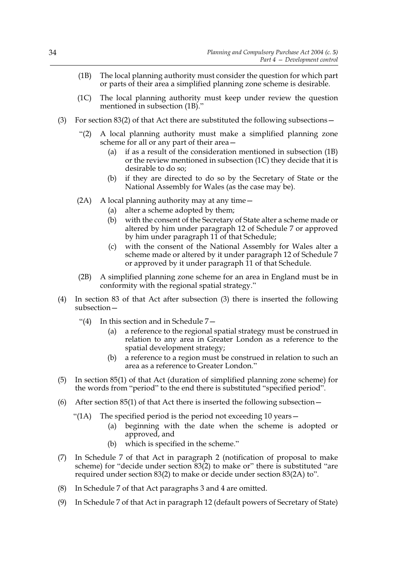- (1B) The local planning authority must consider the question for which part or parts of their area a simplified planning zone scheme is desirable.
- (1C) The local planning authority must keep under review the question mentioned in subsection (1B)."
- (3) For section 83(2) of that Act there are substituted the following subsections—
	- "(2) A local planning authority must make a simplified planning zone scheme for all or any part of their area—
		- (a) if as a result of the consideration mentioned in subsection (1B) or the review mentioned in subsection (1C) they decide that it is desirable to do so;
		- (b) if they are directed to do so by the Secretary of State or the National Assembly for Wales (as the case may be).
	- (2A) A local planning authority may at any time—
		- (a) alter a scheme adopted by them;
		- (b) with the consent of the Secretary of State alter a scheme made or altered by him under paragraph 12 of Schedule 7 or approved by him under paragraph 11 of that Schedule;
		- (c) with the consent of the National Assembly for Wales alter a scheme made or altered by it under paragraph 12 of Schedule 7 or approved by it under paragraph 11 of that Schedule.
	- (2B) A simplified planning zone scheme for an area in England must be in conformity with the regional spatial strategy."
- (4) In section 83 of that Act after subsection (3) there is inserted the following subsection—
	- "(4) In this section and in Schedule 7—
		- (a) a reference to the regional spatial strategy must be construed in relation to any area in Greater London as a reference to the spatial development strategy;
		- (b) a reference to a region must be construed in relation to such an area as a reference to Greater London."
- (5) In section 85(1) of that Act (duration of simplified planning zone scheme) for the words from "period" to the end there is substituted "specified period".
- (6) After section  $85(1)$  of that Act there is inserted the following subsection
	- "(1A) The specified period is the period not exceeding 10 years  $-$ 
		- (a) beginning with the date when the scheme is adopted or approved, and
		- (b) which is specified in the scheme."
- (7) In Schedule 7 of that Act in paragraph 2 (notification of proposal to make scheme) for "decide under section 83(2) to make or" there is substituted "are required under section 83(2) to make or decide under section 83(2A) to".
- (8) In Schedule 7 of that Act paragraphs 3 and 4 are omitted.
- (9) In Schedule 7 of that Act in paragraph 12 (default powers of Secretary of State)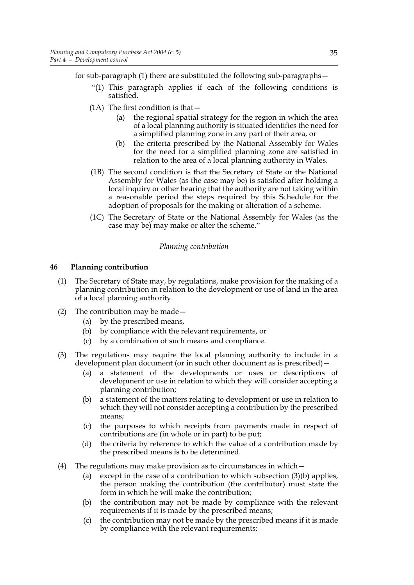for sub-paragraph (1) there are substituted the following sub-paragraphs—

- "(1) This paragraph applies if each of the following conditions is satisfied.
- $(1A)$  The first condition is that  $-$ 
	- (a) the regional spatial strategy for the region in which the area of a local planning authority is situated identifies the need for a simplified planning zone in any part of their area, or
	- (b) the criteria prescribed by the National Assembly for Wales for the need for a simplified planning zone are satisfied in relation to the area of a local planning authority in Wales.
- (1B) The second condition is that the Secretary of State or the National Assembly for Wales (as the case may be) is satisfied after holding a local inquiry or other hearing that the authority are not taking within a reasonable period the steps required by this Schedule for the adoption of proposals for the making or alteration of a scheme.
- (1C) The Secretary of State or the National Assembly for Wales (as the case may be) may make or alter the scheme."

### *Planning contribution*

#### **46 Planning contribution**

- (1) The Secretary of State may, by regulations, make provision for the making of a planning contribution in relation to the development or use of land in the area of a local planning authority.
- (2) The contribution may be made—
	- (a) by the prescribed means,
	- (b) by compliance with the relevant requirements, or
	- (c) by a combination of such means and compliance.
- (3) The regulations may require the local planning authority to include in a development plan document (or in such other document as is prescribed)—
	- (a) a statement of the developments or uses or descriptions of development or use in relation to which they will consider accepting a planning contribution;
	- (b) a statement of the matters relating to development or use in relation to which they will not consider accepting a contribution by the prescribed means;
	- (c) the purposes to which receipts from payments made in respect of contributions are (in whole or in part) to be put;
	- (d) the criteria by reference to which the value of a contribution made by the prescribed means is to be determined.
- (4) The regulations may make provision as to circumstances in which—
	- (a) except in the case of a contribution to which subsection (3)(b) applies, the person making the contribution (the contributor) must state the form in which he will make the contribution;
	- (b) the contribution may not be made by compliance with the relevant requirements if it is made by the prescribed means;
	- (c) the contribution may not be made by the prescribed means if it is made by compliance with the relevant requirements;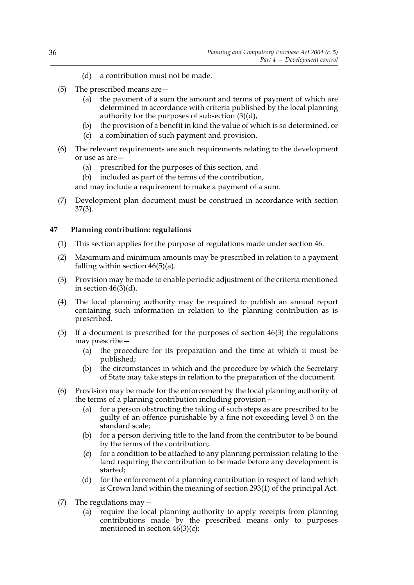- (d) a contribution must not be made.
- (5) The prescribed means are—
	- (a) the payment of a sum the amount and terms of payment of which are determined in accordance with criteria published by the local planning authority for the purposes of subsection (3)(d),
	- (b) the provision of a benefit in kind the value of which is so determined, or
	- (c) a combination of such payment and provision.
- (6) The relevant requirements are such requirements relating to the development or use as are—
	- (a) prescribed for the purposes of this section, and
	- (b) included as part of the terms of the contribution,

and may include a requirement to make a payment of a sum.

(7) Development plan document must be construed in accordance with section 37(3).

# **47 Planning contribution: regulations**

- (1) This section applies for the purpose of regulations made under section 46.
- (2) Maximum and minimum amounts may be prescribed in relation to a payment falling within section  $46(5)(a)$ .
- (3) Provision may be made to enable periodic adjustment of the criteria mentioned in section  $46(3)(d)$ .
- (4) The local planning authority may be required to publish an annual report containing such information in relation to the planning contribution as is prescribed.
- (5) If a document is prescribed for the purposes of section 46(3) the regulations may prescribe—
	- (a) the procedure for its preparation and the time at which it must be published;
	- (b) the circumstances in which and the procedure by which the Secretary of State may take steps in relation to the preparation of the document.
- (6) Provision may be made for the enforcement by the local planning authority of the terms of a planning contribution including provision—
	- (a) for a person obstructing the taking of such steps as are prescribed to be guilty of an offence punishable by a fine not exceeding level 3 on the standard scale;
	- (b) for a person deriving title to the land from the contributor to be bound by the terms of the contribution;
	- (c) for a condition to be attached to any planning permission relating to the land requiring the contribution to be made before any development is started;
	- (d) for the enforcement of a planning contribution in respect of land which is Crown land within the meaning of section 293(1) of the principal Act.
- (7) The regulations may—
	- (a) require the local planning authority to apply receipts from planning contributions made by the prescribed means only to purposes mentioned in section  $46(3)(c)$ ;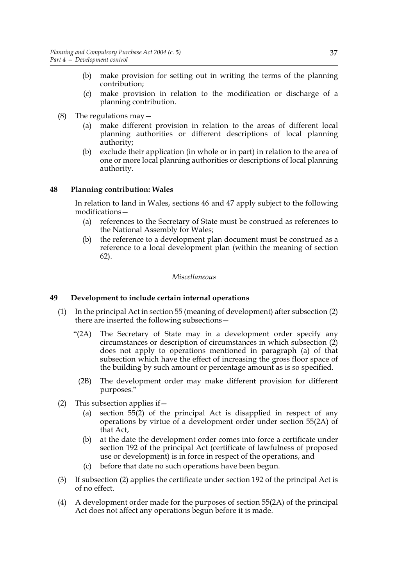- (b) make provision for setting out in writing the terms of the planning contribution;
- (c) make provision in relation to the modification or discharge of a planning contribution.
- (8) The regulations may  $-$ 
	- (a) make different provision in relation to the areas of different local planning authorities or different descriptions of local planning authority;
	- (b) exclude their application (in whole or in part) in relation to the area of one or more local planning authorities or descriptions of local planning authority.

### **48 Planning contribution: Wales**

In relation to land in Wales, sections 46 and 47 apply subject to the following modifications—

- (a) references to the Secretary of State must be construed as references to the National Assembly for Wales;
- (b) the reference to a development plan document must be construed as a reference to a local development plan (within the meaning of section 62).

#### *Miscellaneous*

### **49 Development to include certain internal operations**

- (1) In the principal Act in section 55 (meaning of development) after subsection (2) there are inserted the following subsections—
	- "(2A) The Secretary of State may in a development order specify any circumstances or description of circumstances in which subsection (2) does not apply to operations mentioned in paragraph (a) of that subsection which have the effect of increasing the gross floor space of the building by such amount or percentage amount as is so specified.
		- (2B) The development order may make different provision for different purposes."
- (2) This subsection applies if  $-$ 
	- (a) section 55(2) of the principal Act is disapplied in respect of any operations by virtue of a development order under section 55(2A) of that Act,
	- (b) at the date the development order comes into force a certificate under section 192 of the principal Act (certificate of lawfulness of proposed use or development) is in force in respect of the operations, and
	- before that date no such operations have been begun.
- (3) If subsection (2) applies the certificate under section 192 of the principal Act is of no effect.
- (4) A development order made for the purposes of section 55(2A) of the principal Act does not affect any operations begun before it is made.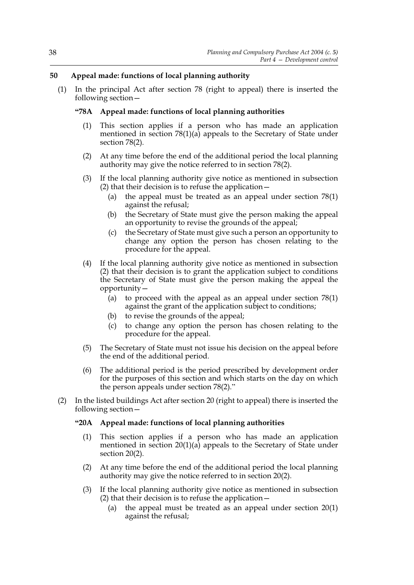# **50 Appeal made: functions of local planning authority**

(1) In the principal Act after section 78 (right to appeal) there is inserted the following section—

# **"78A Appeal made: functions of local planning authorities**

- (1) This section applies if a person who has made an application mentioned in section 78(1)(a) appeals to the Secretary of State under section 78(2).
- (2) At any time before the end of the additional period the local planning authority may give the notice referred to in section 78(2).
- (3) If the local planning authority give notice as mentioned in subsection (2) that their decision is to refuse the application—
	- (a) the appeal must be treated as an appeal under section 78(1) against the refusal;
	- (b) the Secretary of State must give the person making the appeal an opportunity to revise the grounds of the appeal;
	- (c) the Secretary of State must give such a person an opportunity to change any option the person has chosen relating to the procedure for the appeal.
- (4) If the local planning authority give notice as mentioned in subsection (2) that their decision is to grant the application subject to conditions the Secretary of State must give the person making the appeal the opportunity—
	- (a) to proceed with the appeal as an appeal under section 78(1) against the grant of the application subject to conditions;
	- (b) to revise the grounds of the appeal;
	- (c) to change any option the person has chosen relating to the procedure for the appeal.
- (5) The Secretary of State must not issue his decision on the appeal before the end of the additional period.
- (6) The additional period is the period prescribed by development order for the purposes of this section and which starts on the day on which the person appeals under section 78(2)."
- (2) In the listed buildings Act after section 20 (right to appeal) there is inserted the following section—

# **"20A Appeal made: functions of local planning authorities**

- (1) This section applies if a person who has made an application mentioned in section  $20(1)(a)$  appeals to the Secretary of State under section 20(2).
- (2) At any time before the end of the additional period the local planning authority may give the notice referred to in section 20(2).
- (3) If the local planning authority give notice as mentioned in subsection (2) that their decision is to refuse the application—
	- (a) the appeal must be treated as an appeal under section 20(1) against the refusal;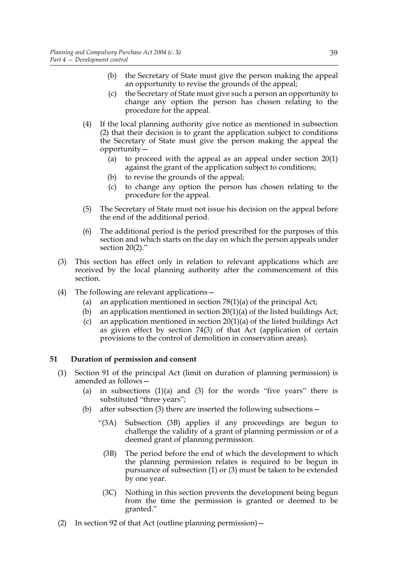- (b) the Secretary of State must give the person making the appeal an opportunity to revise the grounds of the appeal;
- (c) the Secretary of State must give such a person an opportunity to change any option the person has chosen relating to the procedure for the appeal.
- (4) If the local planning authority give notice as mentioned in subsection (2) that their decision is to grant the application subject to conditions the Secretary of State must give the person making the appeal the opportunity—
	- (a) to proceed with the appeal as an appeal under section 20(1) against the grant of the application subject to conditions;
	- (b) to revise the grounds of the appeal;
	- (c) to change any option the person has chosen relating to the procedure for the appeal.
- (5) The Secretary of State must not issue his decision on the appeal before the end of the additional period.
- (6) The additional period is the period prescribed for the purposes of this section and which starts on the day on which the person appeals under section 20(2)."
- (3) This section has effect only in relation to relevant applications which are received by the local planning authority after the commencement of this section.
- (4) The following are relevant applications—
	- (a) an application mentioned in section  $78(1)(a)$  of the principal Act;
	- (b) an application mentioned in section  $20(1)(a)$  of the listed buildings Act;
	- (c) an application mentioned in section 20(1)(a) of the listed buildings Act as given effect by section 74(3) of that Act (application of certain provisions to the control of demolition in conservation areas).

# **51 Duration of permission and consent**

- (1) Section 91 of the principal Act (limit on duration of planning permission) is amended as follows—
	- (a) in subsections  $(1)(a)$  and  $(3)$  for the words "five years" there is substituted "three years";
	- (b) after subsection (3) there are inserted the following subsections  $-$ 
		- "(3A) Subsection (3B) applies if any proceedings are begun to challenge the validity of a grant of planning permission or of a deemed grant of planning permission.
			- (3B) The period before the end of which the development to which the planning permission relates is required to be begun in pursuance of subsection (1) or (3) must be taken to be extended by one year.
			- (3C) Nothing in this section prevents the development being begun from the time the permission is granted or deemed to be granted."
- (2) In section 92 of that Act (outline planning permission)  $-$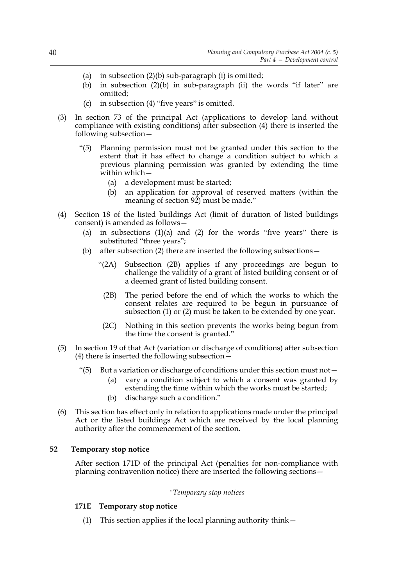- (a) in subsection  $(2)(b)$  sub-paragraph  $(i)$  is omitted;
- (b) in subsection (2)(b) in sub-paragraph (ii) the words "if later" are omitted;
- (c) in subsection (4) "five years" is omitted.
- (3) In section 73 of the principal Act (applications to develop land without compliance with existing conditions) after subsection (4) there is inserted the following subsection—
	- "(5) Planning permission must not be granted under this section to the extent that it has effect to change a condition subject to which a previous planning permission was granted by extending the time within which—
		- (a) a development must be started;
		- (b) an application for approval of reserved matters (within the meaning of section 92) must be made."
- (4) Section 18 of the listed buildings Act (limit of duration of listed buildings consent) is amended as follows—
	- (a) in subsections  $(1)(a)$  and  $(2)$  for the words "five years" there is substituted "three years";
	- (b) after subsection (2) there are inserted the following subsections—
		- "(2A) Subsection (2B) applies if any proceedings are begun to challenge the validity of a grant of listed building consent or of a deemed grant of listed building consent.
			- (2B) The period before the end of which the works to which the consent relates are required to be begun in pursuance of subsection (1) or (2) must be taken to be extended by one year.
		- (2C) Nothing in this section prevents the works being begun from the time the consent is granted."
- (5) In section 19 of that Act (variation or discharge of conditions) after subsection (4) there is inserted the following subsection—
	- "(5) But a variation or discharge of conditions under this section must not  $-$ 
		- (a) vary a condition subject to which a consent was granted by extending the time within which the works must be started;
		- (b) discharge such a condition."
- (6) This section has effect only in relation to applications made under the principal Act or the listed buildings Act which are received by the local planning authority after the commencement of the section.

# **52 Temporary stop notice**

After section 171D of the principal Act (penalties for non-compliance with planning contravention notice) there are inserted the following sections—

# *"Temporary stop notices*

# **171E Temporary stop notice**

(1) This section applies if the local planning authority think—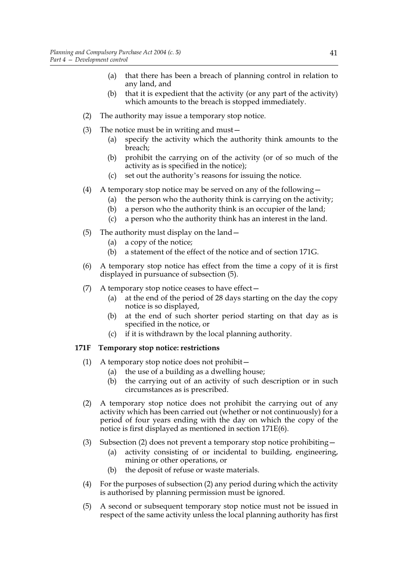- (a) that there has been a breach of planning control in relation to any land, and
- (b) that it is expedient that the activity (or any part of the activity) which amounts to the breach is stopped immediately.
- (2) The authority may issue a temporary stop notice.
- (3) The notice must be in writing and must—
	- (a) specify the activity which the authority think amounts to the breach;
	- (b) prohibit the carrying on of the activity (or of so much of the activity as is specified in the notice);
	- (c) set out the authority's reasons for issuing the notice.
- (4) A temporary stop notice may be served on any of the following  $-$ 
	- (a) the person who the authority think is carrying on the activity;
	- (b) a person who the authority think is an occupier of the land;
	- (c) a person who the authority think has an interest in the land.
- (5) The authority must display on the land—
	- (a) a copy of the notice;
	- (b) a statement of the effect of the notice and of section 171G.
- (6) A temporary stop notice has effect from the time a copy of it is first displayed in pursuance of subsection (5).
- (7) A temporary stop notice ceases to have effect—
	- (a) at the end of the period of 28 days starting on the day the copy notice is so displayed,
	- (b) at the end of such shorter period starting on that day as is specified in the notice, or
	- (c) if it is withdrawn by the local planning authority.

# **171F Temporary stop notice: restrictions**

- (1) A temporary stop notice does not prohibit—
	- (a) the use of a building as a dwelling house;
	- (b) the carrying out of an activity of such description or in such circumstances as is prescribed.
- (2) A temporary stop notice does not prohibit the carrying out of any activity which has been carried out (whether or not continuously) for a period of four years ending with the day on which the copy of the notice is first displayed as mentioned in section 171E(6).
- (3) Subsection (2) does not prevent a temporary stop notice prohibiting—
	- (a) activity consisting of or incidental to building, engineering, mining or other operations, or
	- (b) the deposit of refuse or waste materials.
- (4) For the purposes of subsection (2) any period during which the activity is authorised by planning permission must be ignored.
- (5) A second or subsequent temporary stop notice must not be issued in respect of the same activity unless the local planning authority has first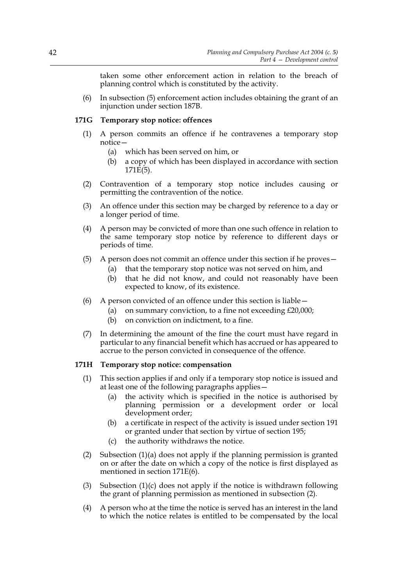taken some other enforcement action in relation to the breach of planning control which is constituted by the activity.

(6) In subsection (5) enforcement action includes obtaining the grant of an injunction under section 187B.

# **171G Temporary stop notice: offences**

- (1) A person commits an offence if he contravenes a temporary stop notice—
	- (a) which has been served on him, or
	- (b) a copy of which has been displayed in accordance with section  $171E(5)$ .
- (2) Contravention of a temporary stop notice includes causing or permitting the contravention of the notice.
- (3) An offence under this section may be charged by reference to a day or a longer period of time.
- (4) A person may be convicted of more than one such offence in relation to the same temporary stop notice by reference to different days or periods of time.
- (5) A person does not commit an offence under this section if he proves—
	- (a) that the temporary stop notice was not served on him, and
	- (b) that he did not know, and could not reasonably have been expected to know, of its existence.
- (6) A person convicted of an offence under this section is liable—
	- (a) on summary conviction, to a fine not exceeding £20,000;
	- (b) on conviction on indictment, to a fine.
- (7) In determining the amount of the fine the court must have regard in particular to any financial benefit which has accrued or has appeared to accrue to the person convicted in consequence of the offence.

### **171H Temporary stop notice: compensation**

- (1) This section applies if and only if a temporary stop notice is issued and at least one of the following paragraphs applies—
	- (a) the activity which is specified in the notice is authorised by planning permission or a development order or local development order;
	- (b) a certificate in respect of the activity is issued under section 191 or granted under that section by virtue of section 195;
	- (c) the authority withdraws the notice.
- (2) Subsection (1)(a) does not apply if the planning permission is granted on or after the date on which a copy of the notice is first displayed as mentioned in section 171E(6).
- (3) Subsection (1)(c) does not apply if the notice is withdrawn following the grant of planning permission as mentioned in subsection (2).
- (4) A person who at the time the notice is served has an interest in the land to which the notice relates is entitled to be compensated by the local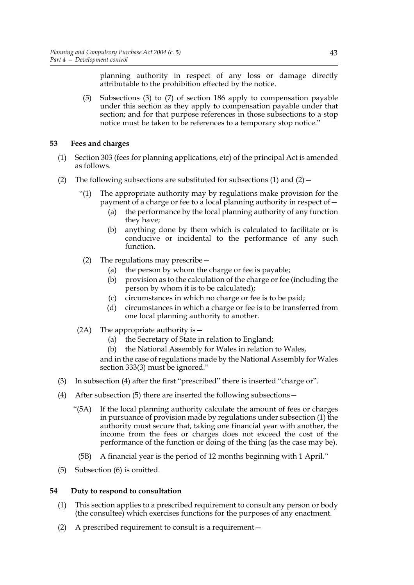planning authority in respect of any loss or damage directly attributable to the prohibition effected by the notice.

(5) Subsections (3) to (7) of section 186 apply to compensation payable under this section as they apply to compensation payable under that section; and for that purpose references in those subsections to a stop notice must be taken to be references to a temporary stop notice."

# **53 Fees and charges**

- (1) Section 303 (fees for planning applications, etc) of the principal Act is amended as follows.
- (2) The following subsections are substituted for subsections (1) and  $(2)$ 
	- "(1) The appropriate authority may by regulations make provision for the payment of a charge or fee to a local planning authority in respect of—
		- (a) the performance by the local planning authority of any function they have;
		- (b) anything done by them which is calculated to facilitate or is conducive or incidental to the performance of any such function.
		- (2) The regulations may prescribe—
			- (a) the person by whom the charge or fee is payable;
			- (b) provision as to the calculation of the charge or fee (including the person by whom it is to be calculated);
			- (c) circumstances in which no charge or fee is to be paid;
			- (d) circumstances in which a charge or fee is to be transferred from one local planning authority to another.
	- (2A) The appropriate authority is—
		- (a) the Secretary of State in relation to England;
		- (b) the National Assembly for Wales in relation to Wales,

and in the case of regulations made by the National Assembly for Wales section 333(3) must be ignored."

- (3) In subsection (4) after the first "prescribed" there is inserted "charge or".
- (4) After subsection (5) there are inserted the following subsections—
	- "(5A) If the local planning authority calculate the amount of fees or charges in pursuance of provision made by regulations under subsection (1) the authority must secure that, taking one financial year with another, the income from the fees or charges does not exceed the cost of the performance of the function or doing of the thing (as the case may be).
		- (5B) A financial year is the period of 12 months beginning with 1 April."
- (5) Subsection (6) is omitted.

### **54 Duty to respond to consultation**

- (1) This section applies to a prescribed requirement to consult any person or body (the consultee) which exercises functions for the purposes of any enactment.
- (2) A prescribed requirement to consult is a requirement—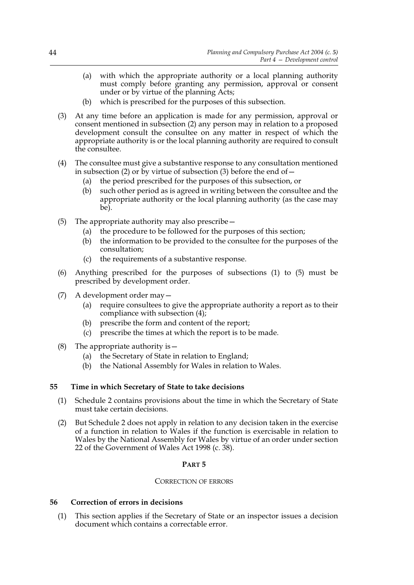- (a) with which the appropriate authority or a local planning authority must comply before granting any permission, approval or consent under or by virtue of the planning Acts;
- (b) which is prescribed for the purposes of this subsection.
- (3) At any time before an application is made for any permission, approval or consent mentioned in subsection (2) any person may in relation to a proposed development consult the consultee on any matter in respect of which the appropriate authority is or the local planning authority are required to consult the consultee.
- (4) The consultee must give a substantive response to any consultation mentioned in subsection (2) or by virtue of subsection (3) before the end of  $-$ 
	- (a) the period prescribed for the purposes of this subsection, or
	- (b) such other period as is agreed in writing between the consultee and the appropriate authority or the local planning authority (as the case may be).
- (5) The appropriate authority may also prescribe—
	- (a) the procedure to be followed for the purposes of this section;
	- (b) the information to be provided to the consultee for the purposes of the consultation;
	- (c) the requirements of a substantive response.
- (6) Anything prescribed for the purposes of subsections (1) to (5) must be prescribed by development order.
- (7) A development order may—
	- (a) require consultees to give the appropriate authority a report as to their compliance with subsection (4);
	- (b) prescribe the form and content of the report;
	- (c) prescribe the times at which the report is to be made.
- (8) The appropriate authority is  $-$ 
	- (a) the Secretary of State in relation to England;
	- (b) the National Assembly for Wales in relation to Wales.

# **55 Time in which Secretary of State to take decisions**

- (1) Schedule 2 contains provisions about the time in which the Secretary of State must take certain decisions.
- (2) But Schedule 2 does not apply in relation to any decision taken in the exercise of a function in relation to Wales if the function is exercisable in relation to Wales by the National Assembly for Wales by virtue of an order under section 22 of the Government of Wales Act 1998 (c. 38).

# **PART 5**

# CORRECTION OF ERRORS

# **56 Correction of errors in decisions**

(1) This section applies if the Secretary of State or an inspector issues a decision document which contains a correctable error.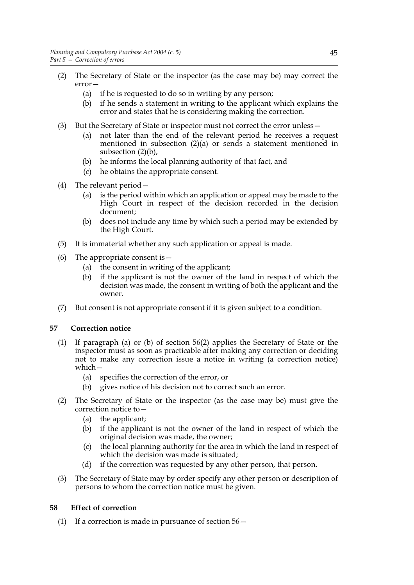- (2) The Secretary of State or the inspector (as the case may be) may correct the error—
	- (a) if he is requested to do so in writing by any person;
	- (b) if he sends a statement in writing to the applicant which explains the error and states that he is considering making the correction.
- (3) But the Secretary of State or inspector must not correct the error unless—
	- (a) not later than the end of the relevant period he receives a request mentioned in subsection (2)(a) or sends a statement mentioned in subsection (2)(b),
	- (b) he informs the local planning authority of that fact, and
	- (c) he obtains the appropriate consent.
- (4) The relevant period—
	- (a) is the period within which an application or appeal may be made to the High Court in respect of the decision recorded in the decision document;
	- (b) does not include any time by which such a period may be extended by the High Court.
- (5) It is immaterial whether any such application or appeal is made.
- (6) The appropriate consent is  $-$ 
	- (a) the consent in writing of the applicant;
	- (b) if the applicant is not the owner of the land in respect of which the decision was made, the consent in writing of both the applicant and the owner.
- (7) But consent is not appropriate consent if it is given subject to a condition.

# **57 Correction notice**

- (1) If paragraph (a) or (b) of section 56(2) applies the Secretary of State or the inspector must as soon as practicable after making any correction or deciding not to make any correction issue a notice in writing (a correction notice) which—
	- (a) specifies the correction of the error, or
	- (b) gives notice of his decision not to correct such an error.
- (2) The Secretary of State or the inspector (as the case may be) must give the correction notice to—
	- (a) the applicant;
	- (b) if the applicant is not the owner of the land in respect of which the original decision was made, the owner;
	- (c) the local planning authority for the area in which the land in respect of which the decision was made is situated;
	- (d) if the correction was requested by any other person, that person.
- (3) The Secretary of State may by order specify any other person or description of persons to whom the correction notice must be given.

# **58 Effect of correction**

(1) If a correction is made in pursuance of section  $56-$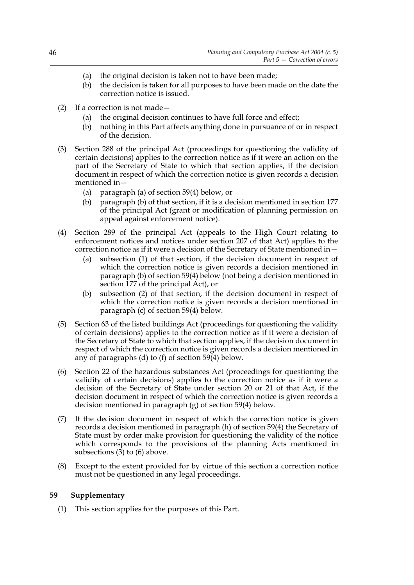- (a) the original decision is taken not to have been made;
- (b) the decision is taken for all purposes to have been made on the date the correction notice is issued.
- (2) If a correction is not made—
	- (a) the original decision continues to have full force and effect;
	- (b) nothing in this Part affects anything done in pursuance of or in respect of the decision.
- (3) Section 288 of the principal Act (proceedings for questioning the validity of certain decisions) applies to the correction notice as if it were an action on the part of the Secretary of State to which that section applies, if the decision document in respect of which the correction notice is given records a decision mentioned in—
	- (a) paragraph (a) of section 59(4) below, or
	- (b) paragraph (b) of that section, if it is a decision mentioned in section 177 of the principal Act (grant or modification of planning permission on appeal against enforcement notice).
- (4) Section 289 of the principal Act (appeals to the High Court relating to enforcement notices and notices under section 207 of that Act) applies to the correction notice as if it were a decision of the Secretary of State mentioned in—
	- (a) subsection (1) of that section, if the decision document in respect of which the correction notice is given records a decision mentioned in paragraph (b) of section 59(4) below (not being a decision mentioned in section 177 of the principal Act), or
	- (b) subsection (2) of that section, if the decision document in respect of which the correction notice is given records a decision mentioned in paragraph (c) of section 59(4) below.
- (5) Section 63 of the listed buildings Act (proceedings for questioning the validity of certain decisions) applies to the correction notice as if it were a decision of the Secretary of State to which that section applies, if the decision document in respect of which the correction notice is given records a decision mentioned in any of paragraphs (d) to (f) of section  $59\overline{(4)}$  below.
- (6) Section 22 of the hazardous substances Act (proceedings for questioning the validity of certain decisions) applies to the correction notice as if it were a decision of the Secretary of State under section 20 or 21 of that Act, if the decision document in respect of which the correction notice is given records a decision mentioned in paragraph (g) of section 59(4) below.
- (7) If the decision document in respect of which the correction notice is given records a decision mentioned in paragraph (h) of section 59(4) the Secretary of State must by order make provision for questioning the validity of the notice which corresponds to the provisions of the planning Acts mentioned in subsections (3) to (6) above.
- (8) Except to the extent provided for by virtue of this section a correction notice must not be questioned in any legal proceedings.

# **59 Supplementary**

(1) This section applies for the purposes of this Part.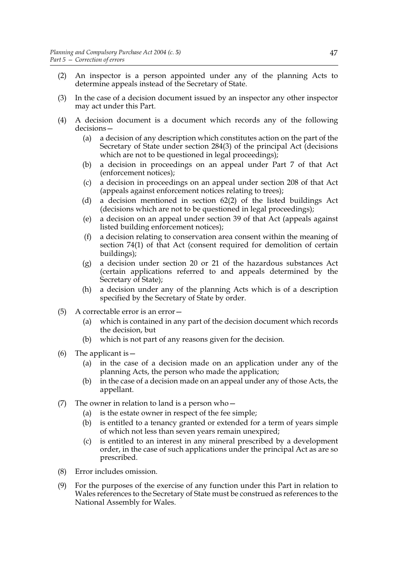- (2) An inspector is a person appointed under any of the planning Acts to determine appeals instead of the Secretary of State.
- (3) In the case of a decision document issued by an inspector any other inspector may act under this Part.
- (4) A decision document is a document which records any of the following decisions—
	- (a) a decision of any description which constitutes action on the part of the Secretary of State under section 284(3) of the principal Act (decisions which are not to be questioned in legal proceedings);
	- (b) a decision in proceedings on an appeal under Part 7 of that Act (enforcement notices);
	- (c) a decision in proceedings on an appeal under section 208 of that Act (appeals against enforcement notices relating to trees);
	- (d) a decision mentioned in section 62(2) of the listed buildings Act (decisions which are not to be questioned in legal proceedings);
	- (e) a decision on an appeal under section 39 of that Act (appeals against listed building enforcement notices);
	- (f) a decision relating to conservation area consent within the meaning of section 74(1) of that Act (consent required for demolition of certain buildings);
	- (g) a decision under section 20 or 21 of the hazardous substances Act (certain applications referred to and appeals determined by the Secretary of State);
	- (h) a decision under any of the planning Acts which is of a description specified by the Secretary of State by order.
- (5) A correctable error is an error—
	- (a) which is contained in any part of the decision document which records the decision, but
	- (b) which is not part of any reasons given for the decision.
- (6) The applicant is  $-$ 
	- (a) in the case of a decision made on an application under any of the planning Acts, the person who made the application;
	- (b) in the case of a decision made on an appeal under any of those Acts, the appellant.
- (7) The owner in relation to land is a person who  $-$ 
	- (a) is the estate owner in respect of the fee simple;
	- (b) is entitled to a tenancy granted or extended for a term of years simple of which not less than seven years remain unexpired;
	- (c) is entitled to an interest in any mineral prescribed by a development order, in the case of such applications under the principal Act as are so prescribed.
- (8) Error includes omission.
- (9) For the purposes of the exercise of any function under this Part in relation to Wales references to the Secretary of State must be construed as references to the National Assembly for Wales.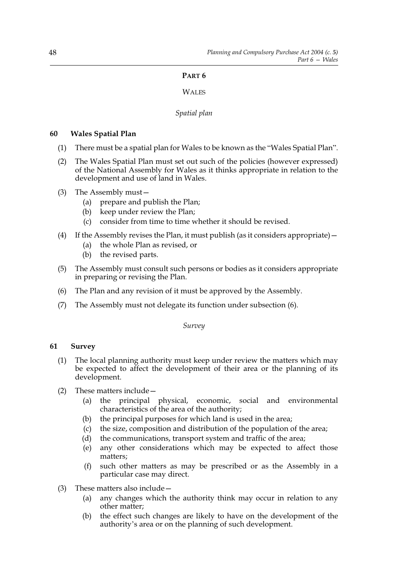# **PART 6**

# **WALES**

# *Spatial plan*

# **60 Wales Spatial Plan**

- (1) There must be a spatial plan for Wales to be known as the "Wales Spatial Plan".
- (2) The Wales Spatial Plan must set out such of the policies (however expressed) of the National Assembly for Wales as it thinks appropriate in relation to the development and use of land in Wales.
- (3) The Assembly must—
	- (a) prepare and publish the Plan;
	- (b) keep under review the Plan;
	- (c) consider from time to time whether it should be revised.
- (4) If the Assembly revises the Plan, it must publish (as it considers appropriate)—
	- (a) the whole Plan as revised, or
	- (b) the revised parts.
- (5) The Assembly must consult such persons or bodies as it considers appropriate in preparing or revising the Plan.
- (6) The Plan and any revision of it must be approved by the Assembly.
- (7) The Assembly must not delegate its function under subsection (6).

*Survey*

# **61 Survey**

- (1) The local planning authority must keep under review the matters which may be expected to affect the development of their area or the planning of its development.
- (2) These matters include—
	- (a) the principal physical, economic, social and environmental characteristics of the area of the authority;
	- (b) the principal purposes for which land is used in the area;
	- (c) the size, composition and distribution of the population of the area;
	- (d) the communications, transport system and traffic of the area;
	- (e) any other considerations which may be expected to affect those matters;
	- (f) such other matters as may be prescribed or as the Assembly in a particular case may direct.
- (3) These matters also include—
	- (a) any changes which the authority think may occur in relation to any other matter;
	- (b) the effect such changes are likely to have on the development of the authority's area or on the planning of such development.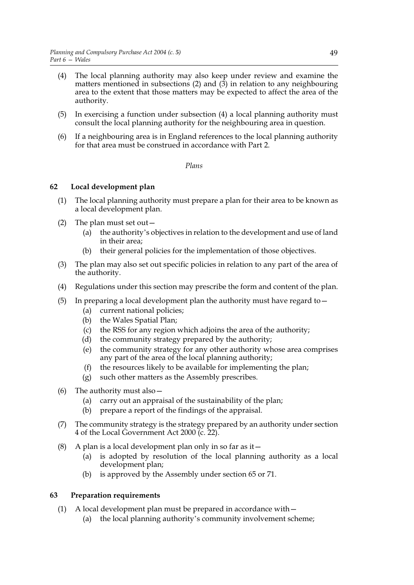- (4) The local planning authority may also keep under review and examine the matters mentioned in subsections  $(2)$  and  $(3)$  in relation to any neighbouring area to the extent that those matters may be expected to affect the area of the authority.
- (5) In exercising a function under subsection (4) a local planning authority must consult the local planning authority for the neighbouring area in question.
- (6) If a neighbouring area is in England references to the local planning authority for that area must be construed in accordance with Part 2.

### *Plans*

# **62 Local development plan**

- (1) The local planning authority must prepare a plan for their area to be known as a local development plan.
- (2) The plan must set out—
	- (a) the authority's objectives in relation to the development and use of land in their area;
	- (b) their general policies for the implementation of those objectives.
- (3) The plan may also set out specific policies in relation to any part of the area of the authority.
- (4) Regulations under this section may prescribe the form and content of the plan.
- (5) In preparing a local development plan the authority must have regard to  $-$ 
	- (a) current national policies;
	- (b) the Wales Spatial Plan;
	- (c) the RSS for any region which adjoins the area of the authority;
	- (d) the community strategy prepared by the authority;
	- (e) the community strategy for any other authority whose area comprises any part of the area of the local planning authority;
	- (f) the resources likely to be available for implementing the plan;
	- (g) such other matters as the Assembly prescribes.
- (6) The authority must also—
	- (a) carry out an appraisal of the sustainability of the plan;
	- (b) prepare a report of the findings of the appraisal.
- (7) The community strategy is the strategy prepared by an authority under section 4 of the Local Government Act 2000 (c. 22).
- (8) A plan is a local development plan only in so far as it  $-$ 
	- (a) is adopted by resolution of the local planning authority as a local development plan;
	- (b) is approved by the Assembly under section 65 or 71.

# **63 Preparation requirements**

- (1) A local development plan must be prepared in accordance with—
	- (a) the local planning authority's community involvement scheme;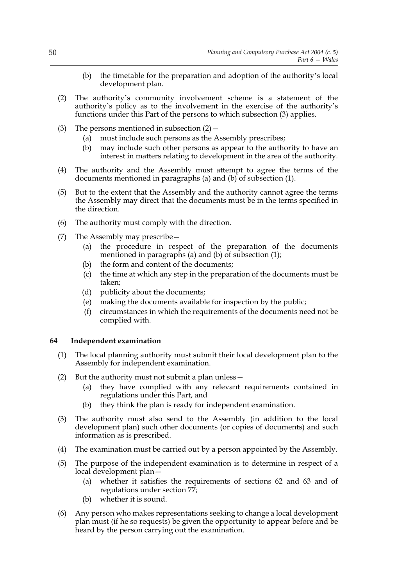- (b) the timetable for the preparation and adoption of the authority's local development plan.
- (2) The authority's community involvement scheme is a statement of the authority's policy as to the involvement in the exercise of the authority's functions under this Part of the persons to which subsection (3) applies.
- (3) The persons mentioned in subsection  $(2)$  -
	- (a) must include such persons as the Assembly prescribes;
	- (b) may include such other persons as appear to the authority to have an interest in matters relating to development in the area of the authority.
- (4) The authority and the Assembly must attempt to agree the terms of the documents mentioned in paragraphs (a) and (b) of subsection (1).
- (5) But to the extent that the Assembly and the authority cannot agree the terms the Assembly may direct that the documents must be in the terms specified in the direction.
- (6) The authority must comply with the direction.
- (7) The Assembly may prescribe—
	- (a) the procedure in respect of the preparation of the documents mentioned in paragraphs (a) and (b) of subsection (1);
	- (b) the form and content of the documents;
	- (c) the time at which any step in the preparation of the documents must be taken;
	- (d) publicity about the documents;
	- (e) making the documents available for inspection by the public;
	- (f) circumstances in which the requirements of the documents need not be complied with.

### **64 Independent examination**

- (1) The local planning authority must submit their local development plan to the Assembly for independent examination.
- (2) But the authority must not submit a plan unless—
	- (a) they have complied with any relevant requirements contained in regulations under this Part, and
	- (b) they think the plan is ready for independent examination.
- (3) The authority must also send to the Assembly (in addition to the local development plan) such other documents (or copies of documents) and such information as is prescribed.
- (4) The examination must be carried out by a person appointed by the Assembly.
- (5) The purpose of the independent examination is to determine in respect of a local development plan—
	- (a) whether it satisfies the requirements of sections 62 and 63 and of regulations under section 77;
	- (b) whether it is sound.
- (6) Any person who makes representations seeking to change a local development plan must (if he so requests) be given the opportunity to appear before and be heard by the person carrying out the examination.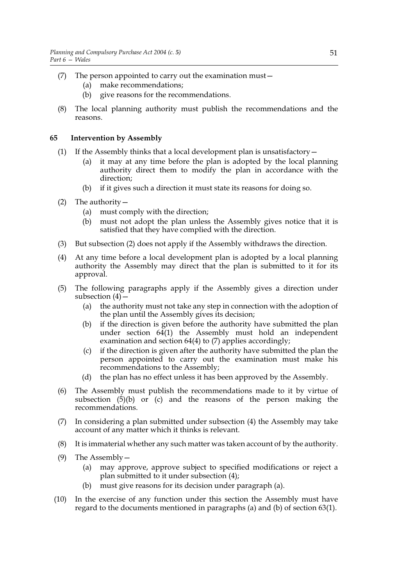- (7) The person appointed to carry out the examination must—
	- (a) make recommendations;
	- (b) give reasons for the recommendations.
- (8) The local planning authority must publish the recommendations and the reasons.

# **65 Intervention by Assembly**

- (1) If the Assembly thinks that a local development plan is unsatisfactory  $$ 
	- it may at any time before the plan is adopted by the local planning authority direct them to modify the plan in accordance with the direction;
	- (b) if it gives such a direction it must state its reasons for doing so.
- (2) The authority—
	- (a) must comply with the direction;
	- (b) must not adopt the plan unless the Assembly gives notice that it is satisfied that they have complied with the direction.
- (3) But subsection (2) does not apply if the Assembly withdraws the direction.
- (4) At any time before a local development plan is adopted by a local planning authority the Assembly may direct that the plan is submitted to it for its approval.
- (5) The following paragraphs apply if the Assembly gives a direction under subsection  $(4)$  –
	- (a) the authority must not take any step in connection with the adoption of the plan until the Assembly gives its decision;
	- (b) if the direction is given before the authority have submitted the plan under section 64(1) the Assembly must hold an independent examination and section 64(4) to (7) applies accordingly;
	- (c) if the direction is given after the authority have submitted the plan the person appointed to carry out the examination must make his recommendations to the Assembly;
	- (d) the plan has no effect unless it has been approved by the Assembly.
- (6) The Assembly must publish the recommendations made to it by virtue of subsection  $(5)(b)$  or (c) and the reasons of the person making the recommendations.
- (7) In considering a plan submitted under subsection (4) the Assembly may take account of any matter which it thinks is relevant.
- (8) It is immaterial whether any such matter was taken account of by the authority.
- (9) The Assembly—
	- (a) may approve, approve subject to specified modifications or reject a plan submitted to it under subsection (4);
	- (b) must give reasons for its decision under paragraph (a).
- (10) In the exercise of any function under this section the Assembly must have regard to the documents mentioned in paragraphs (a) and (b) of section 63(1).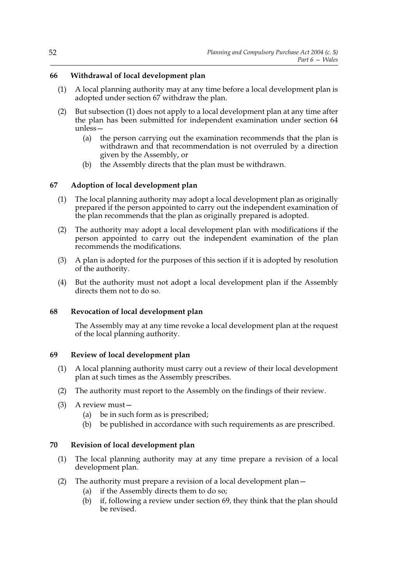# **66 Withdrawal of local development plan**

- (1) A local planning authority may at any time before a local development plan is adopted under section 67 withdraw the plan.
- (2) But subsection (1) does not apply to a local development plan at any time after the plan has been submitted for independent examination under section 64 unless—
	- (a) the person carrying out the examination recommends that the plan is withdrawn and that recommendation is not overruled by a direction given by the Assembly, or
	- (b) the Assembly directs that the plan must be withdrawn.

# **67 Adoption of local development plan**

- (1) The local planning authority may adopt a local development plan as originally prepared if the person appointed to carry out the independent examination of the plan recommends that the plan as originally prepared is adopted.
- (2) The authority may adopt a local development plan with modifications if the person appointed to carry out the independent examination of the plan recommends the modifications.
- (3) A plan is adopted for the purposes of this section if it is adopted by resolution of the authority.
- (4) But the authority must not adopt a local development plan if the Assembly directs them not to do so.

# **68 Revocation of local development plan**

The Assembly may at any time revoke a local development plan at the request of the local planning authority.

# **69 Review of local development plan**

- (1) A local planning authority must carry out a review of their local development plan at such times as the Assembly prescribes.
- (2) The authority must report to the Assembly on the findings of their review.
- (3) A review must—
	- (a) be in such form as is prescribed;
	- (b) be published in accordance with such requirements as are prescribed.

# **70 Revision of local development plan**

- (1) The local planning authority may at any time prepare a revision of a local development plan.
- (2) The authority must prepare a revision of a local development plan—
	- (a) if the Assembly directs them to do so;
	- (b) if, following a review under section 69, they think that the plan should be revised.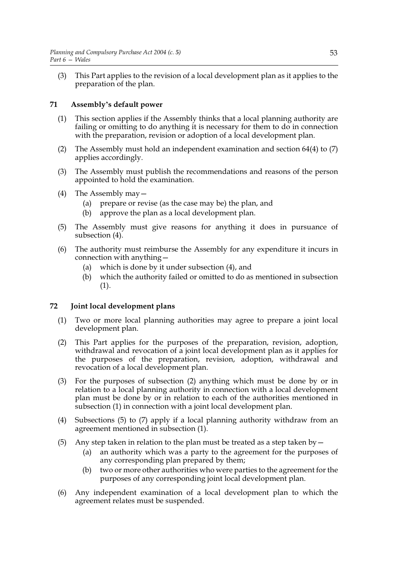(3) This Part applies to the revision of a local development plan as it applies to the preparation of the plan.

# **71 Assembly's default power**

- (1) This section applies if the Assembly thinks that a local planning authority are failing or omitting to do anything it is necessary for them to do in connection with the preparation, revision or adoption of a local development plan.
- (2) The Assembly must hold an independent examination and section 64(4) to (7) applies accordingly.
- (3) The Assembly must publish the recommendations and reasons of the person appointed to hold the examination.
- (4) The Assembly may—
	- (a) prepare or revise (as the case may be) the plan, and
	- (b) approve the plan as a local development plan.
- (5) The Assembly must give reasons for anything it does in pursuance of subsection (4).
- (6) The authority must reimburse the Assembly for any expenditure it incurs in connection with anything—
	- (a) which is done by it under subsection (4), and
	- (b) which the authority failed or omitted to do as mentioned in subsection (1).

# **72 Joint local development plans**

- (1) Two or more local planning authorities may agree to prepare a joint local development plan.
- (2) This Part applies for the purposes of the preparation, revision, adoption, withdrawal and revocation of a joint local development plan as it applies for the purposes of the preparation, revision, adoption, withdrawal and revocation of a local development plan.
- (3) For the purposes of subsection (2) anything which must be done by or in relation to a local planning authority in connection with a local development plan must be done by or in relation to each of the authorities mentioned in subsection (1) in connection with a joint local development plan.
- (4) Subsections (5) to (7) apply if a local planning authority withdraw from an agreement mentioned in subsection (1).
- (5) Any step taken in relation to the plan must be treated as a step taken by  $-$ 
	- (a) an authority which was a party to the agreement for the purposes of any corresponding plan prepared by them;
	- (b) two or more other authorities who were parties to the agreement for the purposes of any corresponding joint local development plan.
- (6) Any independent examination of a local development plan to which the agreement relates must be suspended.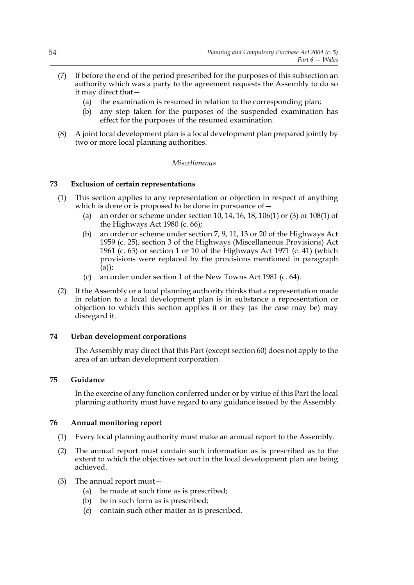- (7) If before the end of the period prescribed for the purposes of this subsection an authority which was a party to the agreement requests the Assembly to do so it may direct that—
	- (a) the examination is resumed in relation to the corresponding plan;
	- (b) any step taken for the purposes of the suspended examination has effect for the purposes of the resumed examination.
- (8) A joint local development plan is a local development plan prepared jointly by two or more local planning authorities.

### *Miscellaneous*

### **73 Exclusion of certain representations**

- (1) This section applies to any representation or objection in respect of anything which is done or is proposed to be done in pursuance of  $-$ 
	- (a) an order or scheme under section 10, 14, 16, 18, 106(1) or (3) or 108(1) of the Highways Act 1980 (c. 66);
	- (b) an order or scheme under section 7, 9, 11, 13 or 20 of the Highways Act 1959 (c. 25), section 3 of the Highways (Miscellaneous Provisions) Act 1961 (c. 63) or section 1 or 10 of the Highways Act 1971 (c. 41) (which provisions were replaced by the provisions mentioned in paragraph (a));
	- (c) an order under section 1 of the New Towns Act 1981 (c. 64).
- (2) If the Assembly or a local planning authority thinks that a representation made in relation to a local development plan is in substance a representation or objection to which this section applies it or they (as the case may be) may disregard it.

### **74 Urban development corporations**

The Assembly may direct that this Part (except section 60) does not apply to the area of an urban development corporation.

### **75 Guidance**

In the exercise of any function conferred under or by virtue of this Part the local planning authority must have regard to any guidance issued by the Assembly.

### **76 Annual monitoring report**

- (1) Every local planning authority must make an annual report to the Assembly.
- (2) The annual report must contain such information as is prescribed as to the extent to which the objectives set out in the local development plan are being achieved.
- (3) The annual report must—
	- (a) be made at such time as is prescribed;
	- (b) be in such form as is prescribed;
	- (c) contain such other matter as is prescribed.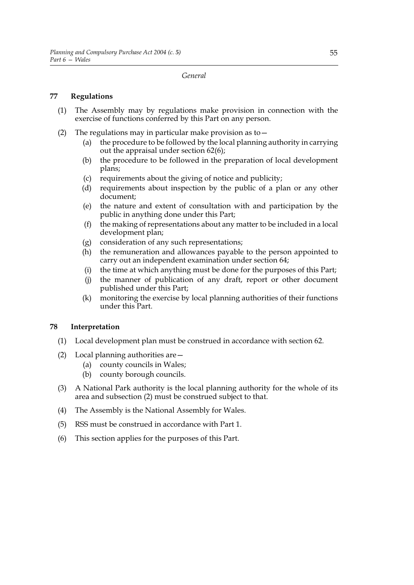*General*

# **77 Regulations**

- (1) The Assembly may by regulations make provision in connection with the exercise of functions conferred by this Part on any person.
- (2) The regulations may in particular make provision as to—
	- (a) the procedure to be followed by the local planning authority in carrying out the appraisal under section 62(6);
	- (b) the procedure to be followed in the preparation of local development plans;
	- (c) requirements about the giving of notice and publicity;
	- (d) requirements about inspection by the public of a plan or any other document;
	- (e) the nature and extent of consultation with and participation by the public in anything done under this Part;
	- (f) the making of representations about any matter to be included in a local development plan;
	- (g) consideration of any such representations;
	- (h) the remuneration and allowances payable to the person appointed to carry out an independent examination under section 64;
	- (i) the time at which anything must be done for the purposes of this Part;
	- (j) the manner of publication of any draft, report or other document published under this Part;
	- (k) monitoring the exercise by local planning authorities of their functions under this Part.

# **78 Interpretation**

- (1) Local development plan must be construed in accordance with section 62.
- (2) Local planning authorities are—
	- (a) county councils in Wales;
	- (b) county borough councils.
- (3) A National Park authority is the local planning authority for the whole of its area and subsection (2) must be construed subject to that.
- (4) The Assembly is the National Assembly for Wales.
- (5) RSS must be construed in accordance with Part 1.
- (6) This section applies for the purposes of this Part.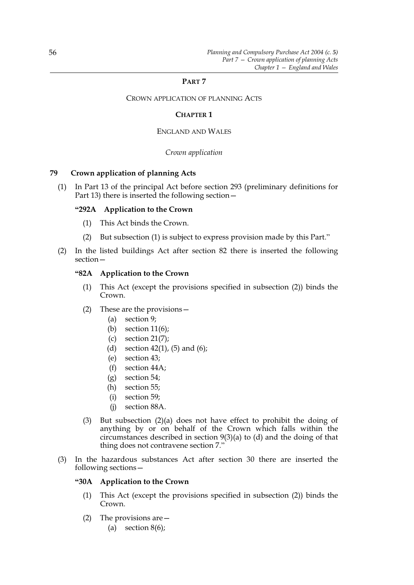### **PART 7**

CROWN APPLICATION OF PLANNING ACTS

### **CHAPTER 1**

### ENGLAND AND WALES

### *Crown application*

# **79 Crown application of planning Acts**

(1) In Part 13 of the principal Act before section 293 (preliminary definitions for Part 13) there is inserted the following section—

### **"292A Application to the Crown**

- (1) This Act binds the Crown.
- (2) But subsection (1) is subject to express provision made by this Part."
- (2) In the listed buildings Act after section 82 there is inserted the following section—

### **"82A Application to the Crown**

- (1) This Act (except the provisions specified in subsection (2)) binds the Crown.
- (2) These are the provisions—
	- (a) section 9;
	- (b) section 11(6);
	- (c) section 21(7);
	- (d) section  $42(1)$ , (5) and (6);
	- (e) section 43;
	- (f) section 44A;
	- (g) section 54;
	- (h) section 55;
	- (i) section 59;
	- (j) section 88A.
- (3) But subsection (2)(a) does not have effect to prohibit the doing of anything by or on behalf of the Crown which falls within the circumstances described in section 9(3)(a) to (d) and the doing of that thing does not contravene section 7."
- (3) In the hazardous substances Act after section 30 there are inserted the following sections—

### **"30A Application to the Crown**

- (1) This Act (except the provisions specified in subsection (2)) binds the Crown.
- (2) The provisions are—
	- (a) section  $8(6)$ ;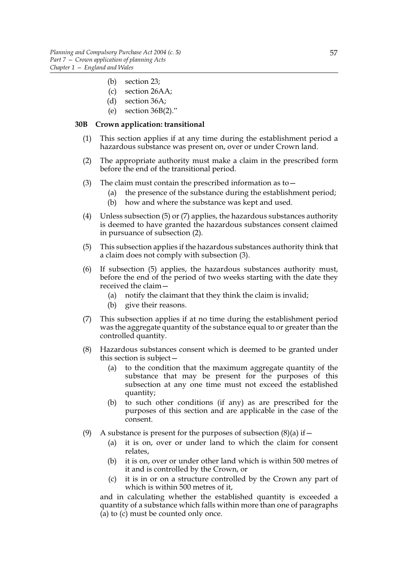- (b) section 23;
- (c) section 26AA;
- (d) section 36A;
- (e) section 36B(2)."

### **30B Crown application: transitional**

- (1) This section applies if at any time during the establishment period a hazardous substance was present on, over or under Crown land.
- (2) The appropriate authority must make a claim in the prescribed form before the end of the transitional period.
- (3) The claim must contain the prescribed information as to  $-$ 
	- (a) the presence of the substance during the establishment period;
	- (b) how and where the substance was kept and used.
- (4) Unless subsection (5) or (7) applies, the hazardous substances authority is deemed to have granted the hazardous substances consent claimed in pursuance of subsection (2).
- (5) This subsection applies if the hazardous substances authority think that a claim does not comply with subsection (3).
- (6) If subsection (5) applies, the hazardous substances authority must, before the end of the period of two weeks starting with the date they received the claim—
	- (a) notify the claimant that they think the claim is invalid;
	- (b) give their reasons.
- (7) This subsection applies if at no time during the establishment period was the aggregate quantity of the substance equal to or greater than the controlled quantity.
- (8) Hazardous substances consent which is deemed to be granted under this section is subject—
	- (a) to the condition that the maximum aggregate quantity of the substance that may be present for the purposes of this subsection at any one time must not exceed the established quantity;
	- (b) to such other conditions (if any) as are prescribed for the purposes of this section and are applicable in the case of the consent.
- (9) A substance is present for the purposes of subsection  $(8)(a)$  if  $-$ 
	- (a) it is on, over or under land to which the claim for consent relates,
	- (b) it is on, over or under other land which is within 500 metres of it and is controlled by the Crown, or
	- (c) it is in or on a structure controlled by the Crown any part of which is within 500 metres of it,

and in calculating whether the established quantity is exceeded a quantity of a substance which falls within more than one of paragraphs (a) to (c) must be counted only once.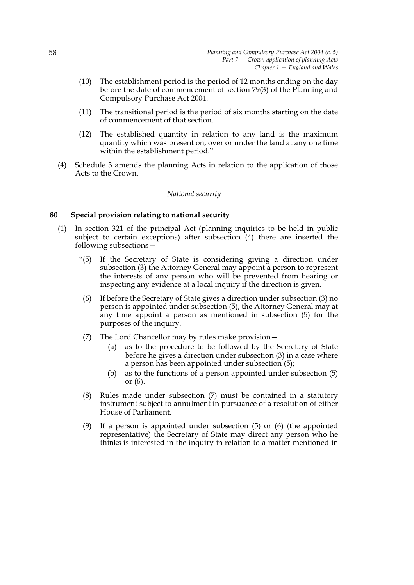- (10) The establishment period is the period of 12 months ending on the day before the date of commencement of section 79(3) of the Planning and Compulsory Purchase Act 2004.
- (11) The transitional period is the period of six months starting on the date of commencement of that section.
- (12) The established quantity in relation to any land is the maximum quantity which was present on, over or under the land at any one time within the establishment period."
- (4) Schedule 3 amends the planning Acts in relation to the application of those Acts to the Crown.

### *National security*

### **80 Special provision relating to national security**

- (1) In section 321 of the principal Act (planning inquiries to be held in public subject to certain exceptions) after subsection (4) there are inserted the following subsections—
	- "(5) If the Secretary of State is considering giving a direction under subsection (3) the Attorney General may appoint a person to represent the interests of any person who will be prevented from hearing or inspecting any evidence at a local inquiry if the direction is given.
	- (6) If before the Secretary of State gives a direction under subsection (3) no person is appointed under subsection (5), the Attorney General may at any time appoint a person as mentioned in subsection (5) for the purposes of the inquiry.
	- (7) The Lord Chancellor may by rules make provision—
		- (a) as to the procedure to be followed by the Secretary of State before he gives a direction under subsection (3) in a case where a person has been appointed under subsection (5);
		- (b) as to the functions of a person appointed under subsection (5) or (6).
	- (8) Rules made under subsection (7) must be contained in a statutory instrument subject to annulment in pursuance of a resolution of either House of Parliament.
	- (9) If a person is appointed under subsection (5) or (6) (the appointed representative) the Secretary of State may direct any person who he thinks is interested in the inquiry in relation to a matter mentioned in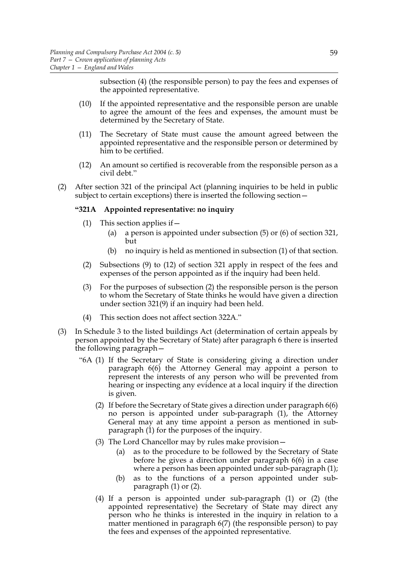subsection (4) (the responsible person) to pay the fees and expenses of the appointed representative.

- (10) If the appointed representative and the responsible person are unable to agree the amount of the fees and expenses, the amount must be determined by the Secretary of State.
- (11) The Secretary of State must cause the amount agreed between the appointed representative and the responsible person or determined by him to be certified.
- (12) An amount so certified is recoverable from the responsible person as a civil debt."
- (2) After section 321 of the principal Act (planning inquiries to be held in public subject to certain exceptions) there is inserted the following section—

### **"321A Appointed representative: no inquiry**

- (1) This section applies if—
	- (a) a person is appointed under subsection (5) or (6) of section 321, but
	- (b) no inquiry is held as mentioned in subsection (1) of that section.
- (2) Subsections (9) to (12) of section 321 apply in respect of the fees and expenses of the person appointed as if the inquiry had been held.
- (3) For the purposes of subsection (2) the responsible person is the person to whom the Secretary of State thinks he would have given a direction under section 321(9) if an inquiry had been held.
- (4) This section does not affect section 322A."
- (3) In Schedule 3 to the listed buildings Act (determination of certain appeals by person appointed by the Secretary of State) after paragraph 6 there is inserted the following paragraph—
	- "6A (1) If the Secretary of State is considering giving a direction under paragraph 6(6) the Attorney General may appoint a person to represent the interests of any person who will be prevented from hearing or inspecting any evidence at a local inquiry if the direction is given.
		- (2) If before the Secretary of State gives a direction under paragraph 6(6) no person is appointed under sub-paragraph (1), the Attorney General may at any time appoint a person as mentioned in subparagraph (1) for the purposes of the inquiry.
		- (3) The Lord Chancellor may by rules make provision—
			- (a) as to the procedure to be followed by the Secretary of State before he gives a direction under paragraph 6(6) in a case where a person has been appointed under sub-paragraph (1);
			- (b) as to the functions of a person appointed under subparagraph (1) or (2).
		- (4) If a person is appointed under sub-paragraph (1) or (2) (the appointed representative) the Secretary of State may direct any person who he thinks is interested in the inquiry in relation to a matter mentioned in paragraph 6(7) (the responsible person) to pay the fees and expenses of the appointed representative.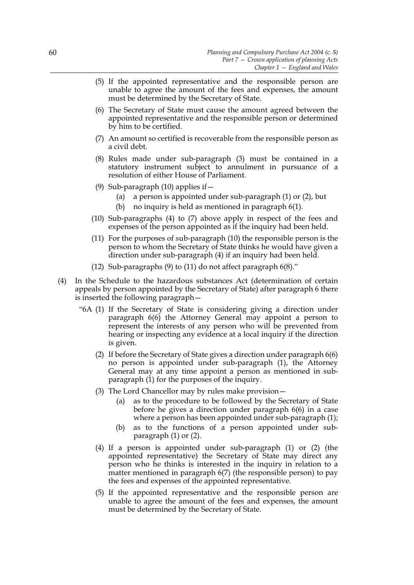- (5) If the appointed representative and the responsible person are unable to agree the amount of the fees and expenses, the amount must be determined by the Secretary of State.
- (6) The Secretary of State must cause the amount agreed between the appointed representative and the responsible person or determined by him to be certified.
- (7) An amount so certified is recoverable from the responsible person as a civil debt.
- (8) Rules made under sub-paragraph (3) must be contained in a statutory instrument subject to annulment in pursuance of a resolution of either House of Parliament.
- (9) Sub-paragraph  $(10)$  applies if  $-$ 
	- (a) a person is appointed under sub-paragraph (1) or (2), but
	- (b) no inquiry is held as mentioned in paragraph 6(1).
- (10) Sub-paragraphs (4) to (7) above apply in respect of the fees and expenses of the person appointed as if the inquiry had been held.
- (11) For the purposes of sub-paragraph (10) the responsible person is the person to whom the Secretary of State thinks he would have given a direction under sub-paragraph (4) if an inquiry had been held.
- (12) Sub-paragraphs (9) to (11) do not affect paragraph 6(8)."
- (4) In the Schedule to the hazardous substances Act (determination of certain appeals by person appointed by the Secretary of State) after paragraph 6 there is inserted the following paragraph—
	- "6A (1) If the Secretary of State is considering giving a direction under paragraph 6(6) the Attorney General may appoint a person to represent the interests of any person who will be prevented from hearing or inspecting any evidence at a local inquiry if the direction is given.
		- (2) If before the Secretary of State gives a direction under paragraph 6(6) no person is appointed under sub-paragraph (1), the Attorney General may at any time appoint a person as mentioned in subparagraph (1) for the purposes of the inquiry.
		- (3) The Lord Chancellor may by rules make provision—
			- (a) as to the procedure to be followed by the Secretary of State before he gives a direction under paragraph 6(6) in a case where a person has been appointed under sub-paragraph (1);
			- (b) as to the functions of a person appointed under subparagraph (1) or (2).
		- (4) If a person is appointed under sub-paragraph (1) or (2) (the appointed representative) the Secretary of State may direct any person who he thinks is interested in the inquiry in relation to a matter mentioned in paragraph 6(7) (the responsible person) to pay the fees and expenses of the appointed representative.
		- (5) If the appointed representative and the responsible person are unable to agree the amount of the fees and expenses, the amount must be determined by the Secretary of State.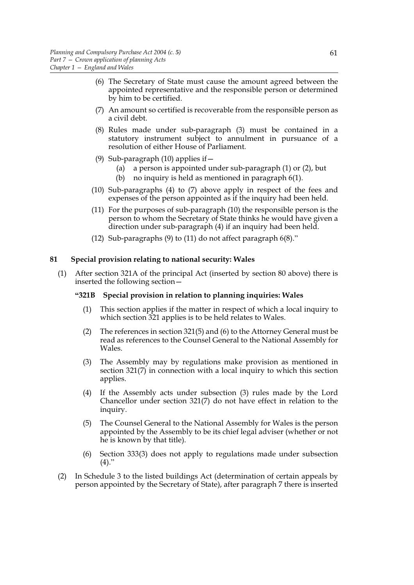- (6) The Secretary of State must cause the amount agreed between the appointed representative and the responsible person or determined by him to be certified.
- (7) An amount so certified is recoverable from the responsible person as a civil debt.
- (8) Rules made under sub-paragraph (3) must be contained in a statutory instrument subject to annulment in pursuance of a resolution of either House of Parliament.
- (9) Sub-paragraph (10) applies if—
	- (a) a person is appointed under sub-paragraph (1) or (2), but
	- (b) no inquiry is held as mentioned in paragraph 6(1).
- (10) Sub-paragraphs (4) to (7) above apply in respect of the fees and expenses of the person appointed as if the inquiry had been held.
- (11) For the purposes of sub-paragraph (10) the responsible person is the person to whom the Secretary of State thinks he would have given a direction under sub-paragraph (4) if an inquiry had been held.
- (12) Sub-paragraphs (9) to (11) do not affect paragraph 6(8)."

### **81 Special provision relating to national security: Wales**

(1) After section 321A of the principal Act (inserted by section 80 above) there is inserted the following section—

### **"321B Special provision in relation to planning inquiries: Wales**

- (1) This section applies if the matter in respect of which a local inquiry to which section 321 applies is to be held relates to Wales.
- (2) The references in section 321(5) and (6) to the Attorney General must be read as references to the Counsel General to the National Assembly for Wales.
- (3) The Assembly may by regulations make provision as mentioned in section 321(7) in connection with a local inquiry to which this section applies.
- (4) If the Assembly acts under subsection (3) rules made by the Lord Chancellor under section 321(7) do not have effect in relation to the inquiry.
- (5) The Counsel General to the National Assembly for Wales is the person appointed by the Assembly to be its chief legal adviser (whether or not he is known by that title).
- (6) Section 333(3) does not apply to regulations made under subsection  $(4)."$
- (2) In Schedule 3 to the listed buildings Act (determination of certain appeals by person appointed by the Secretary of State), after paragraph 7 there is inserted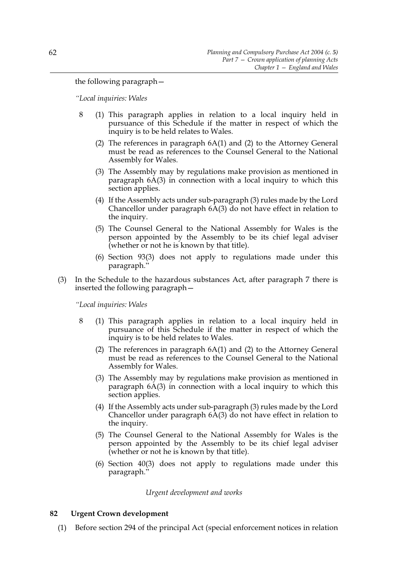the following paragraph—

*"Local inquiries: Wales*

- 8 (1) This paragraph applies in relation to a local inquiry held in pursuance of this Schedule if the matter in respect of which the inquiry is to be held relates to Wales.
	- (2) The references in paragraph 6A(1) and (2) to the Attorney General must be read as references to the Counsel General to the National Assembly for Wales.
	- (3) The Assembly may by regulations make provision as mentioned in paragraph 6A(3) in connection with a local inquiry to which this section applies.
	- (4) If the Assembly acts under sub-paragraph (3) rules made by the Lord Chancellor under paragraph 6A(3) do not have effect in relation to the inquiry.
	- (5) The Counsel General to the National Assembly for Wales is the person appointed by the Assembly to be its chief legal adviser (whether or not he is known by that title).
	- (6) Section 93(3) does not apply to regulations made under this paragraph."
- (3) In the Schedule to the hazardous substances Act, after paragraph 7 there is inserted the following paragraph—

*"Local inquiries: Wales*

- 8 (1) This paragraph applies in relation to a local inquiry held in pursuance of this Schedule if the matter in respect of which the inquiry is to be held relates to Wales.
	- (2) The references in paragraph 6A(1) and (2) to the Attorney General must be read as references to the Counsel General to the National Assembly for Wales.
	- (3) The Assembly may by regulations make provision as mentioned in paragraph 6A(3) in connection with a local inquiry to which this section applies.
	- (4) If the Assembly acts under sub-paragraph (3) rules made by the Lord Chancellor under paragraph 6A(3) do not have effect in relation to the inquiry.
	- (5) The Counsel General to the National Assembly for Wales is the person appointed by the Assembly to be its chief legal adviser (whether or not he is known by that title).
	- (6) Section 40(3) does not apply to regulations made under this paragraph."

*Urgent development and works*

# **82 Urgent Crown development**

(1) Before section 294 of the principal Act (special enforcement notices in relation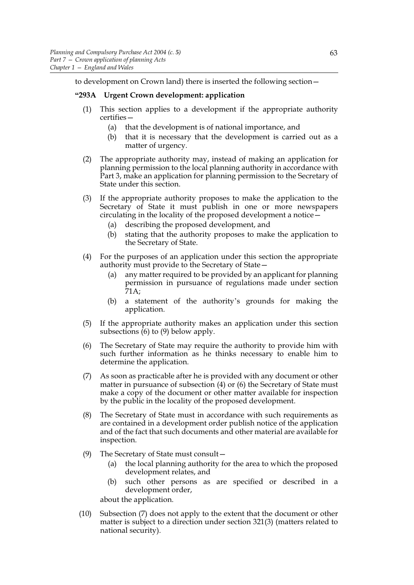to development on Crown land) there is inserted the following section—

### **"293A Urgent Crown development: application**

- (1) This section applies to a development if the appropriate authority certifies—
	- (a) that the development is of national importance, and
	- (b) that it is necessary that the development is carried out as a matter of urgency.
- (2) The appropriate authority may, instead of making an application for planning permission to the local planning authority in accordance with Part 3, make an application for planning permission to the Secretary of State under this section.
- (3) If the appropriate authority proposes to make the application to the Secretary of State it must publish in one or more newspapers circulating in the locality of the proposed development a notice—
	- (a) describing the proposed development, and
	- (b) stating that the authority proposes to make the application to the Secretary of State.
- (4) For the purposes of an application under this section the appropriate authority must provide to the Secretary of State—
	- (a) any matter required to be provided by an applicant for planning permission in pursuance of regulations made under section 71A;
	- (b) a statement of the authority's grounds for making the application.
- (5) If the appropriate authority makes an application under this section subsections  $(6)$  to  $(9)$  below apply.
- (6) The Secretary of State may require the authority to provide him with such further information as he thinks necessary to enable him to determine the application.
- (7) As soon as practicable after he is provided with any document or other matter in pursuance of subsection (4) or (6) the Secretary of State must make a copy of the document or other matter available for inspection by the public in the locality of the proposed development.
- (8) The Secretary of State must in accordance with such requirements as are contained in a development order publish notice of the application and of the fact that such documents and other material are available for inspection.
- (9) The Secretary of State must consult—
	- (a) the local planning authority for the area to which the proposed development relates, and
	- (b) such other persons as are specified or described in a development order,

about the application.

(10) Subsection (7) does not apply to the extent that the document or other matter is subject to a direction under section 321(3) (matters related to national security).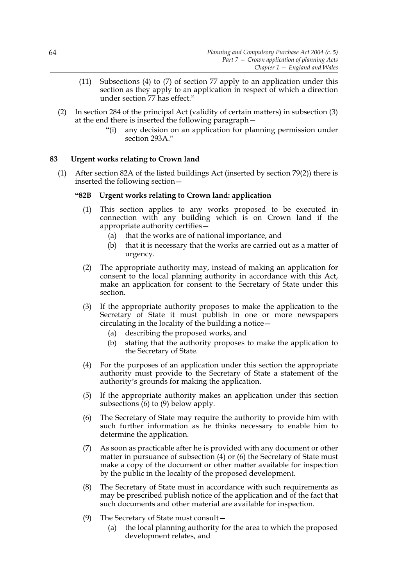- (11) Subsections (4) to (7) of section 77 apply to an application under this section as they apply to an application in respect of which a direction under section 77 has effect."
- (2) In section 284 of the principal Act (validity of certain matters) in subsection (3) at the end there is inserted the following paragraph—
	- "(i) any decision on an application for planning permission under section 293A."

# **83 Urgent works relating to Crown land**

(1) After section 82A of the listed buildings Act (inserted by section 79(2)) there is inserted the following section—

### **"82B Urgent works relating to Crown land: application**

- (1) This section applies to any works proposed to be executed in connection with any building which is on Crown land if the appropriate authority certifies—
	- (a) that the works are of national importance, and
	- (b) that it is necessary that the works are carried out as a matter of urgency.
- (2) The appropriate authority may, instead of making an application for consent to the local planning authority in accordance with this Act, make an application for consent to the Secretary of State under this section.
- (3) If the appropriate authority proposes to make the application to the Secretary of State it must publish in one or more newspapers circulating in the locality of the building a notice—
	- (a) describing the proposed works, and
	- (b) stating that the authority proposes to make the application to the Secretary of State.
- (4) For the purposes of an application under this section the appropriate authority must provide to the Secretary of State a statement of the authority's grounds for making the application.
- (5) If the appropriate authority makes an application under this section subsections  $(6)$  to  $(9)$  below apply.
- (6) The Secretary of State may require the authority to provide him with such further information as he thinks necessary to enable him to determine the application.
- (7) As soon as practicable after he is provided with any document or other matter in pursuance of subsection (4) or (6) the Secretary of State must make a copy of the document or other matter available for inspection by the public in the locality of the proposed development.
- (8) The Secretary of State must in accordance with such requirements as may be prescribed publish notice of the application and of the fact that such documents and other material are available for inspection.
- (9) The Secretary of State must consult—
	- (a) the local planning authority for the area to which the proposed development relates, and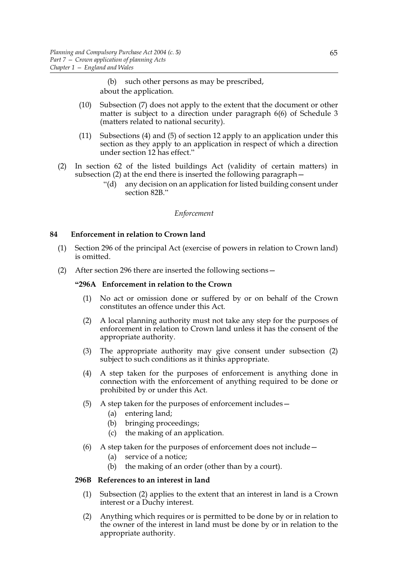(b) such other persons as may be prescribed, about the application.

- (10) Subsection (7) does not apply to the extent that the document or other matter is subject to a direction under paragraph 6(6) of Schedule 3 (matters related to national security).
- (11) Subsections (4) and (5) of section 12 apply to an application under this section as they apply to an application in respect of which a direction under section 12 has effect."
- (2) In section 62 of the listed buildings Act (validity of certain matters) in subsection (2) at the end there is inserted the following paragraph—
	- "(d) any decision on an application for listed building consent under section 82B."

### *Enforcement*

# **84 Enforcement in relation to Crown land**

- (1) Section 296 of the principal Act (exercise of powers in relation to Crown land) is omitted.
- (2) After section 296 there are inserted the following sections—

### **"296A Enforcement in relation to the Crown**

- (1) No act or omission done or suffered by or on behalf of the Crown constitutes an offence under this Act.
- (2) A local planning authority must not take any step for the purposes of enforcement in relation to Crown land unless it has the consent of the appropriate authority.
- (3) The appropriate authority may give consent under subsection (2) subject to such conditions as it thinks appropriate.
- (4) A step taken for the purposes of enforcement is anything done in connection with the enforcement of anything required to be done or prohibited by or under this Act.
- (5) A step taken for the purposes of enforcement includes—
	- (a) entering land;
	- (b) bringing proceedings;
	- (c) the making of an application.
- (6) A step taken for the purposes of enforcement does not include—
	- (a) service of a notice;
	- (b) the making of an order (other than by a court).

### **296B References to an interest in land**

- (1) Subsection (2) applies to the extent that an interest in land is a Crown interest or a Duchy interest.
- (2) Anything which requires or is permitted to be done by or in relation to the owner of the interest in land must be done by or in relation to the appropriate authority.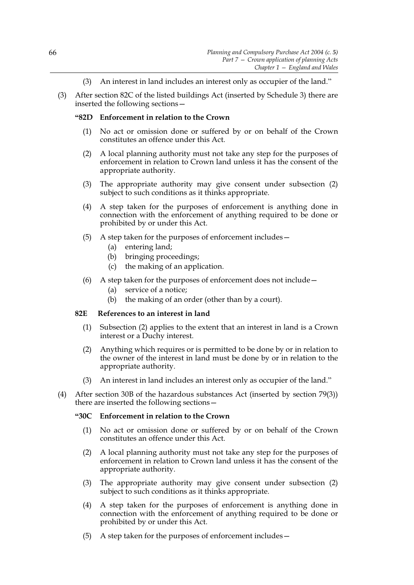- (3) An interest in land includes an interest only as occupier of the land."
- (3) After section 82C of the listed buildings Act (inserted by Schedule 3) there are inserted the following sections—

## **"82D Enforcement in relation to the Crown**

- (1) No act or omission done or suffered by or on behalf of the Crown constitutes an offence under this Act.
- (2) A local planning authority must not take any step for the purposes of enforcement in relation to Crown land unless it has the consent of the appropriate authority.
- (3) The appropriate authority may give consent under subsection (2) subject to such conditions as it thinks appropriate.
- (4) A step taken for the purposes of enforcement is anything done in connection with the enforcement of anything required to be done or prohibited by or under this Act.
- (5) A step taken for the purposes of enforcement includes—
	- (a) entering land;
	- (b) bringing proceedings;
	- (c) the making of an application.
- (6) A step taken for the purposes of enforcement does not include—
	- (a) service of a notice;
	- (b) the making of an order (other than by a court).

### **82E References to an interest in land**

- (1) Subsection (2) applies to the extent that an interest in land is a Crown interest or a Duchy interest.
- (2) Anything which requires or is permitted to be done by or in relation to the owner of the interest in land must be done by or in relation to the appropriate authority.
- (3) An interest in land includes an interest only as occupier of the land."
- (4) After section 30B of the hazardous substances Act (inserted by section 79(3)) there are inserted the following sections—

### **"30C Enforcement in relation to the Crown**

- (1) No act or omission done or suffered by or on behalf of the Crown constitutes an offence under this Act.
- (2) A local planning authority must not take any step for the purposes of enforcement in relation to Crown land unless it has the consent of the appropriate authority.
- (3) The appropriate authority may give consent under subsection (2) subject to such conditions as it thinks appropriate.
- (4) A step taken for the purposes of enforcement is anything done in connection with the enforcement of anything required to be done or prohibited by or under this Act.
- (5) A step taken for the purposes of enforcement includes—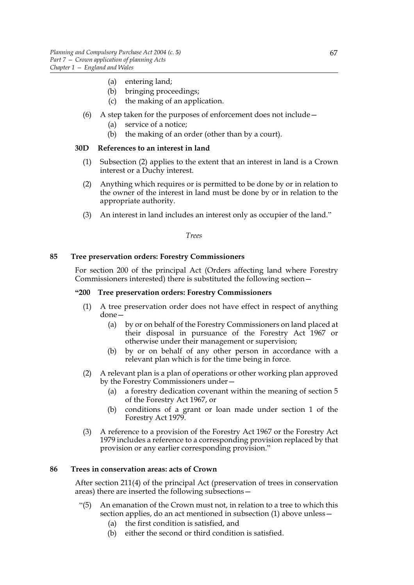- (a) entering land;
- (b) bringing proceedings;
- (c) the making of an application.
- (6) A step taken for the purposes of enforcement does not include—
	- (a) service of a notice;
	- (b) the making of an order (other than by a court).

## **30D References to an interest in land**

- (1) Subsection (2) applies to the extent that an interest in land is a Crown interest or a Duchy interest.
- (2) Anything which requires or is permitted to be done by or in relation to the owner of the interest in land must be done by or in relation to the appropriate authority.
- (3) An interest in land includes an interest only as occupier of the land."

*Trees*

## **85 Tree preservation orders: Forestry Commissioners**

For section 200 of the principal Act (Orders affecting land where Forestry Commissioners interested) there is substituted the following section—

## **"200 Tree preservation orders: Forestry Commissioners**

- (1) A tree preservation order does not have effect in respect of anything done—
	- (a) by or on behalf of the Forestry Commissioners on land placed at their disposal in pursuance of the Forestry Act 1967 or otherwise under their management or supervision;
	- (b) by or on behalf of any other person in accordance with a relevant plan which is for the time being in force.
- (2) A relevant plan is a plan of operations or other working plan approved by the Forestry Commissioners under—
	- (a) a forestry dedication covenant within the meaning of section 5 of the Forestry Act 1967, or
	- (b) conditions of a grant or loan made under section 1 of the Forestry Act 1979.
- (3) A reference to a provision of the Forestry Act 1967 or the Forestry Act 1979 includes a reference to a corresponding provision replaced by that provision or any earlier corresponding provision."

# **86 Trees in conservation areas: acts of Crown**

After section 211(4) of the principal Act (preservation of trees in conservation areas) there are inserted the following subsections—

- "(5) An emanation of the Crown must not, in relation to a tree to which this section applies, do an act mentioned in subsection (1) above unless—
	- (a) the first condition is satisfied, and
	- (b) either the second or third condition is satisfied.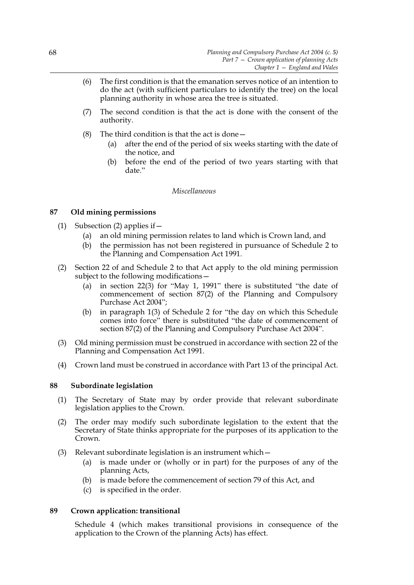- (6) The first condition is that the emanation serves notice of an intention to do the act (with sufficient particulars to identify the tree) on the local planning authority in whose area the tree is situated.
- (7) The second condition is that the act is done with the consent of the authority.
- (8) The third condition is that the act is done—
	- (a) after the end of the period of six weeks starting with the date of the notice, and
	- (b) before the end of the period of two years starting with that date."

## *Miscellaneous*

# **87 Old mining permissions**

- (1) Subsection (2) applies if  $-$ 
	- (a) an old mining permission relates to land which is Crown land, and
	- (b) the permission has not been registered in pursuance of Schedule 2 to the Planning and Compensation Act 1991.
- (2) Section 22 of and Schedule 2 to that Act apply to the old mining permission subject to the following modifications—
	- (a) in section 22(3) for "May 1, 1991" there is substituted "the date of commencement of section 87(2) of the Planning and Compulsory Purchase Act 2004";
	- (b) in paragraph 1(3) of Schedule 2 for "the day on which this Schedule comes into force" there is substituted "the date of commencement of section 87(2) of the Planning and Compulsory Purchase Act 2004".
- (3) Old mining permission must be construed in accordance with section 22 of the Planning and Compensation Act 1991.
- (4) Crown land must be construed in accordance with Part 13 of the principal Act.

# **88 Subordinate legislation**

- (1) The Secretary of State may by order provide that relevant subordinate legislation applies to the Crown.
- (2) The order may modify such subordinate legislation to the extent that the Secretary of State thinks appropriate for the purposes of its application to the Crown.
- (3) Relevant subordinate legislation is an instrument which—
	- (a) is made under or (wholly or in part) for the purposes of any of the planning Acts,
	- (b) is made before the commencement of section 79 of this Act, and
	- (c) is specified in the order.

### **89 Crown application: transitional**

Schedule 4 (which makes transitional provisions in consequence of the application to the Crown of the planning Acts) has effect.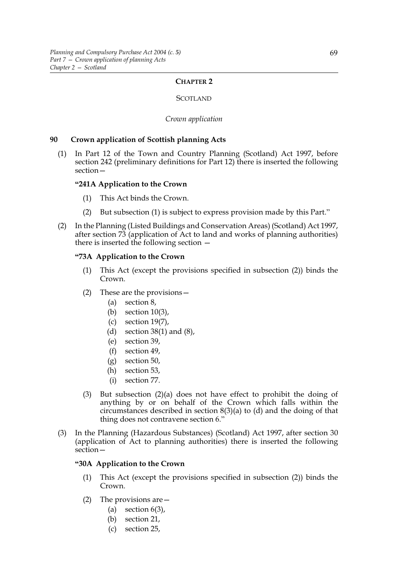### **CHAPTER 2**

### **SCOTLAND**

#### *Crown application*

### **90 Crown application of Scottish planning Acts**

(1) In Part 12 of the Town and Country Planning (Scotland) Act 1997, before section 242 (preliminary definitions for Part 12) there is inserted the following section—

### **"241A Application to the Crown**

- (1) This Act binds the Crown.
- (2) But subsection (1) is subject to express provision made by this Part."
- (2) In the Planning (Listed Buildings and Conservation Areas) (Scotland) Act 1997, after section 73 (application of Act to land and works of planning authorities) there is inserted the following section —

### **"73A Application to the Crown**

- (1) This Act (except the provisions specified in subsection (2)) binds the Crown.
- (2) These are the provisions—
	- (a) section 8,
	- (b) section 10(3),
	- (c) section 19(7),
	- (d) section 38(1) and (8),
	- (e) section 39,
	- (f) section 49,
	- (g) section 50,
	- (h) section 53,
	- (i) section 77.
- (3) But subsection (2)(a) does not have effect to prohibit the doing of anything by or on behalf of the Crown which falls within the circumstances described in section 8(3)(a) to (d) and the doing of that thing does not contravene section 6."
- (3) In the Planning (Hazardous Substances) (Scotland) Act 1997, after section 30 (application of Act to planning authorities) there is inserted the following section—

#### **"30A Application to the Crown**

- (1) This Act (except the provisions specified in subsection (2)) binds the Crown.
- (2) The provisions are—
	- (a) section  $6(3)$ ,
	- (b) section 21,
	- (c) section 25,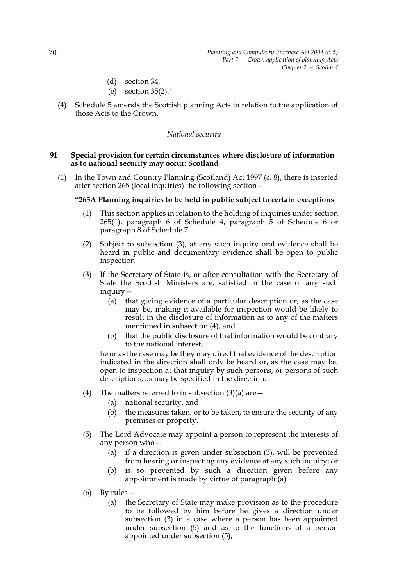- (d) section 34,
- (e) section 35(2)."
- (4) Schedule 5 amends the Scottish planning Acts in relation to the application of those Acts to the Crown.

## *National security*

## **91 Special provision for certain circumstances where disclosure of information as to national security may occur: Scotland**

(1) In the Town and Country Planning (Scotland) Act 1997 (c. 8), there is inserted after section 265 (local inquiries) the following section—

## **"265A Planning inquiries to be held in public subject to certain exceptions**

- (1) This section applies in relation to the holding of inquiries under section 265(1), paragraph 6 of Schedule 4, paragraph 5 of Schedule 6 or paragraph 8 of Schedule 7.
- (2) Subject to subsection (3), at any such inquiry oral evidence shall be heard in public and documentary evidence shall be open to public inspection.
- (3) If the Secretary of State is, or after consultation with the Secretary of State the Scottish Ministers are, satisfied in the case of any such inquiry—
	- (a) that giving evidence of a particular description or, as the case may be, making it available for inspection would be likely to result in the disclosure of information as to any of the matters mentioned in subsection (4), and
	- (b) that the public disclosure of that information would be contrary to the national interest,

he or as the case may be they may direct that evidence of the description indicated in the direction shall only be heard or, as the case may be, open to inspection at that inquiry by such persons, or persons of such descriptions, as may be specified in the direction.

- (4) The matters referred to in subsection  $(3)(a)$  are  $-$ 
	- (a) national security, and
	- (b) the measures taken, or to be taken, to ensure the security of any premises or property.
- (5) The Lord Advocate may appoint a person to represent the interests of any person who—
	- (a) if a direction is given under subsection (3), will be prevented from hearing or inspecting any evidence at any such inquiry; or
	- (b) is so prevented by such a direction given before any appointment is made by virtue of paragraph (a).
- (6) By rules—
	- (a) the Secretary of State may make provision as to the procedure to be followed by him before he gives a direction under subsection (3) in a case where a person has been appointed under subsection (5) and as to the functions of a person appointed under subsection (5),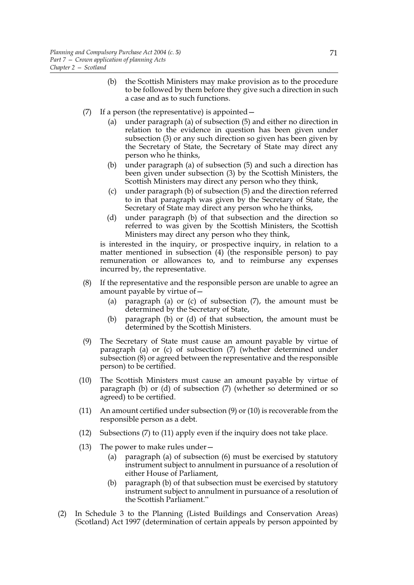- (b) the Scottish Ministers may make provision as to the procedure to be followed by them before they give such a direction in such a case and as to such functions.
- (7) If a person (the representative) is appointed—
	- (a) under paragraph (a) of subsection (5) and either no direction in relation to the evidence in question has been given under subsection (3) or any such direction so given has been given by the Secretary of State, the Secretary of State may direct any person who he thinks,
	- (b) under paragraph (a) of subsection (5) and such a direction has been given under subsection (3) by the Scottish Ministers, the Scottish Ministers may direct any person who they think,
	- (c) under paragraph (b) of subsection (5) and the direction referred to in that paragraph was given by the Secretary of State, the Secretary of State may direct any person who he thinks,
	- (d) under paragraph (b) of that subsection and the direction so referred to was given by the Scottish Ministers, the Scottish Ministers may direct any person who they think,

is interested in the inquiry, or prospective inquiry, in relation to a matter mentioned in subsection (4) (the responsible person) to pay remuneration or allowances to, and to reimburse any expenses incurred by, the representative.

- (8) If the representative and the responsible person are unable to agree an amount payable by virtue of—
	- (a) paragraph (a) or (c) of subsection (7), the amount must be determined by the Secretary of State,
	- (b) paragraph (b) or (d) of that subsection, the amount must be determined by the Scottish Ministers.
- (9) The Secretary of State must cause an amount payable by virtue of paragraph (a) or (c) of subsection (7) (whether determined under subsection (8) or agreed between the representative and the responsible person) to be certified.
- (10) The Scottish Ministers must cause an amount payable by virtue of paragraph (b) or (d) of subsection (7) (whether so determined or so agreed) to be certified.
- (11) An amount certified under subsection (9) or (10) is recoverable from the responsible person as a debt.
- (12) Subsections (7) to (11) apply even if the inquiry does not take place.
- (13) The power to make rules under—
	- (a) paragraph (a) of subsection (6) must be exercised by statutory instrument subject to annulment in pursuance of a resolution of either House of Parliament,
	- (b) paragraph (b) of that subsection must be exercised by statutory instrument subject to annulment in pursuance of a resolution of the Scottish Parliament."
- (2) In Schedule 3 to the Planning (Listed Buildings and Conservation Areas) (Scotland) Act 1997 (determination of certain appeals by person appointed by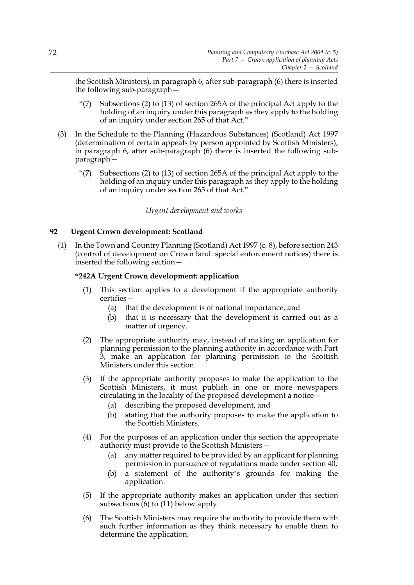the Scottish Ministers), in paragraph 6, after sub-paragraph (6) there is inserted the following sub-paragraph—

- "(7) Subsections (2) to (13) of section 265A of the principal Act apply to the holding of an inquiry under this paragraph as they apply to the holding of an inquiry under section 265 of that Act."
- (3) In the Schedule to the Planning (Hazardous Substances) (Scotland) Act 1997 (determination of certain appeals by person appointed by Scottish Ministers), in paragraph 6, after sub-paragraph (6) there is inserted the following subparagraph—
	- "(7) Subsections (2) to (13) of section 265A of the principal Act apply to the holding of an inquiry under this paragraph as they apply to the holding of an inquiry under section 265 of that Act."

# *Urgent development and works*

# **92 Urgent Crown development: Scotland**

(1) In the Town and Country Planning (Scotland) Act 1997 (c. 8), before section 243 (control of development on Crown land: special enforcement notices) there is inserted the following section—

# **"242A Urgent Crown development: application**

- (1) This section applies to a development if the appropriate authority certifies—
	- (a) that the development is of national importance, and
	- (b) that it is necessary that the development is carried out as a matter of urgency.
- (2) The appropriate authority may, instead of making an application for planning permission to the planning authority in accordance with Part 3, make an application for planning permission to the Scottish Ministers under this section.
- (3) If the appropriate authority proposes to make the application to the Scottish Ministers, it must publish in one or more newspapers circulating in the locality of the proposed development a notice—
	- (a) describing the proposed development, and
	- (b) stating that the authority proposes to make the application to the Scottish Ministers.
- (4) For the purposes of an application under this section the appropriate authority must provide to the Scottish Ministers—
	- (a) any matter required to be provided by an applicant for planning permission in pursuance of regulations made under section 40,
	- (b) a statement of the authority's grounds for making the application.
- (5) If the appropriate authority makes an application under this section subsections (6) to (11) below apply.
- (6) The Scottish Ministers may require the authority to provide them with such further information as they think necessary to enable them to determine the application.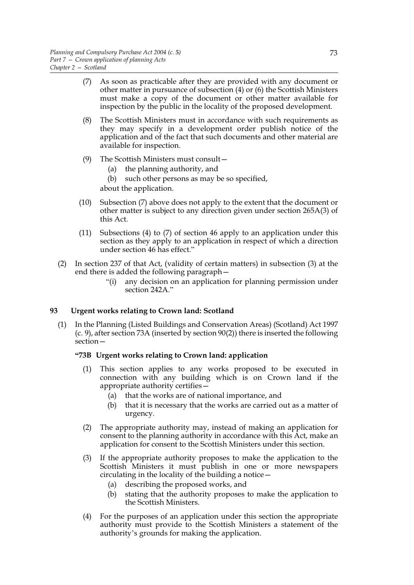- (7) As soon as practicable after they are provided with any document or other matter in pursuance of subsection (4) or (6) the Scottish Ministers must make a copy of the document or other matter available for inspection by the public in the locality of the proposed development.
- (8) The Scottish Ministers must in accordance with such requirements as they may specify in a development order publish notice of the application and of the fact that such documents and other material are available for inspection.
- (9) The Scottish Ministers must consult—
	- (a) the planning authority, and
	- (b) such other persons as may be so specified,

about the application.

- (10) Subsection (7) above does not apply to the extent that the document or other matter is subject to any direction given under section 265A(3) of this Act.
- (11) Subsections (4) to (7) of section 46 apply to an application under this section as they apply to an application in respect of which a direction under section 46 has effect."
- (2) In section 237 of that Act, (validity of certain matters) in subsection (3) at the end there is added the following paragraph—
	- "(i) any decision on an application for planning permission under section 242A."

# **93 Urgent works relating to Crown land: Scotland**

(1) In the Planning (Listed Buildings and Conservation Areas) (Scotland) Act 1997 (c. 9), after section 73A (inserted by section 90(2)) there is inserted the following section—

# **"73B Urgent works relating to Crown land: application**

- (1) This section applies to any works proposed to be executed in connection with any building which is on Crown land if the appropriate authority certifies—
	- (a) that the works are of national importance, and
	- (b) that it is necessary that the works are carried out as a matter of urgency.
- (2) The appropriate authority may, instead of making an application for consent to the planning authority in accordance with this Act, make an application for consent to the Scottish Ministers under this section.
- (3) If the appropriate authority proposes to make the application to the Scottish Ministers it must publish in one or more newspapers circulating in the locality of the building a notice—
	- (a) describing the proposed works, and
	- (b) stating that the authority proposes to make the application to the Scottish Ministers.
- (4) For the purposes of an application under this section the appropriate authority must provide to the Scottish Ministers a statement of the authority's grounds for making the application.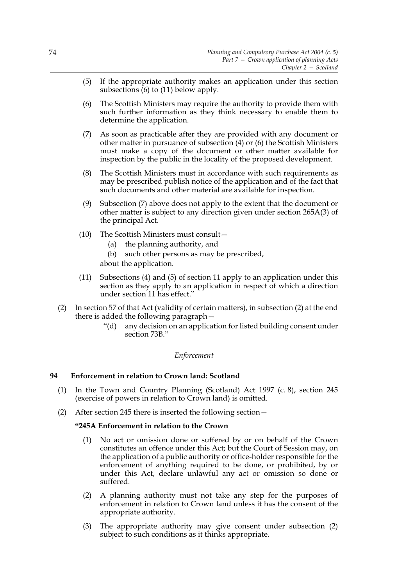- (5) If the appropriate authority makes an application under this section subsections  $(6)$  to (11) below apply.
- (6) The Scottish Ministers may require the authority to provide them with such further information as they think necessary to enable them to determine the application.
- (7) As soon as practicable after they are provided with any document or other matter in pursuance of subsection (4) or (6) the Scottish Ministers must make a copy of the document or other matter available for inspection by the public in the locality of the proposed development.
- (8) The Scottish Ministers must in accordance with such requirements as may be prescribed publish notice of the application and of the fact that such documents and other material are available for inspection.
- (9) Subsection (7) above does not apply to the extent that the document or other matter is subject to any direction given under section 265A(3) of the principal Act.
- (10) The Scottish Ministers must consult—
	- (a) the planning authority, and
	- (b) such other persons as may be prescribed,

about the application.

- (11) Subsections (4) and (5) of section 11 apply to an application under this section as they apply to an application in respect of which a direction under section 11 has effect."
- (2) In section 57 of that Act (validity of certain matters), in subsection (2) at the end there is added the following paragraph—
	- "(d) any decision on an application for listed building consent under section 73B."

# *Enforcement*

# **94 Enforcement in relation to Crown land: Scotland**

- (1) In the Town and Country Planning (Scotland) Act 1997 (c. 8), section 245 (exercise of powers in relation to Crown land) is omitted.
- (2) After section 245 there is inserted the following section—

# **"245A Enforcement in relation to the Crown**

- (1) No act or omission done or suffered by or on behalf of the Crown constitutes an offence under this Act; but the Court of Session may, on the application of a public authority or office-holder responsible for the enforcement of anything required to be done, or prohibited, by or under this Act, declare unlawful any act or omission so done or suffered.
- (2) A planning authority must not take any step for the purposes of enforcement in relation to Crown land unless it has the consent of the appropriate authority.
- (3) The appropriate authority may give consent under subsection (2) subject to such conditions as it thinks appropriate.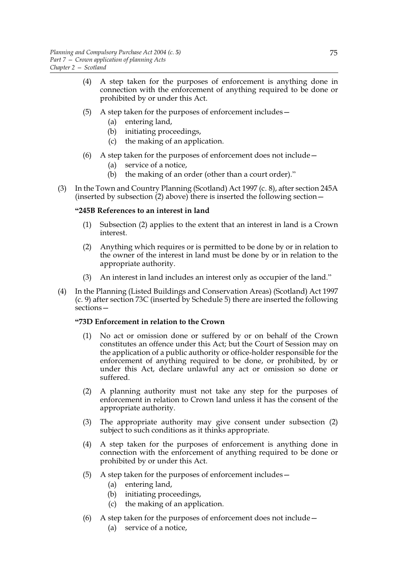- (4) A step taken for the purposes of enforcement is anything done in connection with the enforcement of anything required to be done or prohibited by or under this Act.
- (5) A step taken for the purposes of enforcement includes—
	- (a) entering land,
	- (b) initiating proceedings,
	- (c) the making of an application.
- (6) A step taken for the purposes of enforcement does not include—
	- (a) service of a notice,
	- (b) the making of an order (other than a court order)."
- (3) In the Town and Country Planning (Scotland) Act 1997 (c. 8), after section 245A (inserted by subsection (2) above) there is inserted the following section—

## **"245B References to an interest in land**

- (1) Subsection (2) applies to the extent that an interest in land is a Crown interest.
- (2) Anything which requires or is permitted to be done by or in relation to the owner of the interest in land must be done by or in relation to the appropriate authority.
- (3) An interest in land includes an interest only as occupier of the land."
- (4) In the Planning (Listed Buildings and Conservation Areas) (Scotland) Act 1997 (c. 9) after section 73C (inserted by Schedule 5) there are inserted the following sections—

### **"73D Enforcement in relation to the Crown**

- (1) No act or omission done or suffered by or on behalf of the Crown constitutes an offence under this Act; but the Court of Session may on the application of a public authority or office-holder responsible for the enforcement of anything required to be done, or prohibited, by or under this Act, declare unlawful any act or omission so done or suffered.
- (2) A planning authority must not take any step for the purposes of enforcement in relation to Crown land unless it has the consent of the appropriate authority.
- (3) The appropriate authority may give consent under subsection (2) subject to such conditions as it thinks appropriate.
- (4) A step taken for the purposes of enforcement is anything done in connection with the enforcement of anything required to be done or prohibited by or under this Act.
- (5) A step taken for the purposes of enforcement includes—
	- (a) entering land,
	- (b) initiating proceedings,
	- (c) the making of an application.
- (6) A step taken for the purposes of enforcement does not include—
	- (a) service of a notice,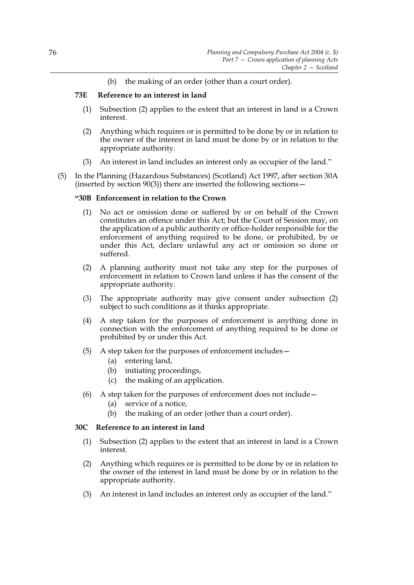(b) the making of an order (other than a court order).

# **73E Reference to an interest in land**

- (1) Subsection (2) applies to the extent that an interest in land is a Crown interest.
- (2) Anything which requires or is permitted to be done by or in relation to the owner of the interest in land must be done by or in relation to the appropriate authority.
- (3) An interest in land includes an interest only as occupier of the land."
- (5) In the Planning (Hazardous Substances) (Scotland) Act 1997, after section 30A (inserted by section  $90(3)$ ) there are inserted the following sections –

# **"30B Enforcement in relation to the Crown**

- (1) No act or omission done or suffered by or on behalf of the Crown constitutes an offence under this Act; but the Court of Session may, on the application of a public authority or office-holder responsible for the enforcement of anything required to be done, or prohibited, by or under this Act, declare unlawful any act or omission so done or suffered.
- (2) A planning authority must not take any step for the purposes of enforcement in relation to Crown land unless it has the consent of the appropriate authority.
- (3) The appropriate authority may give consent under subsection (2) subject to such conditions as it thinks appropriate.
- (4) A step taken for the purposes of enforcement is anything done in connection with the enforcement of anything required to be done or prohibited by or under this Act.
- (5) A step taken for the purposes of enforcement includes—
	- (a) entering land,
	- (b) initiating proceedings,
	- (c) the making of an application.
- (6) A step taken for the purposes of enforcement does not include—
	- (a) service of a notice,
	- (b) the making of an order (other than a court order).

### **30C Reference to an interest in land**

- (1) Subsection (2) applies to the extent that an interest in land is a Crown interest.
- (2) Anything which requires or is permitted to be done by or in relation to the owner of the interest in land must be done by or in relation to the appropriate authority.
- (3) An interest in land includes an interest only as occupier of the land."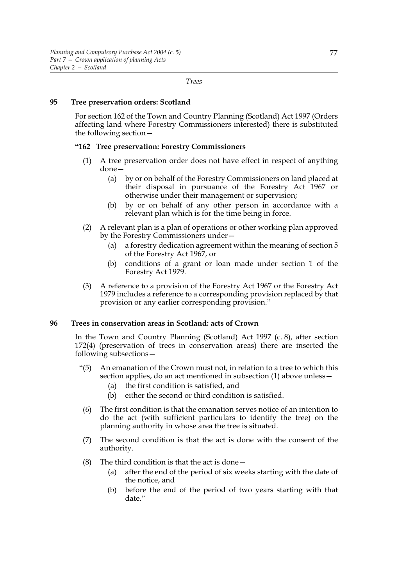*Trees*

## **95 Tree preservation orders: Scotland**

For section 162 of the Town and Country Planning (Scotland) Act 1997 (Orders affecting land where Forestry Commissioners interested) there is substituted the following section—

#### **"162 Tree preservation: Forestry Commissioners**

- (1) A tree preservation order does not have effect in respect of anything done—
	- (a) by or on behalf of the Forestry Commissioners on land placed at their disposal in pursuance of the Forestry Act 1967 or otherwise under their management or supervision;
	- (b) by or on behalf of any other person in accordance with a relevant plan which is for the time being in force.
- (2) A relevant plan is a plan of operations or other working plan approved by the Forestry Commissioners under—
	- (a) a forestry dedication agreement within the meaning of section 5 of the Forestry Act 1967, or
	- (b) conditions of a grant or loan made under section 1 of the Forestry Act 1979.
- (3) A reference to a provision of the Forestry Act 1967 or the Forestry Act 1979 includes a reference to a corresponding provision replaced by that provision or any earlier corresponding provision."

# **96 Trees in conservation areas in Scotland: acts of Crown**

In the Town and Country Planning (Scotland) Act 1997 (c. 8), after section 172(4) (preservation of trees in conservation areas) there are inserted the following subsections—

- "(5) An emanation of the Crown must not, in relation to a tree to which this section applies, do an act mentioned in subsection (1) above unless—
	- (a) the first condition is satisfied, and
	- (b) either the second or third condition is satisfied.
	- (6) The first condition is that the emanation serves notice of an intention to do the act (with sufficient particulars to identify the tree) on the planning authority in whose area the tree is situated.
- (7) The second condition is that the act is done with the consent of the authority.
- (8) The third condition is that the act is done—
	- (a) after the end of the period of six weeks starting with the date of the notice, and
	- (b) before the end of the period of two years starting with that date."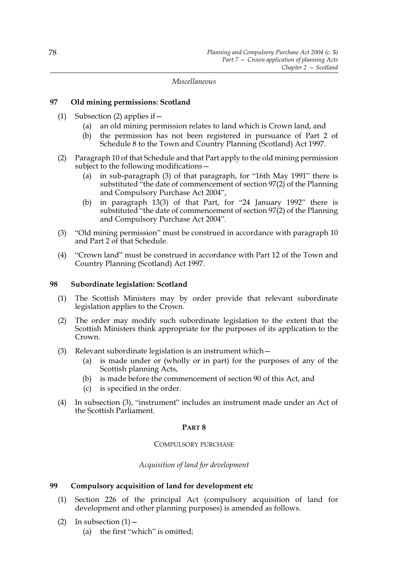*Miscellaneous*

# **97 Old mining permissions: Scotland**

- (1) Subsection (2) applies if  $-$ 
	- (a) an old mining permission relates to land which is Crown land, and
	- (b) the permission has not been registered in pursuance of Part 2 of Schedule 8 to the Town and Country Planning (Scotland) Act 1997.
- (2) Paragraph 10 of that Schedule and that Part apply to the old mining permission subject to the following modifications—
	- (a) in sub-paragraph (3) of that paragraph, for "16th May 1991" there is substituted "the date of commencement of section 97(2) of the Planning and Compulsory Purchase Act 2004",
	- (b) in paragraph 13(3) of that Part, for "24 January 1992" there is substituted "the date of commencement of section 97(2) of the Planning and Compulsory Purchase Act 2004".
- (3) "Old mining permission" must be construed in accordance with paragraph 10 and Part 2 of that Schedule.
- (4) "Crown land" must be construed in accordance with Part 12 of the Town and Country Planning (Scotland) Act 1997.

## **98 Subordinate legislation: Scotland**

- (1) The Scottish Ministers may by order provide that relevant subordinate legislation applies to the Crown.
- (2) The order may modify such subordinate legislation to the extent that the Scottish Ministers think appropriate for the purposes of its application to the Crown.
- (3) Relevant subordinate legislation is an instrument which—
	- (a) is made under or (wholly or in part) for the purposes of any of the Scottish planning Acts,
	- (b) is made before the commencement of section 90 of this Act, and
	- (c) is specified in the order.
- (4) In subsection (3), "instrument" includes an instrument made under an Act of the Scottish Parliament.

### **PART 8**

### COMPULSORY PURCHASE

# *Acquisition of land for development*

# **99 Compulsory acquisition of land for development etc**

- (1) Section 226 of the principal Act (compulsory acquisition of land for development and other planning purposes) is amended as follows.
- (2) In subsection  $(1)$  -(a) the first "which" is omitted;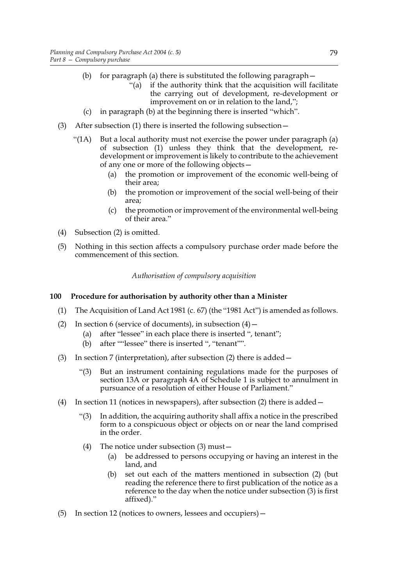- (b) for paragraph (a) there is substituted the following paragraph—
	- "(a) if the authority think that the acquisition will facilitate the carrying out of development, re-development or improvement on or in relation to the land,";
- (c) in paragraph (b) at the beginning there is inserted "which".
- (3) After subsection (1) there is inserted the following subsection—
	- "( $1A$ ) But a local authority must not exercise the power under paragraph (a) of subsection (1) unless they think that the development, redevelopment or improvement is likely to contribute to the achievement of any one or more of the following objects—
		- (a) the promotion or improvement of the economic well-being of their area;
		- (b) the promotion or improvement of the social well-being of their area;
		- (c) the promotion or improvement of the environmental well-being of their area."
- (4) Subsection (2) is omitted.
- (5) Nothing in this section affects a compulsory purchase order made before the commencement of this section.

*Authorisation of compulsory acquisition*

# **100 Procedure for authorisation by authority other than a Minister**

- (1) The Acquisition of Land Act 1981 (c. 67) (the "1981 Act") is amended as follows.
- (2) In section 6 (service of documents), in subsection  $(4)$ 
	- (a) after "lessee" in each place there is inserted ", tenant";
	- (b) after ""lessee" there is inserted ", "tenant"".
- (3) In section 7 (interpretation), after subsection (2) there is added—
	- "(3) But an instrument containing regulations made for the purposes of section 13A or paragraph 4A of Schedule 1 is subject to annulment in pursuance of a resolution of either House of Parliament."
- (4) In section 11 (notices in newspapers), after subsection (2) there is added—
	- "(3) In addition, the acquiring authority shall affix a notice in the prescribed form to a conspicuous object or objects on or near the land comprised in the order.
	- (4) The notice under subsection (3) must—
		- (a) be addressed to persons occupying or having an interest in the land, and
		- (b) set out each of the matters mentioned in subsection (2) (but reading the reference there to first publication of the notice as a reference to the day when the notice under subsection (3) is first affixed)."
- (5) In section 12 (notices to owners, lessees and occupiers)—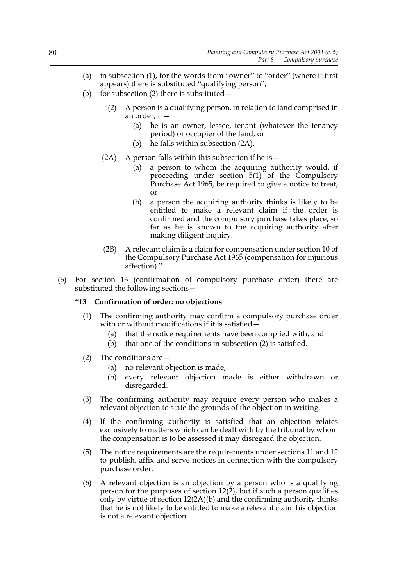- (a) in subsection (1), for the words from "owner" to "order" (where it first appears) there is substituted "qualifying person";
- (b) for subsection  $(2)$  there is substituted  $-$ 
	- "(2) A person is a qualifying person, in relation to land comprised in an order, if—
		- (a) he is an owner, lessee, tenant (whatever the tenancy period) or occupier of the land, or
		- (b) he falls within subsection (2A).
	- (2A) A person falls within this subsection if he is  $-$ 
		- (a) a person to whom the acquiring authority would, if proceeding under section 5(1) of the Compulsory Purchase Act 1965, be required to give a notice to treat, or
		- (b) a person the acquiring authority thinks is likely to be entitled to make a relevant claim if the order is confirmed and the compulsory purchase takes place, so far as he is known to the acquiring authority after making diligent inquiry.
	- (2B) A relevant claim is a claim for compensation under section 10 of the Compulsory Purchase Act 1965 (compensation for injurious affection)."
- (6) For section 13 (confirmation of compulsory purchase order) there are substituted the following sections—

### **"13 Confirmation of order: no objections**

- (1) The confirming authority may confirm a compulsory purchase order with or without modifications if it is satisfied -
	- (a) that the notice requirements have been complied with, and
	- (b) that one of the conditions in subsection (2) is satisfied.
- (2) The conditions are—
	- (a) no relevant objection is made;
	- (b) every relevant objection made is either withdrawn or disregarded.
- (3) The confirming authority may require every person who makes a relevant objection to state the grounds of the objection in writing.
- (4) If the confirming authority is satisfied that an objection relates exclusively to matters which can be dealt with by the tribunal by whom the compensation is to be assessed it may disregard the objection.
- (5) The notice requirements are the requirements under sections 11 and 12 to publish, affix and serve notices in connection with the compulsory purchase order.
- (6) A relevant objection is an objection by a person who is a qualifying person for the purposes of section  $12(2)$ , but if such a person qualifies only by virtue of section 12(2A)(b) and the confirming authority thinks that he is not likely to be entitled to make a relevant claim his objection is not a relevant objection.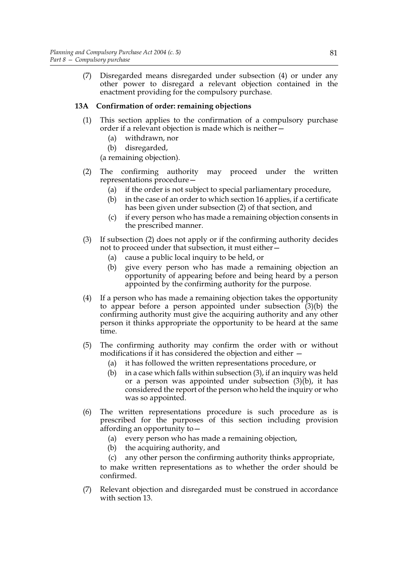(7) Disregarded means disregarded under subsection (4) or under any other power to disregard a relevant objection contained in the enactment providing for the compulsory purchase.

# **13A Confirmation of order: remaining objections**

- (1) This section applies to the confirmation of a compulsory purchase order if a relevant objection is made which is neither—
	- (a) withdrawn, nor
	- (b) disregarded,

(a remaining objection).

- (2) The confirming authority may proceed under the written representations procedure—
	- (a) if the order is not subject to special parliamentary procedure,
	- (b) in the case of an order to which section 16 applies, if a certificate has been given under subsection (2) of that section, and
	- (c) if every person who has made a remaining objection consents in the prescribed manner.
- (3) If subsection (2) does not apply or if the confirming authority decides not to proceed under that subsection, it must either—
	- (a) cause a public local inquiry to be held, or
	- (b) give every person who has made a remaining objection an opportunity of appearing before and being heard by a person appointed by the confirming authority for the purpose.
- (4) If a person who has made a remaining objection takes the opportunity to appear before a person appointed under subsection  $(3)(b)$  the confirming authority must give the acquiring authority and any other person it thinks appropriate the opportunity to be heard at the same time.
- (5) The confirming authority may confirm the order with or without modifications if it has considered the objection and either —
	- (a) it has followed the written representations procedure, or
	- (b) in a case which falls within subsection  $(3)$ , if an inquiry was held or a person was appointed under subsection (3)(b), it has considered the report of the person who held the inquiry or who was so appointed.
- (6) The written representations procedure is such procedure as is prescribed for the purposes of this section including provision affording an opportunity to—
	- (a) every person who has made a remaining objection,
	- (b) the acquiring authority, and
	- (c) any other person the confirming authority thinks appropriate,

to make written representations as to whether the order should be confirmed.

(7) Relevant objection and disregarded must be construed in accordance with section 13.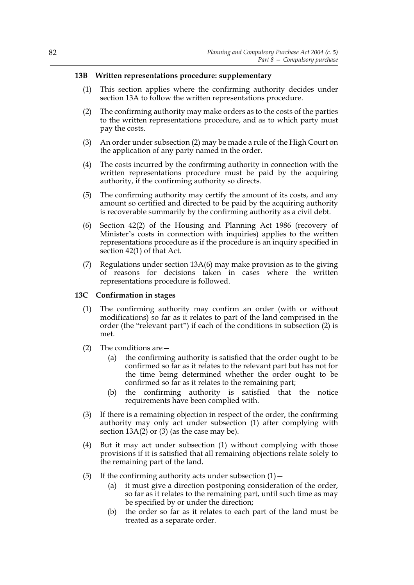## **13B Written representations procedure: supplementary**

- (1) This section applies where the confirming authority decides under section 13A to follow the written representations procedure.
- (2) The confirming authority may make orders as to the costs of the parties to the written representations procedure, and as to which party must pay the costs.
- (3) An order under subsection (2) may be made a rule of the High Court on the application of any party named in the order.
- (4) The costs incurred by the confirming authority in connection with the written representations procedure must be paid by the acquiring authority, if the confirming authority so directs.
- (5) The confirming authority may certify the amount of its costs, and any amount so certified and directed to be paid by the acquiring authority is recoverable summarily by the confirming authority as a civil debt.
- (6) Section 42(2) of the Housing and Planning Act 1986 (recovery of Minister's costs in connection with inquiries) applies to the written representations procedure as if the procedure is an inquiry specified in section 42(1) of that Act.
- (7) Regulations under section 13A(6) may make provision as to the giving of reasons for decisions taken in cases where the written representations procedure is followed.

### **13C Confirmation in stages**

- (1) The confirming authority may confirm an order (with or without modifications) so far as it relates to part of the land comprised in the order (the "relevant part") if each of the conditions in subsection (2) is met.
- (2) The conditions are—
	- (a) the confirming authority is satisfied that the order ought to be confirmed so far as it relates to the relevant part but has not for the time being determined whether the order ought to be confirmed so far as it relates to the remaining part;
	- (b) the confirming authority is satisfied that the notice requirements have been complied with.
- (3) If there is a remaining objection in respect of the order, the confirming authority may only act under subsection (1) after complying with section  $13A(2)$  or  $(3)$  (as the case may be).
- (4) But it may act under subsection (1) without complying with those provisions if it is satisfied that all remaining objections relate solely to the remaining part of the land.
- (5) If the confirming authority acts under subsection  $(1)$  -
	- (a) it must give a direction postponing consideration of the order, so far as it relates to the remaining part, until such time as may be specified by or under the direction;
	- (b) the order so far as it relates to each part of the land must be treated as a separate order.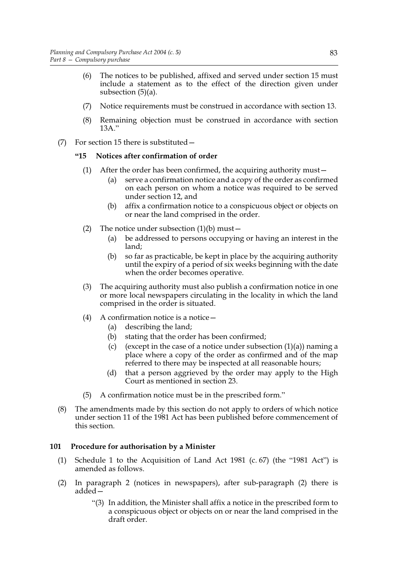- (6) The notices to be published, affixed and served under section 15 must include a statement as to the effect of the direction given under subsection (5)(a).
- (7) Notice requirements must be construed in accordance with section 13.
- (8) Remaining objection must be construed in accordance with section 13A."
- (7) For section 15 there is substituted—

# **"15 Notices after confirmation of order**

- (1) After the order has been confirmed, the acquiring authority must—
	- (a) serve a confirmation notice and a copy of the order as confirmed on each person on whom a notice was required to be served under section 12, and
	- (b) affix a confirmation notice to a conspicuous object or objects on or near the land comprised in the order.
- (2) The notice under subsection  $(1)(b)$  must -
	- (a) be addressed to persons occupying or having an interest in the land;
	- (b) so far as practicable, be kept in place by the acquiring authority until the expiry of a period of six weeks beginning with the date when the order becomes operative.
- (3) The acquiring authority must also publish a confirmation notice in one or more local newspapers circulating in the locality in which the land comprised in the order is situated.
- (4) A confirmation notice is a notice  $-$ 
	- (a) describing the land;
	- (b) stating that the order has been confirmed;
	- (c) (except in the case of a notice under subsection  $(1)(a)$ ) naming a place where a copy of the order as confirmed and of the map referred to there may be inspected at all reasonable hours;
	- (d) that a person aggrieved by the order may apply to the High Court as mentioned in section 23.
- (5) A confirmation notice must be in the prescribed form."
- (8) The amendments made by this section do not apply to orders of which notice under section 11 of the 1981 Act has been published before commencement of this section.

# **101 Procedure for authorisation by a Minister**

- (1) Schedule 1 to the Acquisition of Land Act 1981 (c. 67) (the "1981 Act") is amended as follows.
- (2) In paragraph 2 (notices in newspapers), after sub-paragraph (2) there is added—
	- "(3) In addition, the Minister shall affix a notice in the prescribed form to a conspicuous object or objects on or near the land comprised in the draft order.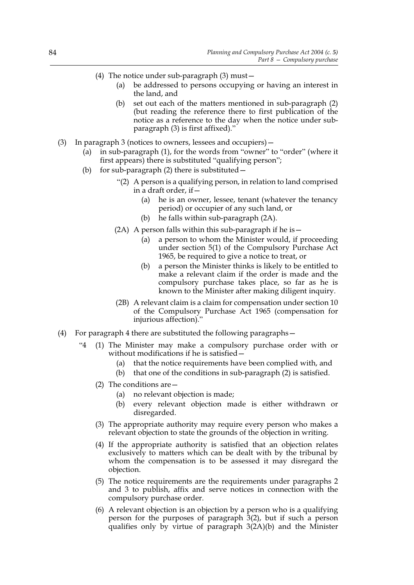- (4) The notice under sub-paragraph (3) must—
	- (a) be addressed to persons occupying or having an interest in the land, and
	- (b) set out each of the matters mentioned in sub-paragraph (2) (but reading the reference there to first publication of the notice as a reference to the day when the notice under subparagraph (3) is first affixed)."
- (3) In paragraph 3 (notices to owners, lessees and occupiers)—
	- (a) in sub-paragraph (1), for the words from "owner" to "order" (where it first appears) there is substituted "qualifying person";
	- (b) for sub-paragraph  $(2)$  there is substituted  $-$ 
		- "(2) A person is a qualifying person, in relation to land comprised in a draft order, if—
			- (a) he is an owner, lessee, tenant (whatever the tenancy period) or occupier of any such land, or
			- (b) he falls within sub-paragraph (2A).
		- $(2A)$  A person falls within this sub-paragraph if he is  $-$ 
			- (a) a person to whom the Minister would, if proceeding under section 5(1) of the Compulsory Purchase Act 1965, be required to give a notice to treat, or
			- (b) a person the Minister thinks is likely to be entitled to make a relevant claim if the order is made and the compulsory purchase takes place, so far as he is known to the Minister after making diligent inquiry.
		- (2B) A relevant claim is a claim for compensation under section 10 of the Compulsory Purchase Act 1965 (compensation for injurious affection)."
- (4) For paragraph 4 there are substituted the following paragraphs—
	- "4 (1) The Minister may make a compulsory purchase order with or without modifications if he is satisfied—
		- (a) that the notice requirements have been complied with, and
		- (b) that one of the conditions in sub-paragraph (2) is satisfied.
		- (2) The conditions are—
			- (a) no relevant objection is made;
			- (b) every relevant objection made is either withdrawn or disregarded.
		- (3) The appropriate authority may require every person who makes a relevant objection to state the grounds of the objection in writing.
		- (4) If the appropriate authority is satisfied that an objection relates exclusively to matters which can be dealt with by the tribunal by whom the compensation is to be assessed it may disregard the objection.
		- (5) The notice requirements are the requirements under paragraphs 2 and 3 to publish, affix and serve notices in connection with the compulsory purchase order.
		- (6) A relevant objection is an objection by a person who is a qualifying person for the purposes of paragraph 3(2), but if such a person qualifies only by virtue of paragraph 3(2A)(b) and the Minister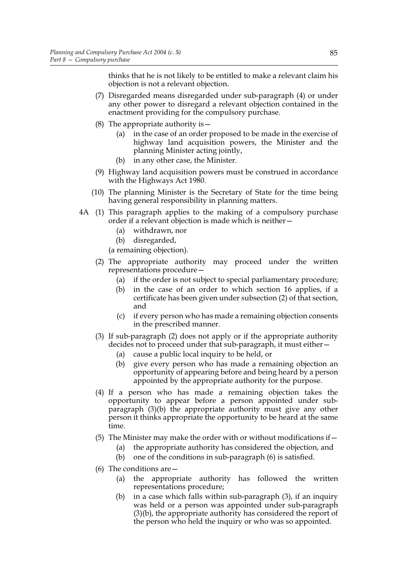thinks that he is not likely to be entitled to make a relevant claim his objection is not a relevant objection.

- (7) Disregarded means disregarded under sub-paragraph (4) or under any other power to disregard a relevant objection contained in the enactment providing for the compulsory purchase.
- (8) The appropriate authority is  $-$ 
	- (a) in the case of an order proposed to be made in the exercise of highway land acquisition powers, the Minister and the planning Minister acting jointly,
	- (b) in any other case, the Minister.
- (9) Highway land acquisition powers must be construed in accordance with the Highways Act 1980.
- (10) The planning Minister is the Secretary of State for the time being having general responsibility in planning matters.
- 4A (1) This paragraph applies to the making of a compulsory purchase order if a relevant objection is made which is neither—
	- (a) withdrawn, nor
	- (b) disregarded,
	- (a remaining objection).
	- (2) The appropriate authority may proceed under the written representations procedure—
		- (a) if the order is not subject to special parliamentary procedure;
		- (b) in the case of an order to which section 16 applies, if a certificate has been given under subsection (2) of that section, and
		- (c) if every person who has made a remaining objection consents in the prescribed manner.
	- (3) If sub-paragraph (2) does not apply or if the appropriate authority decides not to proceed under that sub-paragraph, it must either—
		- (a) cause a public local inquiry to be held, or
		- (b) give every person who has made a remaining objection an opportunity of appearing before and being heard by a person appointed by the appropriate authority for the purpose.
	- (4) If a person who has made a remaining objection takes the opportunity to appear before a person appointed under subparagraph (3)(b) the appropriate authority must give any other person it thinks appropriate the opportunity to be heard at the same time.
	- (5) The Minister may make the order with or without modifications if  $-$ 
		- (a) the appropriate authority has considered the objection, and
		- (b) one of the conditions in sub-paragraph (6) is satisfied.
	- (6) The conditions are  $-$ 
		- (a) the appropriate authority has followed the written representations procedure;
		- (b) in a case which falls within sub-paragraph (3), if an inquiry was held or a person was appointed under sub-paragraph (3)(b), the appropriate authority has considered the report of the person who held the inquiry or who was so appointed.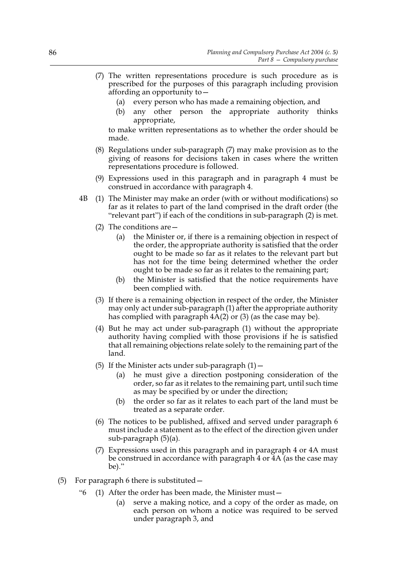- (7) The written representations procedure is such procedure as is prescribed for the purposes of this paragraph including provision affording an opportunity to—
	- (a) every person who has made a remaining objection, and
	- (b) any other person the appropriate authority thinks appropriate,

to make written representations as to whether the order should be made.

- (8) Regulations under sub-paragraph (7) may make provision as to the giving of reasons for decisions taken in cases where the written representations procedure is followed.
- (9) Expressions used in this paragraph and in paragraph 4 must be construed in accordance with paragraph 4.
- 4B (1) The Minister may make an order (with or without modifications) so far as it relates to part of the land comprised in the draft order (the "relevant part") if each of the conditions in sub-paragraph (2) is met.
	- (2) The conditions are—
		- (a) the Minister or, if there is a remaining objection in respect of the order, the appropriate authority is satisfied that the order ought to be made so far as it relates to the relevant part but has not for the time being determined whether the order ought to be made so far as it relates to the remaining part;
		- (b) the Minister is satisfied that the notice requirements have been complied with.
	- (3) If there is a remaining objection in respect of the order, the Minister may only act under sub-paragraph (1) after the appropriate authority has complied with paragraph 4A(2) or (3) (as the case may be).
	- (4) But he may act under sub-paragraph (1) without the appropriate authority having complied with those provisions if he is satisfied that all remaining objections relate solely to the remaining part of the land.
	- (5) If the Minister acts under sub-paragraph  $(1)$  -
		- (a) he must give a direction postponing consideration of the order, so far as it relates to the remaining part, until such time as may be specified by or under the direction;
		- (b) the order so far as it relates to each part of the land must be treated as a separate order.
	- (6) The notices to be published, affixed and served under paragraph 6 must include a statement as to the effect of the direction given under sub-paragraph (5)(a).
	- (7) Expressions used in this paragraph and in paragraph 4 or 4A must be construed in accordance with paragraph 4 or 4A (as the case may be)."
- (5) For paragraph 6 there is substituted—
	- "6 (1) After the order has been made, the Minister must—
		- (a) serve a making notice, and a copy of the order as made, on each person on whom a notice was required to be served under paragraph 3, and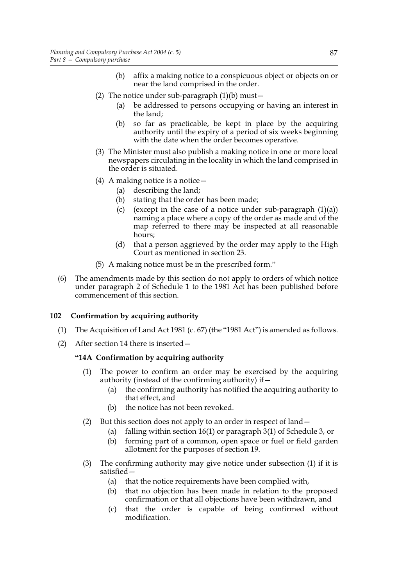- (b) affix a making notice to a conspicuous object or objects on or near the land comprised in the order.
- (2) The notice under sub-paragraph  $(1)(b)$  must -
	- (a) be addressed to persons occupying or having an interest in the land;
	- (b) so far as practicable, be kept in place by the acquiring authority until the expiry of a period of six weeks beginning with the date when the order becomes operative.
- (3) The Minister must also publish a making notice in one or more local newspapers circulating in the locality in which the land comprised in the order is situated.
- (4) A making notice is a notice  $-$ 
	- (a) describing the land;
	- (b) stating that the order has been made;
	- (c) (except in the case of a notice under sub-paragraph  $(1)(a)$ ) naming a place where a copy of the order as made and of the map referred to there may be inspected at all reasonable hours;
	- (d) that a person aggrieved by the order may apply to the High Court as mentioned in section 23.
- (5) A making notice must be in the prescribed form."
- (6) The amendments made by this section do not apply to orders of which notice under paragraph 2 of Schedule 1 to the 1981 Act has been published before commencement of this section.

# **102 Confirmation by acquiring authority**

- (1) The Acquisition of Land Act 1981 (c. 67) (the "1981 Act") is amended as follows.
- (2) After section 14 there is inserted—

# **"14A Confirmation by acquiring authority**

- (1) The power to confirm an order may be exercised by the acquiring authority (instead of the confirming authority) if—
	- (a) the confirming authority has notified the acquiring authority to that effect, and
	- (b) the notice has not been revoked.
- (2) But this section does not apply to an order in respect of land—
	- (a) falling within section 16(1) or paragraph 3(1) of Schedule 3, or
	- (b) forming part of a common, open space or fuel or field garden allotment for the purposes of section 19.
- (3) The confirming authority may give notice under subsection (1) if it is satisfied—
	- (a) that the notice requirements have been complied with,
	- (b) that no objection has been made in relation to the proposed confirmation or that all objections have been withdrawn, and
	- (c) that the order is capable of being confirmed without modification.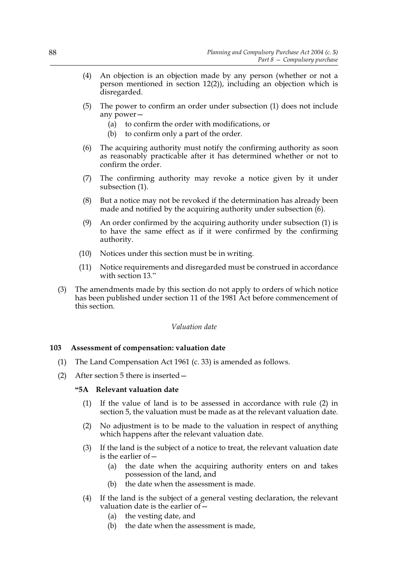- (4) An objection is an objection made by any person (whether or not a person mentioned in section 12(2)), including an objection which is disregarded.
- (5) The power to confirm an order under subsection (1) does not include any power—
	- (a) to confirm the order with modifications, or
	- (b) to confirm only a part of the order.
- (6) The acquiring authority must notify the confirming authority as soon as reasonably practicable after it has determined whether or not to confirm the order.
- (7) The confirming authority may revoke a notice given by it under subsection (1).
- (8) But a notice may not be revoked if the determination has already been made and notified by the acquiring authority under subsection  $(6)$ .
- (9) An order confirmed by the acquiring authority under subsection (1) is to have the same effect as if it were confirmed by the confirming authority.
- (10) Notices under this section must be in writing.
- (11) Notice requirements and disregarded must be construed in accordance with section 13."
- (3) The amendments made by this section do not apply to orders of which notice has been published under section 11 of the 1981 Act before commencement of this section.

### *Valuation date*

### **103 Assessment of compensation: valuation date**

- (1) The Land Compensation Act 1961 (c. 33) is amended as follows.
- (2) After section 5 there is inserted—

#### **"5A Relevant valuation date**

- (1) If the value of land is to be assessed in accordance with rule (2) in section 5, the valuation must be made as at the relevant valuation date.
- (2) No adjustment is to be made to the valuation in respect of anything which happens after the relevant valuation date.
- (3) If the land is the subject of a notice to treat, the relevant valuation date is the earlier of—
	- (a) the date when the acquiring authority enters on and takes possession of the land, and
	- (b) the date when the assessment is made.
- (4) If the land is the subject of a general vesting declaration, the relevant valuation date is the earlier of—
	- (a) the vesting date, and
	- (b) the date when the assessment is made,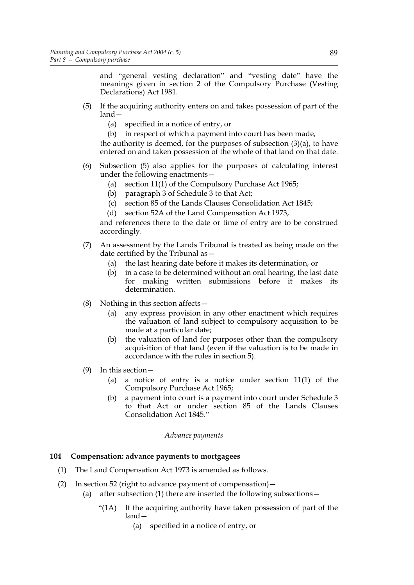and "general vesting declaration" and "vesting date" have the meanings given in section 2 of the Compulsory Purchase (Vesting Declarations) Act 1981.

- (5) If the acquiring authority enters on and takes possession of part of the land—
	- (a) specified in a notice of entry, or
	- (b) in respect of which a payment into court has been made,

the authority is deemed, for the purposes of subsection (3)(a), to have entered on and taken possession of the whole of that land on that date.

- (6) Subsection (5) also applies for the purposes of calculating interest under the following enactments—
	- (a) section 11(1) of the Compulsory Purchase Act 1965;
	- (b) paragraph 3 of Schedule 3 to that Act;
	- (c) section 85 of the Lands Clauses Consolidation Act 1845;
	- (d) section 52A of the Land Compensation Act 1973,

and references there to the date or time of entry are to be construed accordingly.

- (7) An assessment by the Lands Tribunal is treated as being made on the date certified by the Tribunal as—
	- (a) the last hearing date before it makes its determination, or
	- (b) in a case to be determined without an oral hearing, the last date for making written submissions before it makes its determination.
- (8) Nothing in this section affects  $$ 
	- any express provision in any other enactment which requires the valuation of land subject to compulsory acquisition to be made at a particular date;
	- (b) the valuation of land for purposes other than the compulsory acquisition of that land (even if the valuation is to be made in accordance with the rules in section 5).
- (9) In this section—
	- (a) a notice of entry is a notice under section 11(1) of the Compulsory Purchase Act 1965;
	- (b) a payment into court is a payment into court under Schedule 3 to that Act or under section 85 of the Lands Clauses Consolidation Act 1845."

### *Advance payments*

## **104 Compensation: advance payments to mortgagees**

- (1) The Land Compensation Act 1973 is amended as follows.
- (2) In section 52 (right to advance payment of compensation)—
	- (a) after subsection (1) there are inserted the following subsections  $-$ 
		- "(1A) If the acquiring authority have taken possession of part of the land—
			- (a) specified in a notice of entry, or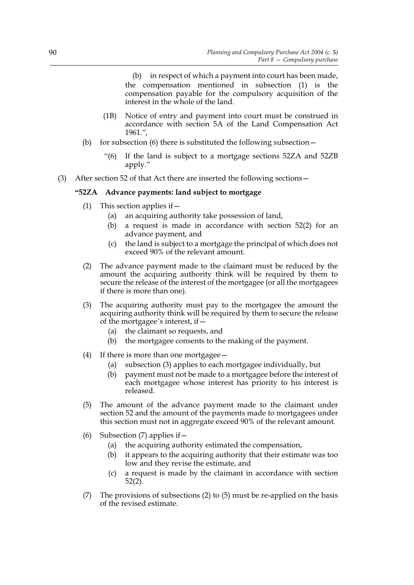(b) in respect of which a payment into court has been made, the compensation mentioned in subsection (1) is the compensation payable for the compulsory acquisition of the interest in the whole of the land.

- (1B) Notice of entry and payment into court must be construed in accordance with section 5A of the Land Compensation Act 1961.",
- (b) for subsection (6) there is substituted the following subsection  $-$ 
	- "(6) If the land is subject to a mortgage sections 52ZA and 52ZB apply."
- (3) After section 52 of that Act there are inserted the following sections—

# **"52ZA Advance payments: land subject to mortgage**

- (1) This section applies if  $-$ 
	- (a) an acquiring authority take possession of land,
	- (b) a request is made in accordance with section 52(2) for an advance payment, and
	- (c) the land is subject to a mortgage the principal of which does not exceed 90% of the relevant amount.
- (2) The advance payment made to the claimant must be reduced by the amount the acquiring authority think will be required by them to secure the release of the interest of the mortgagee (or all the mortgagees if there is more than one).
- (3) The acquiring authority must pay to the mortgagee the amount the acquiring authority think will be required by them to secure the release of the mortgagee's interest, if—
	- (a) the claimant so requests, and
	- (b) the mortgagee consents to the making of the payment.
- (4) If there is more than one mortgagee—
	- (a) subsection (3) applies to each mortgagee individually, but
	- (b) payment must not be made to a mortgagee before the interest of each mortgagee whose interest has priority to his interest is released.
- (5) The amount of the advance payment made to the claimant under section 52 and the amount of the payments made to mortgagees under this section must not in aggregate exceed 90% of the relevant amount.
- (6) Subsection  $(7)$  applies if  $-$ 
	- (a) the acquiring authority estimated the compensation,
	- (b) it appears to the acquiring authority that their estimate was too low and they revise the estimate, and
	- (c) a request is made by the claimant in accordance with section 52(2).
- (7) The provisions of subsections (2) to (5) must be re-applied on the basis of the revised estimate.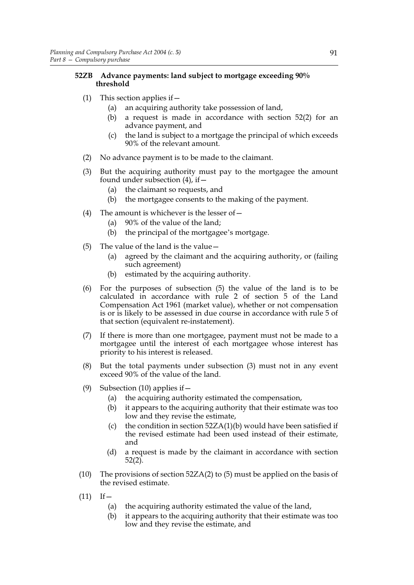# **52ZB Advance payments: land subject to mortgage exceeding 90% threshold**

- (1) This section applies if  $-$ 
	- (a) an acquiring authority take possession of land,
	- (b) a request is made in accordance with section 52(2) for an advance payment, and
	- (c) the land is subject to a mortgage the principal of which exceeds 90% of the relevant amount.
- (2) No advance payment is to be made to the claimant.
- (3) But the acquiring authority must pay to the mortgagee the amount found under subsection  $(4)$ , if  $-$ 
	- (a) the claimant so requests, and
	- (b) the mortgagee consents to the making of the payment.
- (4) The amount is whichever is the lesser of  $-$ 
	- (a) 90% of the value of the land;
	- (b) the principal of the mortgagee's mortgage.
- (5) The value of the land is the value—
	- (a) agreed by the claimant and the acquiring authority, or (failing such agreement)
	- (b) estimated by the acquiring authority.
- (6) For the purposes of subsection (5) the value of the land is to be calculated in accordance with rule 2 of section 5 of the Land Compensation Act 1961 (market value), whether or not compensation is or is likely to be assessed in due course in accordance with rule 5 of that section (equivalent re-instatement).
- (7) If there is more than one mortgagee, payment must not be made to a mortgagee until the interest of each mortgagee whose interest has priority to his interest is released.
- (8) But the total payments under subsection (3) must not in any event exceed 90% of the value of the land.
- (9) Subsection (10) applies if  $-$ 
	- (a) the acquiring authority estimated the compensation,
	- (b) it appears to the acquiring authority that their estimate was too low and they revise the estimate,
	- (c) the condition in section  $52ZA(1)(b)$  would have been satisfied if the revised estimate had been used instead of their estimate, and
	- (d) a request is made by the claimant in accordance with section 52(2).
- (10) The provisions of section 52ZA(2) to (5) must be applied on the basis of the revised estimate.
- $(11)$  If
	- (a) the acquiring authority estimated the value of the land,
	- (b) it appears to the acquiring authority that their estimate was too low and they revise the estimate, and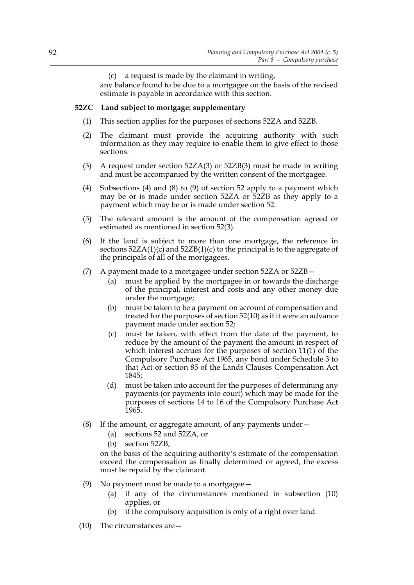(c) a request is made by the claimant in writing,

any balance found to be due to a mortgagee on the basis of the revised estimate is payable in accordance with this section.

### **52ZC Land subject to mortgage: supplementary**

- (1) This section applies for the purposes of sections 52ZA and 52ZB.
- (2) The claimant must provide the acquiring authority with such information as they may require to enable them to give effect to those sections.
- (3) A request under section  $52ZA(3)$  or  $52ZB(3)$  must be made in writing and must be accompanied by the written consent of the mortgagee.
- (4) Subsections (4) and (8) to (9) of section 52 apply to a payment which may be or is made under section 52ZA or 52ZB as they apply to a payment which may be or is made under section 52.
- (5) The relevant amount is the amount of the compensation agreed or estimated as mentioned in section 52(3).
- (6) If the land is subject to more than one mortgage, the reference in sections  $52ZA(1)(c)$  and  $52ZB(1)(c)$  to the principal is to the aggregate of the principals of all of the mortgagees.
- (7) A payment made to a mortgagee under section 52ZA or 52ZB—
	- (a) must be applied by the mortgagee in or towards the discharge of the principal, interest and costs and any other money due under the mortgage;
	- (b) must be taken to be a payment on account of compensation and treated for the purposes of section 52(10) as if it were an advance payment made under section 52;
	- (c) must be taken, with effect from the date of the payment, to reduce by the amount of the payment the amount in respect of which interest accrues for the purposes of section 11(1) of the Compulsory Purchase Act 1965, any bond under Schedule 3 to that Act or section 85 of the Lands Clauses Compensation Act 1845;
	- (d) must be taken into account for the purposes of determining any payments (or payments into court) which may be made for the purposes of sections 14 to 16 of the Compulsory Purchase Act 1965.
- (8) If the amount, or aggregate amount, of any payments under  $-$ 
	- (a) sections 52 and 52ZA, or
	- (b) section 52ZB,

on the basis of the acquiring authority's estimate of the compensation exceed the compensation as finally determined or agreed, the excess must be repaid by the claimant.

- (9) No payment must be made to a mortgagee  $-$ 
	- (a) if any of the circumstances mentioned in subsection (10) applies, or
	- (b) if the compulsory acquisition is only of a right over land.
- (10) The circumstances are—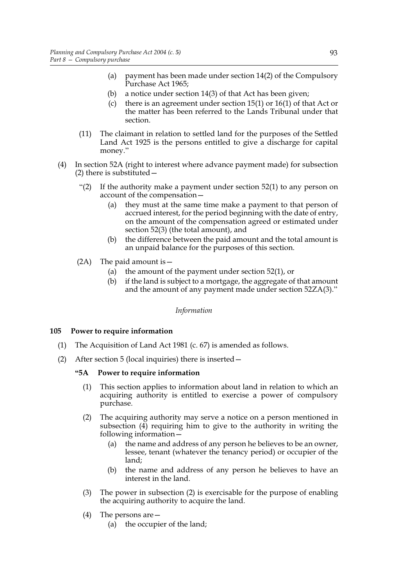- (a) payment has been made under section 14(2) of the Compulsory Purchase Act 1965;
- (b) a notice under section 14(3) of that Act has been given;
- (c) there is an agreement under section 15(1) or 16(1) of that Act or the matter has been referred to the Lands Tribunal under that section.
- (11) The claimant in relation to settled land for the purposes of the Settled Land Act 1925 is the persons entitled to give a discharge for capital money."
- (4) In section 52A (right to interest where advance payment made) for subsection (2) there is substituted—
	- "(2) If the authority make a payment under section  $52(1)$  to any person on account of the compensation—
		- (a) they must at the same time make a payment to that person of accrued interest, for the period beginning with the date of entry, on the amount of the compensation agreed or estimated under section 52(3) (the total amount), and
		- (b) the difference between the paid amount and the total amount is an unpaid balance for the purposes of this section.
	- $(2A)$  The paid amount is -
		- (a) the amount of the payment under section 52(1), or
		- (b) if the land is subject to a mortgage, the aggregate of that amount and the amount of any payment made under section 52ZA(3)."

*Information*

# **105 Power to require information**

- (1) The Acquisition of Land Act 1981 (c. 67) is amended as follows.
- (2) After section 5 (local inquiries) there is inserted—

### **"5A Power to require information**

- (1) This section applies to information about land in relation to which an acquiring authority is entitled to exercise a power of compulsory purchase.
- (2) The acquiring authority may serve a notice on a person mentioned in subsection (4) requiring him to give to the authority in writing the following information—
	- (a) the name and address of any person he believes to be an owner, lessee, tenant (whatever the tenancy period) or occupier of the land;
	- (b) the name and address of any person he believes to have an interest in the land.
- (3) The power in subsection (2) is exercisable for the purpose of enabling the acquiring authority to acquire the land.
- (4) The persons are—
	- (a) the occupier of the land;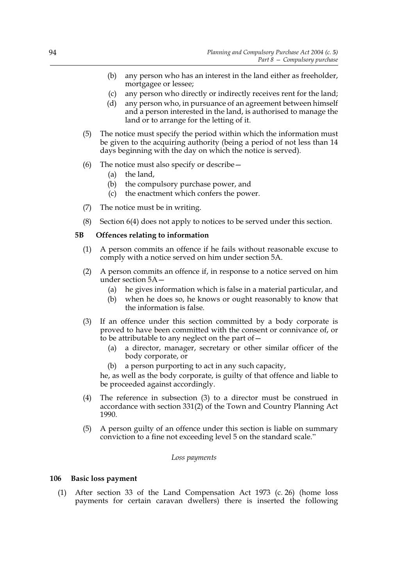- (b) any person who has an interest in the land either as freeholder, mortgagee or lessee;
- (c) any person who directly or indirectly receives rent for the land;
- (d) any person who, in pursuance of an agreement between himself and a person interested in the land, is authorised to manage the land or to arrange for the letting of it.
- (5) The notice must specify the period within which the information must be given to the acquiring authority (being a period of not less than 14 days beginning with the day on which the notice is served).
- (6) The notice must also specify or describe—
	- (a) the land,
	- (b) the compulsory purchase power, and
	- (c) the enactment which confers the power.
- (7) The notice must be in writing.
- (8) Section 6(4) does not apply to notices to be served under this section.

# **5B Offences relating to information**

- (1) A person commits an offence if he fails without reasonable excuse to comply with a notice served on him under section 5A.
- (2) A person commits an offence if, in response to a notice served on him under section 5A—
	- (a) he gives information which is false in a material particular, and
	- (b) when he does so, he knows or ought reasonably to know that the information is false.
- (3) If an offence under this section committed by a body corporate is proved to have been committed with the consent or connivance of, or to be attributable to any neglect on the part of  $-$ 
	- (a) a director, manager, secretary or other similar officer of the body corporate, or
	- (b) a person purporting to act in any such capacity,

he, as well as the body corporate, is guilty of that offence and liable to be proceeded against accordingly.

- (4) The reference in subsection (3) to a director must be construed in accordance with section 331(2) of the Town and Country Planning Act 1990.
- (5) A person guilty of an offence under this section is liable on summary conviction to a fine not exceeding level 5 on the standard scale."

# *Loss payments*

# **106 Basic loss payment**

(1) After section 33 of the Land Compensation Act 1973 (c. 26) (home loss payments for certain caravan dwellers) there is inserted the following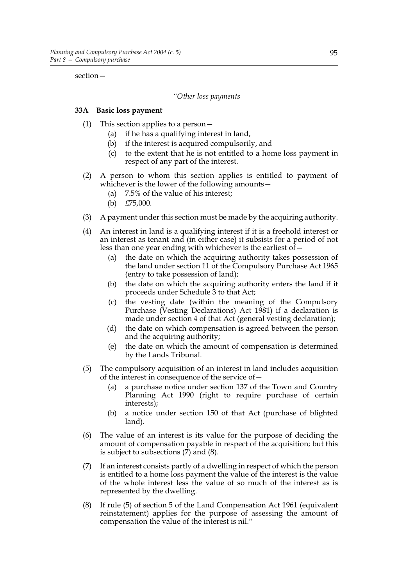section—

### *"Other loss payments*

## **33A Basic loss payment**

- (1) This section applies to a person—
	- (a) if he has a qualifying interest in land,
	- (b) if the interest is acquired compulsorily, and
	- (c) to the extent that he is not entitled to a home loss payment in respect of any part of the interest.
- (2) A person to whom this section applies is entitled to payment of whichever is the lower of the following amounts—
	- (a) 7.5% of the value of his interest;
	- (b) £75,000.
- (3) A payment under this section must be made by the acquiring authority.
- (4) An interest in land is a qualifying interest if it is a freehold interest or an interest as tenant and (in either case) it subsists for a period of not less than one year ending with whichever is the earliest of  $-$ 
	- (a) the date on which the acquiring authority takes possession of the land under section 11 of the Compulsory Purchase Act 1965 (entry to take possession of land);
	- (b) the date on which the acquiring authority enters the land if it proceeds under Schedule 3 to that Act;
	- (c) the vesting date (within the meaning of the Compulsory Purchase (Vesting Declarations) Act 1981) if a declaration is made under section 4 of that Act (general vesting declaration);
	- (d) the date on which compensation is agreed between the person and the acquiring authority;
	- (e) the date on which the amount of compensation is determined by the Lands Tribunal.
- (5) The compulsory acquisition of an interest in land includes acquisition of the interest in consequence of the service of—
	- (a) a purchase notice under section 137 of the Town and Country Planning Act 1990 (right to require purchase of certain interests);
	- (b) a notice under section 150 of that Act (purchase of blighted land).
- (6) The value of an interest is its value for the purpose of deciding the amount of compensation payable in respect of the acquisition; but this is subject to subsections (7) and (8).
- (7) If an interest consists partly of a dwelling in respect of which the person is entitled to a home loss payment the value of the interest is the value of the whole interest less the value of so much of the interest as is represented by the dwelling.
- (8) If rule (5) of section 5 of the Land Compensation Act 1961 (equivalent reinstatement) applies for the purpose of assessing the amount of compensation the value of the interest is nil."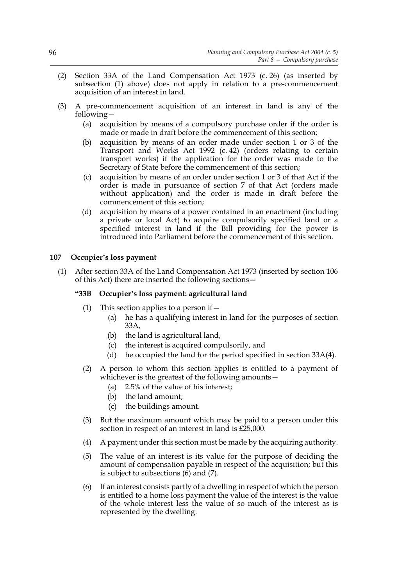- (2) Section 33A of the Land Compensation Act 1973 (c. 26) (as inserted by subsection (1) above) does not apply in relation to a pre-commencement acquisition of an interest in land.
- (3) A pre-commencement acquisition of an interest in land is any of the following—
	- (a) acquisition by means of a compulsory purchase order if the order is made or made in draft before the commencement of this section;
	- (b) acquisition by means of an order made under section 1 or 3 of the Transport and Works Act 1992 (c. 42) (orders relating to certain transport works) if the application for the order was made to the Secretary of State before the commencement of this section;
	- (c) acquisition by means of an order under section 1 or 3 of that Act if the order is made in pursuance of section 7 of that Act (orders made without application) and the order is made in draft before the commencement of this section;
	- (d) acquisition by means of a power contained in an enactment (including a private or local Act) to acquire compulsorily specified land or a specified interest in land if the Bill providing for the power is introduced into Parliament before the commencement of this section.

# **107 Occupier's loss payment**

(1) After section 33A of the Land Compensation Act 1973 (inserted by section 106 of this Act) there are inserted the following sections—

# **"33B Occupier's loss payment: agricultural land**

- (1) This section applies to a person if  $-$ 
	- (a) he has a qualifying interest in land for the purposes of section 33A,
	- (b) the land is agricultural land,
	- (c) the interest is acquired compulsorily, and
	- (d) he occupied the land for the period specified in section 33A(4).
- (2) A person to whom this section applies is entitled to a payment of whichever is the greatest of the following amounts—
	- (a) 2.5% of the value of his interest;
	- (b) the land amount;
	- (c) the buildings amount.
- (3) But the maximum amount which may be paid to a person under this section in respect of an interest in land is £25,000.
- (4) A payment under this section must be made by the acquiring authority.
- (5) The value of an interest is its value for the purpose of deciding the amount of compensation payable in respect of the acquisition; but this is subject to subsections (6) and (7).
- (6) If an interest consists partly of a dwelling in respect of which the person is entitled to a home loss payment the value of the interest is the value of the whole interest less the value of so much of the interest as is represented by the dwelling.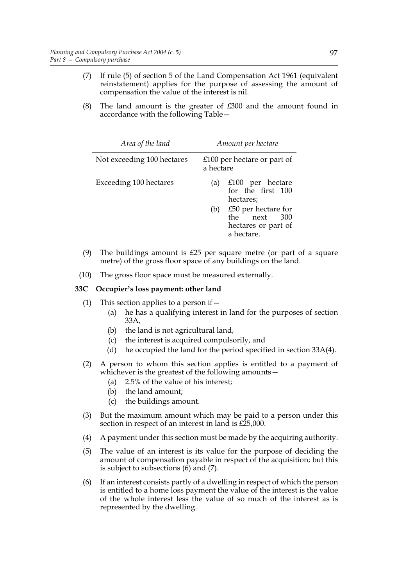- (7) If rule (5) of section 5 of the Land Compensation Act 1961 (equivalent reinstatement) applies for the purpose of assessing the amount of compensation the value of the interest is nil.
- (8) The land amount is the greater of £300 and the amount found in accordance with the following Table—

| Area of the land           | Amount per hectare                                                                   |
|----------------------------|--------------------------------------------------------------------------------------|
| Not exceeding 100 hectares | £100 per hectare or part of<br>a hectare                                             |
| Exceeding 100 hectares     | $£100$ per hectare<br>(a)<br>for the first 100<br>hectares;                          |
|                            | $£50$ per hectare for<br>(b)<br>the next<br>300<br>hectares or part of<br>a hectare. |

- (9) The buildings amount is £25 per square metre (or part of a square metre) of the gross floor space of any buildings on the land.
- (10) The gross floor space must be measured externally.

# **33C Occupier's loss payment: other land**

- (1) This section applies to a person if  $-$ 
	- (a) he has a qualifying interest in land for the purposes of section 33A,
	- (b) the land is not agricultural land,
	- (c) the interest is acquired compulsorily, and
	- (d) he occupied the land for the period specified in section 33A(4).
- (2) A person to whom this section applies is entitled to a payment of whichever is the greatest of the following amounts—
	- (a) 2.5% of the value of his interest;
	- (b) the land amount;
	- (c) the buildings amount.
- (3) But the maximum amount which may be paid to a person under this section in respect of an interest in land is £25,000.
- (4) A payment under this section must be made by the acquiring authority.
- (5) The value of an interest is its value for the purpose of deciding the amount of compensation payable in respect of the acquisition; but this is subject to subsections  $(6)$  and  $(7)$ .
- (6) If an interest consists partly of a dwelling in respect of which the person is entitled to a home loss payment the value of the interest is the value of the whole interest less the value of so much of the interest as is represented by the dwelling.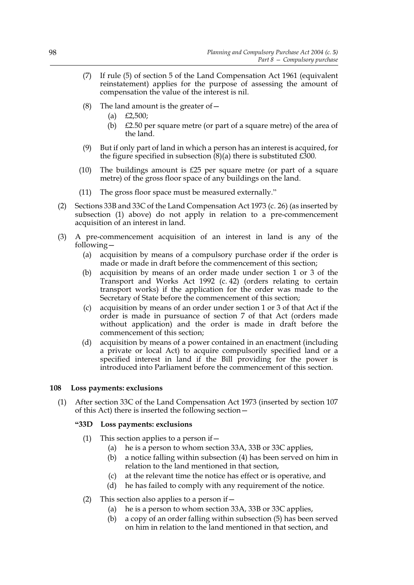- (7) If rule (5) of section 5 of the Land Compensation Act 1961 (equivalent reinstatement) applies for the purpose of assessing the amount of compensation the value of the interest is nil.
- (8) The land amount is the greater of  $-$ 
	- (a)  $£2,500;$
	- (b)  $\angle$  £2.50 per square metre (or part of a square metre) of the area of the land.
- (9) But if only part of land in which a person has an interest is acquired, for the figure specified in subsection  $(8)(a)$  there is substituted £300.
- (10) The buildings amount is £25 per square metre (or part of a square metre) of the gross floor space of any buildings on the land.
- (11) The gross floor space must be measured externally."
- (2) Sections 33B and 33C of the Land Compensation Act 1973 (c. 26) (as inserted by subsection (1) above) do not apply in relation to a pre-commencement acquisition of an interest in land.
- (3) A pre-commencement acquisition of an interest in land is any of the following—
	- (a) acquisition by means of a compulsory purchase order if the order is made or made in draft before the commencement of this section;
	- (b) acquisition by means of an order made under section 1 or 3 of the Transport and Works Act 1992 (c. 42) (orders relating to certain transport works) if the application for the order was made to the Secretary of State before the commencement of this section;
	- (c) acquisition by means of an order under section 1 or 3 of that Act if the order is made in pursuance of section 7 of that Act (orders made without application) and the order is made in draft before the commencement of this section;
	- (d) acquisition by means of a power contained in an enactment (including a private or local Act) to acquire compulsorily specified land or a specified interest in land if the Bill providing for the power is introduced into Parliament before the commencement of this section.

# **108 Loss payments: exclusions**

(1) After section 33C of the Land Compensation Act 1973 (inserted by section 107 of this Act) there is inserted the following section—

### **"33D Loss payments: exclusions**

- (1) This section applies to a person if  $-$ 
	- (a) he is a person to whom section 33A, 33B or 33C applies,
	- (b) a notice falling within subsection (4) has been served on him in relation to the land mentioned in that section,
	- (c) at the relevant time the notice has effect or is operative, and
	- (d) he has failed to comply with any requirement of the notice.
- (2) This section also applies to a person if  $-$ 
	- (a) he is a person to whom section 33A, 33B or 33C applies,
	- (b) a copy of an order falling within subsection (5) has been served on him in relation to the land mentioned in that section, and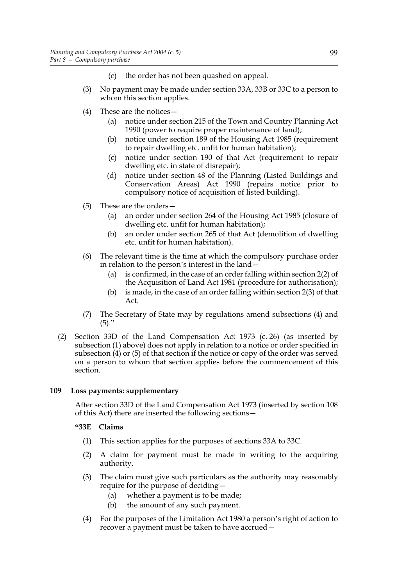- (c) the order has not been quashed on appeal.
- (3) No payment may be made under section 33A, 33B or 33C to a person to whom this section applies.
- (4) These are the notices—
	- (a) notice under section 215 of the Town and Country Planning Act 1990 (power to require proper maintenance of land);
	- (b) notice under section 189 of the Housing Act 1985 (requirement to repair dwelling etc. unfit for human habitation);
	- (c) notice under section 190 of that Act (requirement to repair dwelling etc. in state of disrepair);
	- (d) notice under section 48 of the Planning (Listed Buildings and Conservation Areas) Act 1990 (repairs notice prior to compulsory notice of acquisition of listed building).
- (5) These are the orders—
	- (a) an order under section 264 of the Housing Act 1985 (closure of dwelling etc. unfit for human habitation);
	- (b) an order under section 265 of that Act (demolition of dwelling etc. unfit for human habitation).
- (6) The relevant time is the time at which the compulsory purchase order in relation to the person's interest in the land—
	- (a) is confirmed, in the case of an order falling within section 2(2) of the Acquisition of Land Act 1981 (procedure for authorisation);
	- (b) is made, in the case of an order falling within section 2(3) of that Act.
- (7) The Secretary of State may by regulations amend subsections (4) and  $(5)$ ."
- (2) Section 33D of the Land Compensation Act 1973 (c. 26) (as inserted by subsection (1) above) does not apply in relation to a notice or order specified in subsection (4) or (5) of that section if the notice or copy of the order was served on a person to whom that section applies before the commencement of this section.

# **109 Loss payments: supplementary**

After section 33D of the Land Compensation Act 1973 (inserted by section 108 of this Act) there are inserted the following sections—

# **"33E Claims**

- (1) This section applies for the purposes of sections 33A to 33C.
- (2) A claim for payment must be made in writing to the acquiring authority.
- (3) The claim must give such particulars as the authority may reasonably require for the purpose of deciding—
	- (a) whether a payment is to be made;
	- (b) the amount of any such payment.
- (4) For the purposes of the Limitation Act 1980 a person's right of action to recover a payment must be taken to have accrued—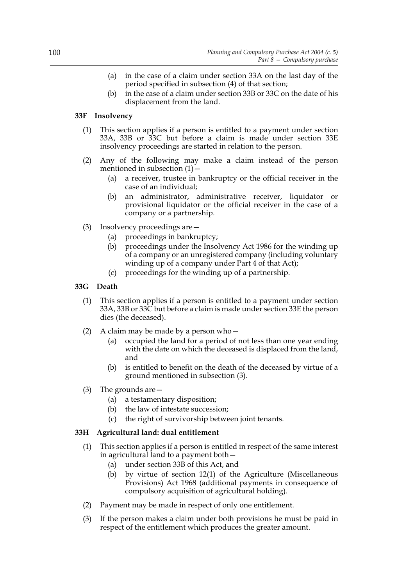- (a) in the case of a claim under section 33A on the last day of the period specified in subsection (4) of that section;
- (b) in the case of a claim under section 33B or 33C on the date of his displacement from the land.

# **33F Insolvency**

- (1) This section applies if a person is entitled to a payment under section 33A, 33B or 33C but before a claim is made under section 33E insolvency proceedings are started in relation to the person.
- (2) Any of the following may make a claim instead of the person mentioned in subsection  $(1)$  –
	- (a) a receiver, trustee in bankruptcy or the official receiver in the case of an individual;
	- (b) an administrator, administrative receiver, liquidator or provisional liquidator or the official receiver in the case of a company or a partnership.
- (3) Insolvency proceedings are—
	- (a) proceedings in bankruptcy;
	- (b) proceedings under the Insolvency Act 1986 for the winding up of a company or an unregistered company (including voluntary winding up of a company under Part 4 of that Act);
	- (c) proceedings for the winding up of a partnership.

# **33G Death**

- (1) This section applies if a person is entitled to a payment under section 33A, 33B or 33C but before a claim is made under section 33E the person dies (the deceased).
- (2) A claim may be made by a person who  $-$ 
	- (a) occupied the land for a period of not less than one year ending with the date on which the deceased is displaced from the land, and
	- (b) is entitled to benefit on the death of the deceased by virtue of a ground mentioned in subsection (3).
- (3) The grounds are—
	- (a) a testamentary disposition;
	- (b) the law of intestate succession;
	- (c) the right of survivorship between joint tenants.

# **33H Agricultural land: dual entitlement**

- (1) This section applies if a person is entitled in respect of the same interest in agricultural land to a payment both—
	- (a) under section 33B of this Act, and
	- (b) by virtue of section 12(1) of the Agriculture (Miscellaneous Provisions) Act 1968 (additional payments in consequence of compulsory acquisition of agricultural holding).
- (2) Payment may be made in respect of only one entitlement.
- (3) If the person makes a claim under both provisions he must be paid in respect of the entitlement which produces the greater amount.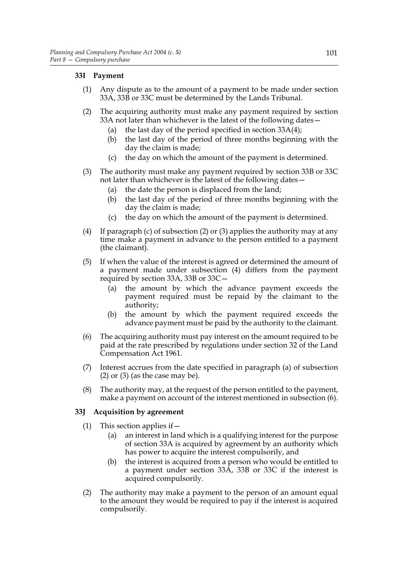# **33I Payment**

- (1) Any dispute as to the amount of a payment to be made under section 33A, 33B or 33C must be determined by the Lands Tribunal.
- (2) The acquiring authority must make any payment required by section 33A not later than whichever is the latest of the following dates—
	- (a) the last day of the period specified in section  $33A(4)$ ;
	- (b) the last day of the period of three months beginning with the day the claim is made;
	- (c) the day on which the amount of the payment is determined.
- (3) The authority must make any payment required by section 33B or 33C not later than whichever is the latest of the following dates—
	- (a) the date the person is displaced from the land;
	- (b) the last day of the period of three months beginning with the day the claim is made;
	- (c) the day on which the amount of the payment is determined.
- (4) If paragraph (c) of subsection (2) or (3) applies the authority may at any time make a payment in advance to the person entitled to a payment (the claimant).
- (5) If when the value of the interest is agreed or determined the amount of a payment made under subsection (4) differs from the payment required by section 33A, 33B or 33C—
	- (a) the amount by which the advance payment exceeds the payment required must be repaid by the claimant to the authority;
	- (b) the amount by which the payment required exceeds the advance payment must be paid by the authority to the claimant.
- (6) The acquiring authority must pay interest on the amount required to be paid at the rate prescribed by regulations under section 32 of the Land Compensation Act 1961.
- (7) Interest accrues from the date specified in paragraph (a) of subsection  $(2)$  or  $(3)$  (as the case may be).
- (8) The authority may, at the request of the person entitled to the payment, make a payment on account of the interest mentioned in subsection (6).

# **33J Acquisition by agreement**

- (1) This section applies if  $-$ 
	- (a) an interest in land which is a qualifying interest for the purpose of section 33A is acquired by agreement by an authority which has power to acquire the interest compulsorily, and
	- (b) the interest is acquired from a person who would be entitled to a payment under section 33A, 33B or 33C if the interest is acquired compulsorily.
- (2) The authority may make a payment to the person of an amount equal to the amount they would be required to pay if the interest is acquired compulsorily.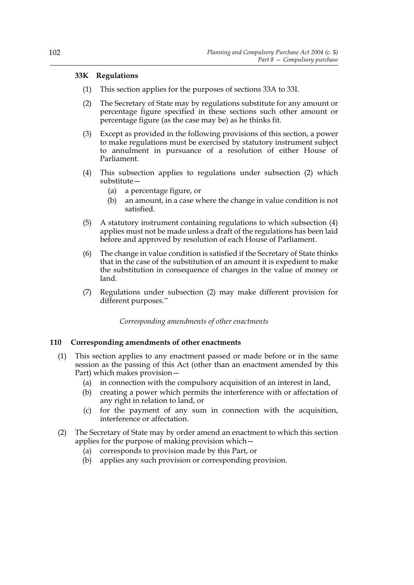### **33K Regulations**

- (1) This section applies for the purposes of sections 33A to 33I.
- (2) The Secretary of State may by regulations substitute for any amount or percentage figure specified in these sections such other amount or percentage figure (as the case may be) as he thinks fit.
- (3) Except as provided in the following provisions of this section, a power to make regulations must be exercised by statutory instrument subject to annulment in pursuance of a resolution of either House of Parliament.
- (4) This subsection applies to regulations under subsection (2) which substitute—
	- (a) a percentage figure, or
	- (b) an amount, in a case where the change in value condition is not satisfied.
- (5) A statutory instrument containing regulations to which subsection (4) applies must not be made unless a draft of the regulations has been laid before and approved by resolution of each House of Parliament.
- (6) The change in value condition is satisfied if the Secretary of State thinks that in the case of the substitution of an amount it is expedient to make the substitution in consequence of changes in the value of money or land.
- (7) Regulations under subsection (2) may make different provision for different purposes."

*Corresponding amendments of other enactments*

# **110 Corresponding amendments of other enactments**

- (1) This section applies to any enactment passed or made before or in the same session as the passing of this Act (other than an enactment amended by this Part) which makes provision—
	- (a) in connection with the compulsory acquisition of an interest in land,
	- (b) creating a power which permits the interference with or affectation of any right in relation to land, or
	- (c) for the payment of any sum in connection with the acquisition, interference or affectation.
- (2) The Secretary of State may by order amend an enactment to which this section applies for the purpose of making provision which—
	- (a) corresponds to provision made by this Part, or
	- (b) applies any such provision or corresponding provision.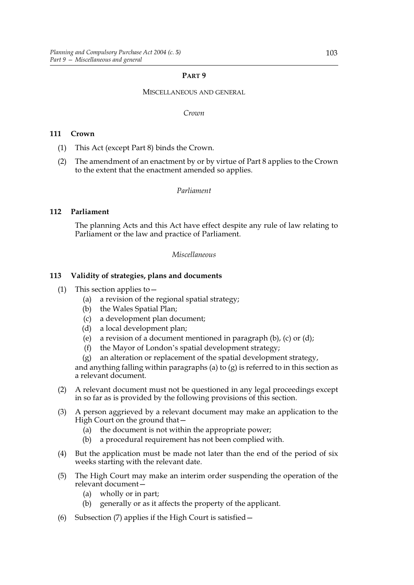### **PART 9**

#### MISCELLANEOUS AND GENERAL

#### *Crown*

### **111 Crown**

- (1) This Act (except Part 8) binds the Crown.
- (2) The amendment of an enactment by or by virtue of Part 8 applies to the Crown to the extent that the enactment amended so applies.

### *Parliament*

### **112 Parliament**

The planning Acts and this Act have effect despite any rule of law relating to Parliament or the law and practice of Parliament.

#### *Miscellaneous*

### **113 Validity of strategies, plans and documents**

- (1) This section applies to  $-$ 
	- (a) a revision of the regional spatial strategy;
	- (b) the Wales Spatial Plan;
	- (c) a development plan document;
	- (d) a local development plan;
	- (e) a revision of a document mentioned in paragraph  $(b)$ ,  $(c)$  or  $(d)$ ;
	- (f) the Mayor of London's spatial development strategy;
	- (g) an alteration or replacement of the spatial development strategy,

and anything falling within paragraphs (a) to (g) is referred to in this section as a relevant document.

- (2) A relevant document must not be questioned in any legal proceedings except in so far as is provided by the following provisions of this section.
- (3) A person aggrieved by a relevant document may make an application to the High Court on the ground that -
	- (a) the document is not within the appropriate power;
	- (b) a procedural requirement has not been complied with.
- (4) But the application must be made not later than the end of the period of six weeks starting with the relevant date.
- (5) The High Court may make an interim order suspending the operation of the relevant document—
	- (a) wholly or in part;
	- (b) generally or as it affects the property of the applicant.
- (6) Subsection (7) applies if the High Court is satisfied—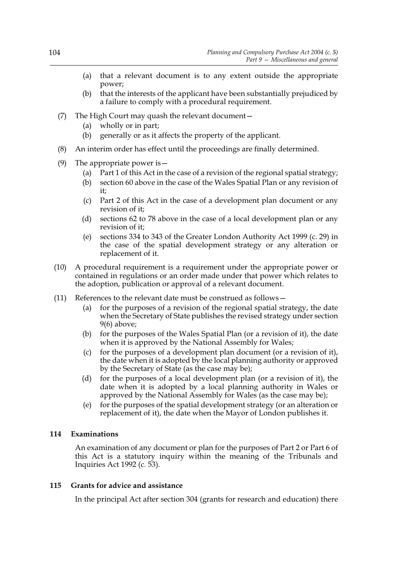- (a) that a relevant document is to any extent outside the appropriate power;
- (b) that the interests of the applicant have been substantially prejudiced by a failure to comply with a procedural requirement.
- (7) The High Court may quash the relevant document—
	- (a) wholly or in part;
	- (b) generally or as it affects the property of the applicant.
- (8) An interim order has effect until the proceedings are finally determined.
- (9) The appropriate power is  $-$ 
	- (a) Part 1 of this Act in the case of a revision of the regional spatial strategy;
	- (b) section 60 above in the case of the Wales Spatial Plan or any revision of it;
	- (c) Part 2 of this Act in the case of a development plan document or any revision of it;
	- (d) sections 62 to 78 above in the case of a local development plan or any revision of it;
	- (e) sections 334 to 343 of the Greater London Authority Act 1999 (c. 29) in the case of the spatial development strategy or any alteration or replacement of it.
- (10) A procedural requirement is a requirement under the appropriate power or contained in regulations or an order made under that power which relates to the adoption, publication or approval of a relevant document.
- (11) References to the relevant date must be construed as follows—
	- (a) for the purposes of a revision of the regional spatial strategy, the date when the Secretary of State publishes the revised strategy under section 9(6) above;
	- (b) for the purposes of the Wales Spatial Plan (or a revision of it), the date when it is approved by the National Assembly for Wales;
	- (c) for the purposes of a development plan document (or a revision of it), the date when it is adopted by the local planning authority or approved by the Secretary of State (as the case may be);
	- (d) for the purposes of a local development plan (or a revision of it), the date when it is adopted by a local planning authority in Wales or approved by the National Assembly for Wales (as the case may be);
	- (e) for the purposes of the spatial development strategy (or an alteration or replacement of it), the date when the Mayor of London publishes it.

# **114 Examinations**

An examination of any document or plan for the purposes of Part 2 or Part 6 of this Act is a statutory inquiry within the meaning of the Tribunals and Inquiries Act 1992 (c. 53).

# **115 Grants for advice and assistance**

In the principal Act after section 304 (grants for research and education) there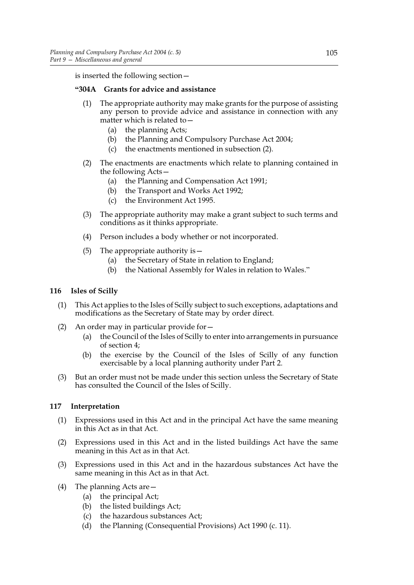is inserted the following section—

# **"304A Grants for advice and assistance**

- (1) The appropriate authority may make grants for the purpose of assisting any person to provide advice and assistance in connection with any matter which is related to -
	- (a) the planning Acts;
	- (b) the Planning and Compulsory Purchase Act 2004;
	- (c) the enactments mentioned in subsection (2).
- (2) The enactments are enactments which relate to planning contained in the following Acts—
	- (a) the Planning and Compensation Act 1991;
	- (b) the Transport and Works Act 1992;
	- (c) the Environment Act 1995.
- (3) The appropriate authority may make a grant subject to such terms and conditions as it thinks appropriate.
- (4) Person includes a body whether or not incorporated.
- (5) The appropriate authority is—
	- (a) the Secretary of State in relation to England;
	- (b) the National Assembly for Wales in relation to Wales."

### **116 Isles of Scilly**

- (1) This Act applies to the Isles of Scilly subject to such exceptions, adaptations and modifications as the Secretary of State may by order direct.
- (2) An order may in particular provide for—
	- (a) the Council of the Isles of Scilly to enter into arrangements in pursuance of section 4;
	- (b) the exercise by the Council of the Isles of Scilly of any function exercisable by a local planning authority under Part 2.
- (3) But an order must not be made under this section unless the Secretary of State has consulted the Council of the Isles of Scilly.

# **117 Interpretation**

- (1) Expressions used in this Act and in the principal Act have the same meaning in this Act as in that Act.
- (2) Expressions used in this Act and in the listed buildings Act have the same meaning in this Act as in that Act.
- (3) Expressions used in this Act and in the hazardous substances Act have the same meaning in this Act as in that Act.
- (4) The planning Acts are—
	- (a) the principal Act;
	- (b) the listed buildings Act;
	- (c) the hazardous substances Act;
	- (d) the Planning (Consequential Provisions) Act 1990 (c. 11).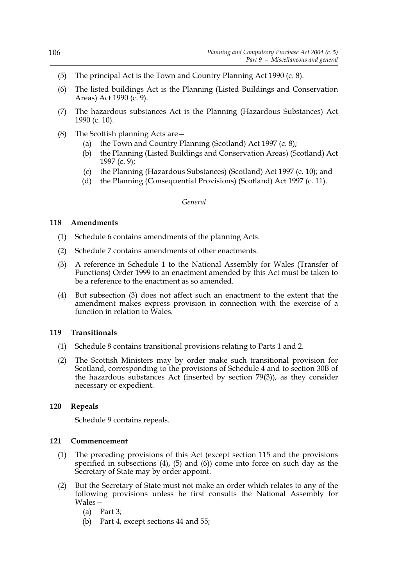- (5) The principal Act is the Town and Country Planning Act 1990 (c. 8).
- (6) The listed buildings Act is the Planning (Listed Buildings and Conservation Areas) Act 1990 (c. 9).
- (7) The hazardous substances Act is the Planning (Hazardous Substances) Act 1990 (c. 10).
- (8) The Scottish planning Acts are—
	- (a) the Town and Country Planning (Scotland) Act 1997 (c. 8);
	- (b) the Planning (Listed Buildings and Conservation Areas) (Scotland) Act 1997 (c. 9);
	- (c) the Planning (Hazardous Substances) (Scotland) Act 1997 (c. 10); and
	- (d) the Planning (Consequential Provisions) (Scotland) Act 1997 (c. 11).

### *General*

# **118 Amendments**

- (1) Schedule 6 contains amendments of the planning Acts.
- (2) Schedule 7 contains amendments of other enactments.
- (3) A reference in Schedule 1 to the National Assembly for Wales (Transfer of Functions) Order 1999 to an enactment amended by this Act must be taken to be a reference to the enactment as so amended.
- (4) But subsection (3) does not affect such an enactment to the extent that the amendment makes express provision in connection with the exercise of a function in relation to Wales.

# **119 Transitionals**

- (1) Schedule 8 contains transitional provisions relating to Parts 1 and 2.
- (2) The Scottish Ministers may by order make such transitional provision for Scotland, corresponding to the provisions of Schedule 4 and to section 30B of the hazardous substances Act (inserted by section 79(3)), as they consider necessary or expedient.

# **120 Repeals**

Schedule 9 contains repeals.

#### **121 Commencement**

- (1) The preceding provisions of this Act (except section 115 and the provisions specified in subsections (4), (5) and (6)) come into force on such day as the Secretary of State may by order appoint.
- (2) But the Secretary of State must not make an order which relates to any of the following provisions unless he first consults the National Assembly for Wales—
	- (a) Part 3;
	- (b) Part 4, except sections 44 and 55;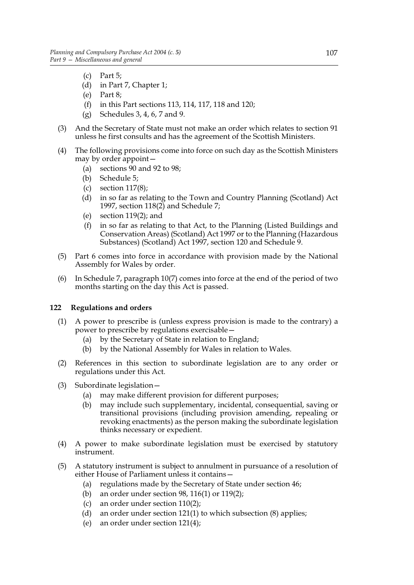- (c) Part 5;
- (d) in Part 7, Chapter 1;
- (e) Part 8;
- (f) in this Part sections 113, 114, 117, 118 and 120;
- (g) Schedules 3, 4, 6, 7 and 9.
- (3) And the Secretary of State must not make an order which relates to section 91 unless he first consults and has the agreement of the Scottish Ministers.
- (4) The following provisions come into force on such day as the Scottish Ministers may by order appoint—
	- (a) sections 90 and 92 to 98;
	- (b) Schedule 5;
	- (c) section  $117(8)$ ;
	- (d) in so far as relating to the Town and Country Planning (Scotland) Act 1997, section  $118(2)$  and Schedule 7;
	- (e) section 119(2); and
	- (f) in so far as relating to that Act, to the Planning (Listed Buildings and Conservation Areas) (Scotland) Act 1997 or to the Planning (Hazardous Substances) (Scotland) Act 1997, section 120 and Schedule 9.
- (5) Part 6 comes into force in accordance with provision made by the National Assembly for Wales by order.
- (6) In Schedule 7, paragraph 10(7) comes into force at the end of the period of two months starting on the day this Act is passed.

# **122 Regulations and orders**

- (1) A power to prescribe is (unless express provision is made to the contrary) a power to prescribe by regulations exercisable—
	- (a) by the Secretary of State in relation to England;
	- (b) by the National Assembly for Wales in relation to Wales.
- (2) References in this section to subordinate legislation are to any order or regulations under this Act.
- (3) Subordinate legislation—
	- (a) may make different provision for different purposes;
	- (b) may include such supplementary, incidental, consequential, saving or transitional provisions (including provision amending, repealing or revoking enactments) as the person making the subordinate legislation thinks necessary or expedient.
- (4) A power to make subordinate legislation must be exercised by statutory instrument.
- (5) A statutory instrument is subject to annulment in pursuance of a resolution of either House of Parliament unless it contains—
	- (a) regulations made by the Secretary of State under section 46;
	- (b) an order under section 98, 116(1) or 119(2);
	- (c) an order under section 110(2);
	- (d) an order under section 121(1) to which subsection (8) applies;
	- (e) an order under section 121(4);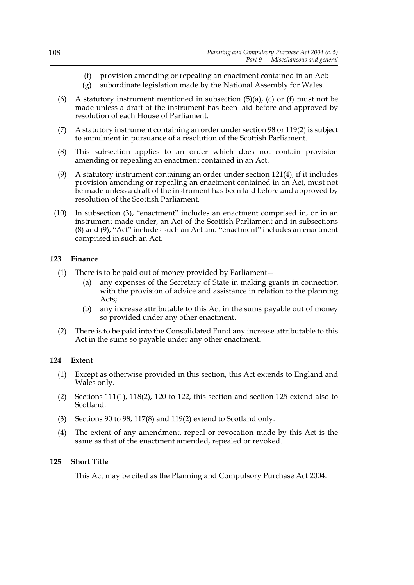- (f) provision amending or repealing an enactment contained in an Act;
- (g) subordinate legislation made by the National Assembly for Wales.
- (6) A statutory instrument mentioned in subsection  $(5)(a)$ ,  $(c)$  or  $(f)$  must not be made unless a draft of the instrument has been laid before and approved by resolution of each House of Parliament.
- (7) A statutory instrument containing an order under section 98 or 119(2) is subject to annulment in pursuance of a resolution of the Scottish Parliament.
- (8) This subsection applies to an order which does not contain provision amending or repealing an enactment contained in an Act.
- (9) A statutory instrument containing an order under section 121(4), if it includes provision amending or repealing an enactment contained in an Act, must not be made unless a draft of the instrument has been laid before and approved by resolution of the Scottish Parliament.
- (10) In subsection (3), "enactment" includes an enactment comprised in, or in an instrument made under, an Act of the Scottish Parliament and in subsections (8) and (9), "Act" includes such an Act and "enactment" includes an enactment comprised in such an Act.

# **123 Finance**

- (1) There is to be paid out of money provided by Parliament—
	- (a) any expenses of the Secretary of State in making grants in connection with the provision of advice and assistance in relation to the planning Acts;
	- (b) any increase attributable to this Act in the sums payable out of money so provided under any other enactment.
- (2) There is to be paid into the Consolidated Fund any increase attributable to this Act in the sums so payable under any other enactment.

# **124 Extent**

- (1) Except as otherwise provided in this section, this Act extends to England and Wales only.
- (2) Sections  $111(1)$ ,  $118(2)$ ,  $120$  to  $122$ , this section and section  $125$  extend also to Scotland.
- (3) Sections 90 to 98, 117(8) and 119(2) extend to Scotland only.
- (4) The extent of any amendment, repeal or revocation made by this Act is the same as that of the enactment amended, repealed or revoked.

# **125 Short Title**

This Act may be cited as the Planning and Compulsory Purchase Act 2004.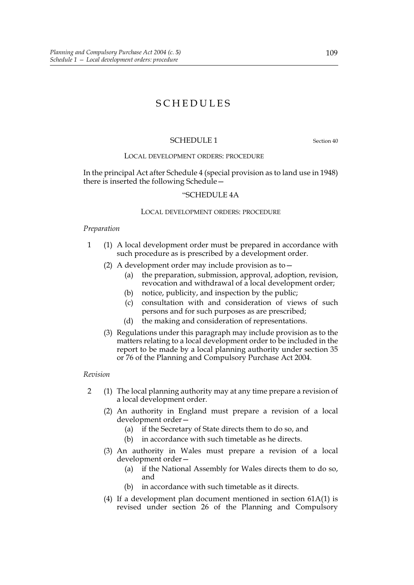# SCHEDULES

### SCHEDULE 1 Section 40

### LOCAL DEVELOPMENT ORDERS: PROCEDURE

In the principal Act after Schedule 4 (special provision as to land use in 1948) there is inserted the following Schedule—

#### "SCHEDULE 4A

#### LOCAL DEVELOPMENT ORDERS: PROCEDURE

#### *Preparation*

- 1 (1) A local development order must be prepared in accordance with such procedure as is prescribed by a development order.
	- (2) A development order may include provision as to  $-$ 
		- (a) the preparation, submission, approval, adoption, revision, revocation and withdrawal of a local development order;
		- (b) notice, publicity, and inspection by the public;
		- (c) consultation with and consideration of views of such persons and for such purposes as are prescribed;
		- (d) the making and consideration of representations.
	- (3) Regulations under this paragraph may include provision as to the matters relating to a local development order to be included in the report to be made by a local planning authority under section 35 or 76 of the Planning and Compulsory Purchase Act 2004.

#### *Revision*

- 2 (1) The local planning authority may at any time prepare a revision of a local development order.
	- (2) An authority in England must prepare a revision of a local development order—
		- (a) if the Secretary of State directs them to do so, and
		- (b) in accordance with such timetable as he directs.
	- (3) An authority in Wales must prepare a revision of a local development order—
		- (a) if the National Assembly for Wales directs them to do so, and
		- (b) in accordance with such timetable as it directs.
	- (4) If a development plan document mentioned in section 61A(1) is revised under section 26 of the Planning and Compulsory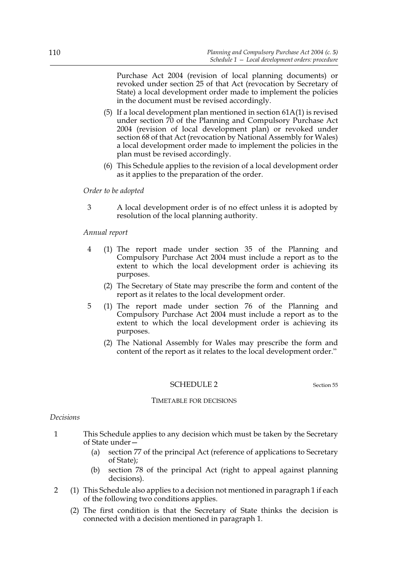Purchase Act 2004 (revision of local planning documents) or revoked under section 25 of that Act (revocation by Secretary of State) a local development order made to implement the policies in the document must be revised accordingly.

- (5) If a local development plan mentioned in section 61A(1) is revised under section 70 of the Planning and Compulsory Purchase Act 2004 (revision of local development plan) or revoked under section 68 of that Act (revocation by National Assembly for Wales) a local development order made to implement the policies in the plan must be revised accordingly.
- (6) This Schedule applies to the revision of a local development order as it applies to the preparation of the order.

### *Order to be adopted*

3 A local development order is of no effect unless it is adopted by resolution of the local planning authority.

### *Annual report*

- 4 (1) The report made under section 35 of the Planning and Compulsory Purchase Act 2004 must include a report as to the extent to which the local development order is achieving its purposes.
	- (2) The Secretary of State may prescribe the form and content of the report as it relates to the local development order.
- 5 (1) The report made under section 76 of the Planning and Compulsory Purchase Act 2004 must include a report as to the extent to which the local development order is achieving its purposes.
	- (2) The National Assembly for Wales may prescribe the form and content of the report as it relates to the local development order."

#### SCHEDULE 2 Section 55

# TIMETABLE FOR DECISIONS

#### *Decisions*

- 1 This Schedule applies to any decision which must be taken by the Secretary of State under—
	- (a) section 77 of the principal Act (reference of applications to Secretary of State);
	- (b) section 78 of the principal Act (right to appeal against planning decisions).
- 2 (1) This Schedule also applies to a decision not mentioned in paragraph 1 if each of the following two conditions applies.
	- (2) The first condition is that the Secretary of State thinks the decision is connected with a decision mentioned in paragraph 1.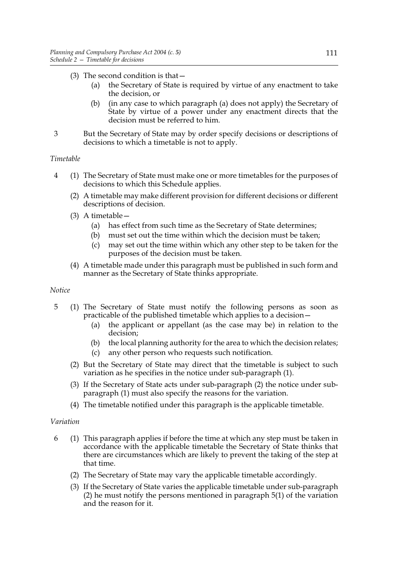# (3) The second condition is that—

- (a) the Secretary of State is required by virtue of any enactment to take the decision, or
- (b) (in any case to which paragraph (a) does not apply) the Secretary of State by virtue of a power under any enactment directs that the decision must be referred to him.
- 3 But the Secretary of State may by order specify decisions or descriptions of decisions to which a timetable is not to apply.

# *Timetable*

- 4 (1) The Secretary of State must make one or more timetables for the purposes of decisions to which this Schedule applies.
	- (2) A timetable may make different provision for different decisions or different descriptions of decision.
	- (3) A timetable—
		- (a) has effect from such time as the Secretary of State determines;
		- (b) must set out the time within which the decision must be taken;
		- (c) may set out the time within which any other step to be taken for the purposes of the decision must be taken.
	- (4) A timetable made under this paragraph must be published in such form and manner as the Secretary of State thinks appropriate.

### *Notice*

- 5 (1) The Secretary of State must notify the following persons as soon as practicable of the published timetable which applies to a decision—
	- (a) the applicant or appellant (as the case may be) in relation to the decision;
	- (b) the local planning authority for the area to which the decision relates;
	- (c) any other person who requests such notification.
	- (2) But the Secretary of State may direct that the timetable is subject to such variation as he specifies in the notice under sub-paragraph (1).
	- (3) If the Secretary of State acts under sub-paragraph (2) the notice under subparagraph (1) must also specify the reasons for the variation.
	- (4) The timetable notified under this paragraph is the applicable timetable.

# *Variation*

- 6 (1) This paragraph applies if before the time at which any step must be taken in accordance with the applicable timetable the Secretary of State thinks that there are circumstances which are likely to prevent the taking of the step at that time.
	- (2) The Secretary of State may vary the applicable timetable accordingly.
	- (3) If the Secretary of State varies the applicable timetable under sub-paragraph (2) he must notify the persons mentioned in paragraph 5(1) of the variation and the reason for it.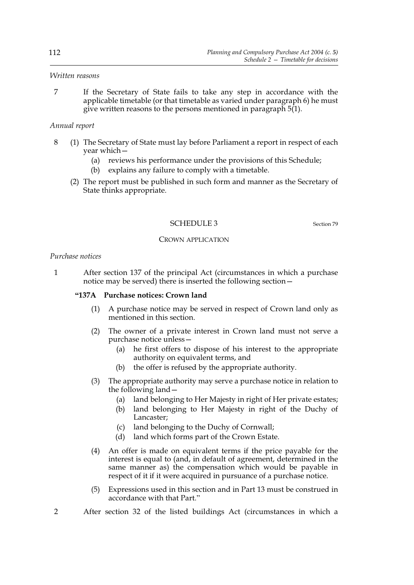### *Written reasons*

7 If the Secretary of State fails to take any step in accordance with the applicable timetable (or that timetable as varied under paragraph 6) he must give written reasons to the persons mentioned in paragraph  $5(1)$ .

# *Annual report*

- 8 (1) The Secretary of State must lay before Parliament a report in respect of each year which—
	- (a) reviews his performance under the provisions of this Schedule;
	- (b) explains any failure to comply with a timetable.
	- (2) The report must be published in such form and manner as the Secretary of State thinks appropriate.

# SCHEDULE 3 Section 79

### CROWN APPLICATION

### *Purchase notices*

1 After section 137 of the principal Act (circumstances in which a purchase notice may be served) there is inserted the following section—

#### **"137A Purchase notices: Crown land**

- (1) A purchase notice may be served in respect of Crown land only as mentioned in this section.
- (2) The owner of a private interest in Crown land must not serve a purchase notice unless—
	- (a) he first offers to dispose of his interest to the appropriate authority on equivalent terms, and
	- (b) the offer is refused by the appropriate authority.
- (3) The appropriate authority may serve a purchase notice in relation to the following land—
	- (a) land belonging to Her Majesty in right of Her private estates;
	- (b) land belonging to Her Majesty in right of the Duchy of Lancaster;
	- (c) land belonging to the Duchy of Cornwall;
	- (d) land which forms part of the Crown Estate.
- (4) An offer is made on equivalent terms if the price payable for the interest is equal to (and, in default of agreement, determined in the same manner as) the compensation which would be payable in respect of it if it were acquired in pursuance of a purchase notice.
- (5) Expressions used in this section and in Part 13 must be construed in accordance with that Part."
- 2 After section 32 of the listed buildings Act (circumstances in which a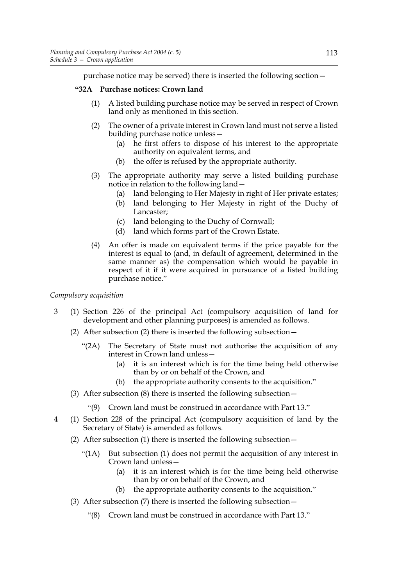purchase notice may be served) there is inserted the following section—

# **"32A Purchase notices: Crown land**

- (1) A listed building purchase notice may be served in respect of Crown land only as mentioned in this section.
- (2) The owner of a private interest in Crown land must not serve a listed building purchase notice unless—
	- (a) he first offers to dispose of his interest to the appropriate authority on equivalent terms, and
	- (b) the offer is refused by the appropriate authority.
- (3) The appropriate authority may serve a listed building purchase notice in relation to the following land—
	- (a) land belonging to Her Majesty in right of Her private estates;
	- (b) land belonging to Her Majesty in right of the Duchy of Lancaster;
	- (c) land belonging to the Duchy of Cornwall;
	- (d) land which forms part of the Crown Estate.
- (4) An offer is made on equivalent terms if the price payable for the interest is equal to (and, in default of agreement, determined in the same manner as) the compensation which would be payable in respect of it if it were acquired in pursuance of a listed building purchase notice."

# *Compulsory acquisition*

- 3 (1) Section 226 of the principal Act (compulsory acquisition of land for development and other planning purposes) is amended as follows.
	- (2) After subsection (2) there is inserted the following subsection—
		- "(2A) The Secretary of State must not authorise the acquisition of any interest in Crown land unless—
			- (a) it is an interest which is for the time being held otherwise than by or on behalf of the Crown, and
			- (b) the appropriate authority consents to the acquisition."
	- (3) After subsection (8) there is inserted the following subsection—
		- "(9) Crown land must be construed in accordance with Part 13."
- 4 (1) Section 228 of the principal Act (compulsory acquisition of land by the Secretary of State) is amended as follows.
	- (2) After subsection (1) there is inserted the following subsection—
		- "(1A) But subsection (1) does not permit the acquisition of any interest in Crown land unless—
			- (a) it is an interest which is for the time being held otherwise than by or on behalf of the Crown, and
			- (b) the appropriate authority consents to the acquisition."
	- (3) After subsection (7) there is inserted the following subsection—
		- "(8) Crown land must be construed in accordance with Part 13."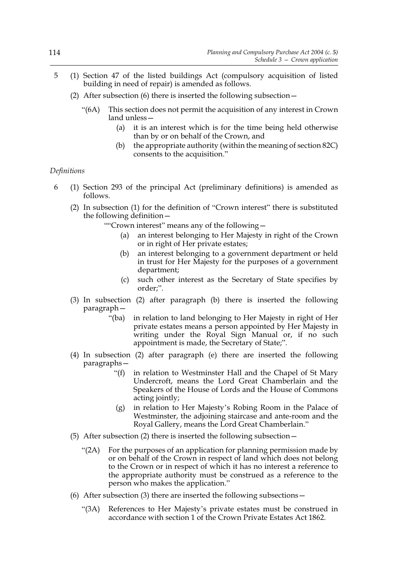- 5 (1) Section 47 of the listed buildings Act (compulsory acquisition of listed building in need of repair) is amended as follows.
	- (2) After subsection (6) there is inserted the following subsection—
		- "(6A) This section does not permit the acquisition of any interest in Crown land unless—
			- (a) it is an interest which is for the time being held otherwise than by or on behalf of the Crown, and
			- (b) the appropriate authority (within the meaning of section 82C) consents to the acquisition."

#### *Definitions*

- 6 (1) Section 293 of the principal Act (preliminary definitions) is amended as follows.
	- (2) In subsection (1) for the definition of "Crown interest" there is substituted the following definition—

""Crown interest" means any of the following—

- (a) an interest belonging to Her Majesty in right of the Crown or in right of Her private estates;
- (b) an interest belonging to a government department or held in trust for Her Majesty for the purposes of a government department;
- (c) such other interest as the Secretary of State specifies by order;".
- (3) In subsection (2) after paragraph (b) there is inserted the following paragraph—
	- "(ba) in relation to land belonging to Her Majesty in right of Her private estates means a person appointed by Her Majesty in writing under the Royal Sign Manual or, if no such appointment is made, the Secretary of State;".
- (4) In subsection (2) after paragraph (e) there are inserted the following paragraphs—
	- "(f) in relation to Westminster Hall and the Chapel of St Mary Undercroft, means the Lord Great Chamberlain and the Speakers of the House of Lords and the House of Commons acting jointly;
	- (g) in relation to Her Majesty's Robing Room in the Palace of Westminster, the adjoining staircase and ante-room and the Royal Gallery, means the Lord Great Chamberlain."
- (5) After subsection (2) there is inserted the following subsection—
	- "(2A) For the purposes of an application for planning permission made by or on behalf of the Crown in respect of land which does not belong to the Crown or in respect of which it has no interest a reference to the appropriate authority must be construed as a reference to the person who makes the application."
- (6) After subsection (3) there are inserted the following subsections  $-$ 
	- "(3A) References to Her Majesty's private estates must be construed in accordance with section 1 of the Crown Private Estates Act 1862.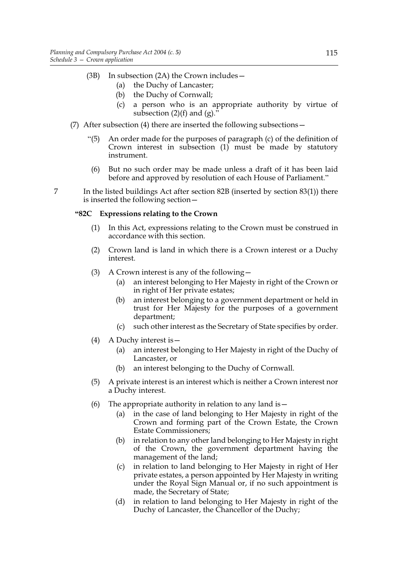- (3B) In subsection (2A) the Crown includes—
	- (a) the Duchy of Lancaster;
	- (b) the Duchy of Cornwall;
	- (c) a person who is an appropriate authority by virtue of subsection  $(2)(f)$  and  $(g)$ .
- (7) After subsection (4) there are inserted the following subsections—
	- "(5) An order made for the purposes of paragraph (c) of the definition of Crown interest in subsection (1) must be made by statutory instrument.
	- (6) But no such order may be made unless a draft of it has been laid before and approved by resolution of each House of Parliament."
- 7 In the listed buildings Act after section 82B (inserted by section 83(1)) there is inserted the following section—

# **"82C Expressions relating to the Crown**

- (1) In this Act, expressions relating to the Crown must be construed in accordance with this section.
- (2) Crown land is land in which there is a Crown interest or a Duchy interest.
- (3) A Crown interest is any of the following—
	- (a) an interest belonging to Her Majesty in right of the Crown or in right of Her private estates;
	- (b) an interest belonging to a government department or held in trust for Her Majesty for the purposes of a government department;
	- (c) such other interest as the Secretary of State specifies by order.
- (4) A Duchy interest is—
	- (a) an interest belonging to Her Majesty in right of the Duchy of Lancaster, or
	- (b) an interest belonging to the Duchy of Cornwall.
- (5) A private interest is an interest which is neither a Crown interest nor a Duchy interest.
- (6) The appropriate authority in relation to any land is—
	- (a) in the case of land belonging to Her Majesty in right of the Crown and forming part of the Crown Estate, the Crown Estate Commissioners;
	- (b) in relation to any other land belonging to Her Majesty in right of the Crown, the government department having the management of the land;
	- (c) in relation to land belonging to Her Majesty in right of Her private estates, a person appointed by Her Majesty in writing under the Royal Sign Manual or, if no such appointment is made, the Secretary of State;
	- (d) in relation to land belonging to Her Majesty in right of the Duchy of Lancaster, the Chancellor of the Duchy;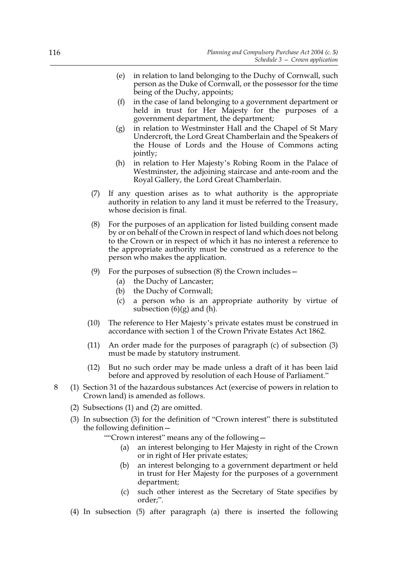- (e) in relation to land belonging to the Duchy of Cornwall, such person as the Duke of Cornwall, or the possessor for the time being of the Duchy, appoints;
- (f) in the case of land belonging to a government department or held in trust for Her Majesty for the purposes of a government department, the department;
- (g) in relation to Westminster Hall and the Chapel of St Mary Undercroft, the Lord Great Chamberlain and the Speakers of the House of Lords and the House of Commons acting jointly;
- (h) in relation to Her Majesty's Robing Room in the Palace of Westminster, the adjoining staircase and ante-room and the Royal Gallery, the Lord Great Chamberlain.
- (7) If any question arises as to what authority is the appropriate authority in relation to any land it must be referred to the Treasury, whose decision is final.
- (8) For the purposes of an application for listed building consent made by or on behalf of the Crown in respect of land which does not belong to the Crown or in respect of which it has no interest a reference to the appropriate authority must be construed as a reference to the person who makes the application.
- (9) For the purposes of subsection (8) the Crown includes—
	- (a) the Duchy of Lancaster;
	- (b) the Duchy of Cornwall;
	- (c) a person who is an appropriate authority by virtue of subsection  $(6)(g)$  and  $(h)$ .
- (10) The reference to Her Majesty's private estates must be construed in accordance with section 1 of the Crown Private Estates Act 1862.
- (11) An order made for the purposes of paragraph (c) of subsection (3) must be made by statutory instrument.
- (12) But no such order may be made unless a draft of it has been laid before and approved by resolution of each House of Parliament."
- 8 (1) Section 31 of the hazardous substances Act (exercise of powers in relation to Crown land) is amended as follows.
	- (2) Subsections (1) and (2) are omitted.
	- (3) In subsection (3) for the definition of "Crown interest" there is substituted the following definition—

""Crown interest" means any of the following—

- (a) an interest belonging to Her Majesty in right of the Crown or in right of Her private estates;
- (b) an interest belonging to a government department or held in trust for Her Majesty for the purposes of a government department;
- (c) such other interest as the Secretary of State specifies by order;".
- (4) In subsection (5) after paragraph (a) there is inserted the following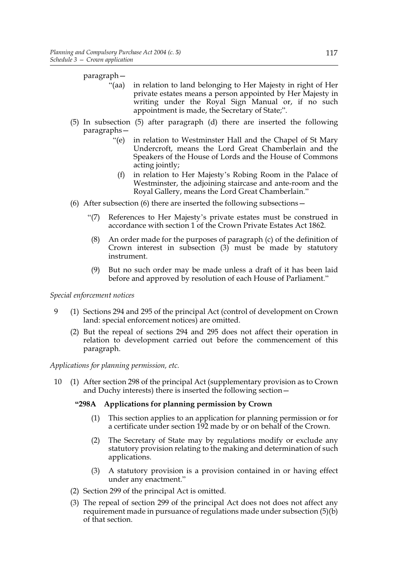paragraph—

- "(aa) in relation to land belonging to Her Majesty in right of Her private estates means a person appointed by Her Majesty in writing under the Royal Sign Manual or, if no such appointment is made, the Secretary of State;".
- (5) In subsection (5) after paragraph (d) there are inserted the following paragraphs—
	- "(e) in relation to Westminster Hall and the Chapel of St Mary Undercroft, means the Lord Great Chamberlain and the Speakers of the House of Lords and the House of Commons acting jointly;
	- (f) in relation to Her Majesty's Robing Room in the Palace of Westminster, the adjoining staircase and ante-room and the Royal Gallery, means the Lord Great Chamberlain."
- (6) After subsection (6) there are inserted the following subsections—
	- "(7) References to Her Majesty's private estates must be construed in accordance with section 1 of the Crown Private Estates Act 1862.
	- (8) An order made for the purposes of paragraph (c) of the definition of Crown interest in subsection (3) must be made by statutory instrument.
	- (9) But no such order may be made unless a draft of it has been laid before and approved by resolution of each House of Parliament."

*Special enforcement notices*

- 9 (1) Sections 294 and 295 of the principal Act (control of development on Crown land: special enforcement notices) are omitted.
	- (2) But the repeal of sections 294 and 295 does not affect their operation in relation to development carried out before the commencement of this paragraph.

*Applications for planning permission, etc.*

10 (1) After section 298 of the principal Act (supplementary provision as to Crown and Duchy interests) there is inserted the following section—

# **"298A Applications for planning permission by Crown**

- (1) This section applies to an application for planning permission or for a certificate under section 192 made by or on behalf of the Crown.
- (2) The Secretary of State may by regulations modify or exclude any statutory provision relating to the making and determination of such applications.
- (3) A statutory provision is a provision contained in or having effect under any enactment."
- (2) Section 299 of the principal Act is omitted.
- (3) The repeal of section 299 of the principal Act does not does not affect any requirement made in pursuance of regulations made under subsection (5)(b) of that section.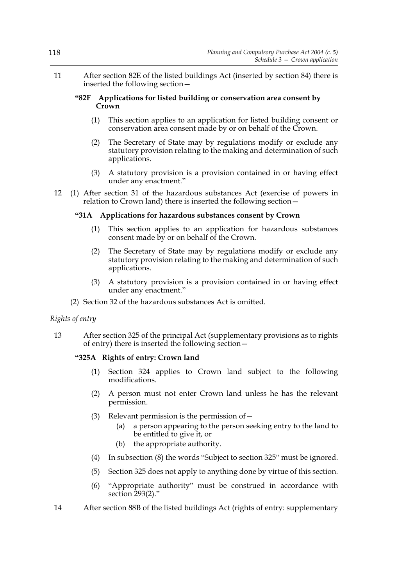11 After section 82E of the listed buildings Act (inserted by section 84) there is inserted the following section—

#### **"82F Applications for listed building or conservation area consent by Crown**

- (1) This section applies to an application for listed building consent or conservation area consent made by or on behalf of the Crown.
- (2) The Secretary of State may by regulations modify or exclude any statutory provision relating to the making and determination of such applications.
- (3) A statutory provision is a provision contained in or having effect under any enactment."
- 12 (1) After section 31 of the hazardous substances Act (exercise of powers in relation to Crown land) there is inserted the following section—

# **"31A Applications for hazardous substances consent by Crown**

- (1) This section applies to an application for hazardous substances consent made by or on behalf of the Crown.
- (2) The Secretary of State may by regulations modify or exclude any statutory provision relating to the making and determination of such applications.
- (3) A statutory provision is a provision contained in or having effect under any enactment."
- (2) Section 32 of the hazardous substances Act is omitted.

# *Rights of entry*

13 After section 325 of the principal Act (supplementary provisions as to rights of entry) there is inserted the following section—

# **"325A Rights of entry: Crown land**

- (1) Section 324 applies to Crown land subject to the following modifications.
- (2) A person must not enter Crown land unless he has the relevant permission.
- (3) Relevant permission is the permission of  $$ 
	- a person appearing to the person seeking entry to the land to be entitled to give it, or
	- (b) the appropriate authority.
- (4) In subsection (8) the words "Subject to section 325" must be ignored.
- (5) Section 325 does not apply to anything done by virtue of this section.
- (6) "Appropriate authority" must be construed in accordance with section 293(2)."
- 14 After section 88B of the listed buildings Act (rights of entry: supplementary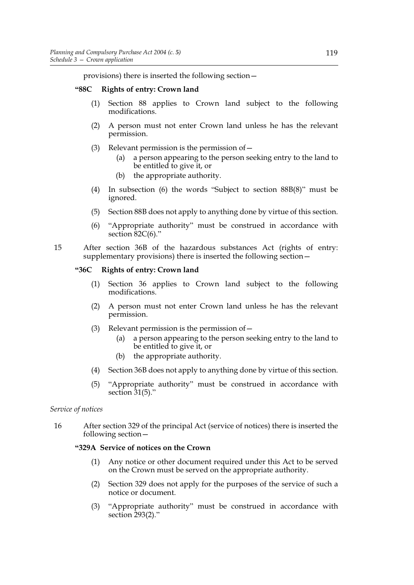provisions) there is inserted the following section—

# **"88C Rights of entry: Crown land**

- (1) Section 88 applies to Crown land subject to the following modifications.
- (2) A person must not enter Crown land unless he has the relevant permission.
- (3) Relevant permission is the permission of  $-$ 
	- (a) a person appearing to the person seeking entry to the land to be entitled to give it, or
	- (b) the appropriate authority.
- (4) In subsection (6) the words "Subject to section 88B(8)" must be ignored.
- (5) Section 88B does not apply to anything done by virtue of this section.
- (6) "Appropriate authority" must be construed in accordance with section 82C(6)."
- 15 After section 36B of the hazardous substances Act (rights of entry: supplementary provisions) there is inserted the following section—

# **"36C Rights of entry: Crown land**

- (1) Section 36 applies to Crown land subject to the following modifications.
- (2) A person must not enter Crown land unless he has the relevant permission.
- (3) Relevant permission is the permission of—
	- (a) a person appearing to the person seeking entry to the land to be entitled to give it, or
	- (b) the appropriate authority.
- (4) Section 36B does not apply to anything done by virtue of this section.
- (5) "Appropriate authority" must be construed in accordance with section  $31(5)$ ."

# *Service of notices*

16 After section 329 of the principal Act (service of notices) there is inserted the following section—

# **"329A Service of notices on the Crown**

- (1) Any notice or other document required under this Act to be served on the Crown must be served on the appropriate authority.
- (2) Section 329 does not apply for the purposes of the service of such a notice or document.
- (3) "Appropriate authority" must be construed in accordance with section 293(2)."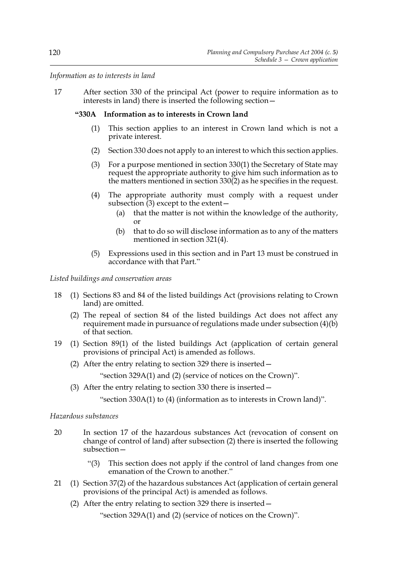*Information as to interests in land*

17 After section 330 of the principal Act (power to require information as to interests in land) there is inserted the following section—

### **"330A Information as to interests in Crown land**

- (1) This section applies to an interest in Crown land which is not a private interest.
- (2) Section 330 does not apply to an interest to which this section applies.
- (3) For a purpose mentioned in section 330(1) the Secretary of State may request the appropriate authority to give him such information as to the matters mentioned in section 330(2) as he specifies in the request.
- (4) The appropriate authority must comply with a request under subsection  $(3)$  except to the extent  $-$ 
	- (a) that the matter is not within the knowledge of the authority, or
	- (b) that to do so will disclose information as to any of the matters mentioned in section 321(4).
- (5) Expressions used in this section and in Part 13 must be construed in accordance with that Part."

### *Listed buildings and conservation areas*

- 18 (1) Sections 83 and 84 of the listed buildings Act (provisions relating to Crown land) are omitted.
	- (2) The repeal of section 84 of the listed buildings Act does not affect any requirement made in pursuance of regulations made under subsection (4)(b) of that section.
- 19 (1) Section 89(1) of the listed buildings Act (application of certain general provisions of principal Act) is amended as follows.
	- (2) After the entry relating to section 329 there is inserted—
		- "section 329A(1) and (2) (service of notices on the Crown)".
	- (3) After the entry relating to section 330 there is inserted—
		- "section 330A(1) to (4) (information as to interests in Crown land)".

# *Hazardous substances*

- 20 In section 17 of the hazardous substances Act (revocation of consent on change of control of land) after subsection (2) there is inserted the following subsection—
	- "(3) This section does not apply if the control of land changes from one emanation of the Crown to another."
- 21 (1) Section 37(2) of the hazardous substances Act (application of certain general provisions of the principal Act) is amended as follows.
	- (2) After the entry relating to section 329 there is inserted—

"section 329A(1) and (2) (service of notices on the Crown)".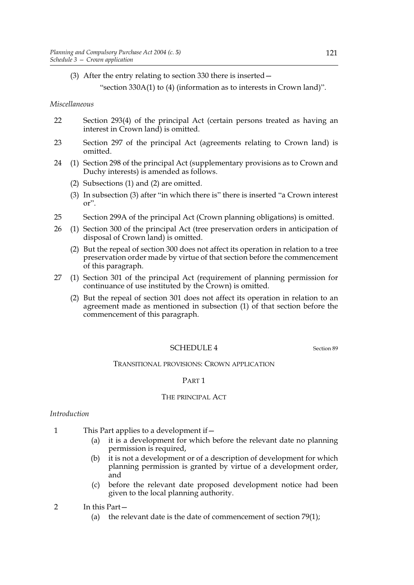(3) After the entry relating to section 330 there is inserted—

"section 330A(1) to (4) (information as to interests in Crown land)".

*Miscellaneous*

- 22 Section 293(4) of the principal Act (certain persons treated as having an interest in Crown land) is omitted.
- 23 Section 297 of the principal Act (agreements relating to Crown land) is omitted.
- 24 (1) Section 298 of the principal Act (supplementary provisions as to Crown and Duchy interests) is amended as follows.
	- (2) Subsections (1) and (2) are omitted.
	- (3) In subsection (3) after "in which there is" there is inserted "a Crown interest or".
- 25 Section 299A of the principal Act (Crown planning obligations) is omitted.
- 26 (1) Section 300 of the principal Act (tree preservation orders in anticipation of disposal of Crown land) is omitted.
	- (2) But the repeal of section 300 does not affect its operation in relation to a tree preservation order made by virtue of that section before the commencement of this paragraph.
- 27 (1) Section 301 of the principal Act (requirement of planning permission for continuance of use instituted by the Crown) is omitted.
	- (2) But the repeal of section 301 does not affect its operation in relation to an agreement made as mentioned in subsection (1) of that section before the commencement of this paragraph.

# SCHEDULE 4 Section 89

#### TRANSITIONAL PROVISIONS: CROWN APPLICATION

### PART 1

### THE PRINCIPAL ACT

#### *Introduction*

- 1 This Part applies to a development if  $-$ 
	- (a) it is a development for which before the relevant date no planning permission is required,
	- (b) it is not a development or of a description of development for which planning permission is granted by virtue of a development order, and
	- (c) before the relevant date proposed development notice had been given to the local planning authority.
- 2 In this Part—
	- (a) the relevant date is the date of commencement of section  $79(1)$ ;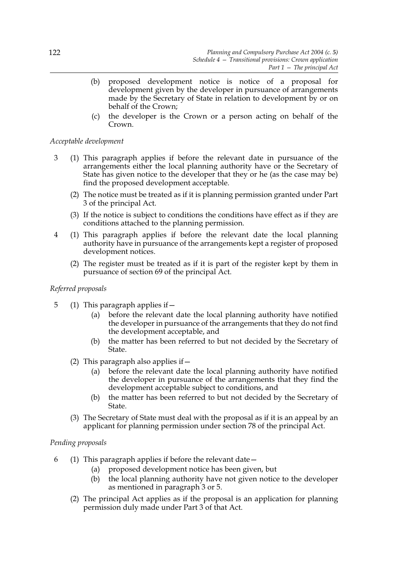- (b) proposed development notice is notice of a proposal for development given by the developer in pursuance of arrangements made by the Secretary of State in relation to development by or on behalf of the Crown;
- (c) the developer is the Crown or a person acting on behalf of the Crown.

### *Acceptable development*

- 3 (1) This paragraph applies if before the relevant date in pursuance of the arrangements either the local planning authority have or the Secretary of State has given notice to the developer that they or he (as the case may be) find the proposed development acceptable.
	- (2) The notice must be treated as if it is planning permission granted under Part 3 of the principal Act.
	- (3) If the notice is subject to conditions the conditions have effect as if they are conditions attached to the planning permission.
- 4 (1) This paragraph applies if before the relevant date the local planning authority have in pursuance of the arrangements kept a register of proposed development notices.
	- (2) The register must be treated as if it is part of the register kept by them in pursuance of section 69 of the principal Act.

### *Referred proposals*

- 5 (1) This paragraph applies if—
	- (a) before the relevant date the local planning authority have notified the developer in pursuance of the arrangements that they do not find the development acceptable, and
	- (b) the matter has been referred to but not decided by the Secretary of State.
	- (2) This paragraph also applies if—
		- (a) before the relevant date the local planning authority have notified the developer in pursuance of the arrangements that they find the development acceptable subject to conditions, and
		- (b) the matter has been referred to but not decided by the Secretary of State.
	- (3) The Secretary of State must deal with the proposal as if it is an appeal by an applicant for planning permission under section 78 of the principal Act.

#### *Pending proposals*

- 6 (1) This paragraph applies if before the relevant date—
	- (a) proposed development notice has been given, but
	- (b) the local planning authority have not given notice to the developer as mentioned in paragraph 3 or 5.
	- (2) The principal Act applies as if the proposal is an application for planning permission duly made under Part 3 of that Act.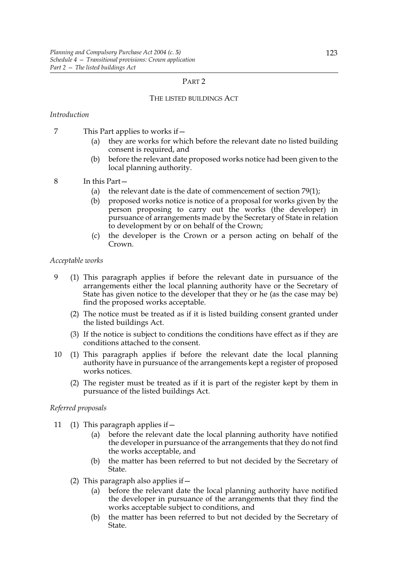#### PART 2

#### THE LISTED BUILDINGS ACT

### *Introduction*

- 7 This Part applies to works if—
	- (a) they are works for which before the relevant date no listed building consent is required, and
	- (b) before the relevant date proposed works notice had been given to the local planning authority.
- 8 In this Part—
	- (a) the relevant date is the date of commencement of section  $79(1)$ ;
	- (b) proposed works notice is notice of a proposal for works given by the person proposing to carry out the works (the developer) in pursuance of arrangements made by the Secretary of State in relation to development by or on behalf of the Crown;
	- (c) the developer is the Crown or a person acting on behalf of the Crown.

#### *Acceptable works*

- 9 (1) This paragraph applies if before the relevant date in pursuance of the arrangements either the local planning authority have or the Secretary of State has given notice to the developer that they or he (as the case may be) find the proposed works acceptable.
	- (2) The notice must be treated as if it is listed building consent granted under the listed buildings Act.
	- (3) If the notice is subject to conditions the conditions have effect as if they are conditions attached to the consent.
- 10 (1) This paragraph applies if before the relevant date the local planning authority have in pursuance of the arrangements kept a register of proposed works notices.
	- (2) The register must be treated as if it is part of the register kept by them in pursuance of the listed buildings Act.

### *Referred proposals*

- 11 (1) This paragraph applies if—
	- (a) before the relevant date the local planning authority have notified the developer in pursuance of the arrangements that they do not find the works acceptable, and
	- (b) the matter has been referred to but not decided by the Secretary of State.
	- (2) This paragraph also applies if  $-$ 
		- (a) before the relevant date the local planning authority have notified the developer in pursuance of the arrangements that they find the works acceptable subject to conditions, and
		- (b) the matter has been referred to but not decided by the Secretary of State.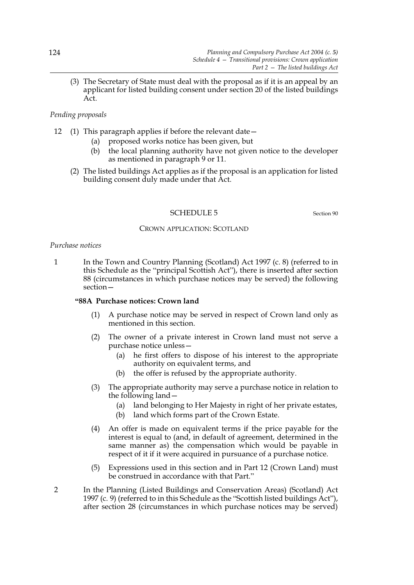(3) The Secretary of State must deal with the proposal as if it is an appeal by an applicant for listed building consent under section 20 of the listed buildings Act.

### *Pending proposals*

- 12 (1) This paragraph applies if before the relevant date—
	- (a) proposed works notice has been given, but
	- (b) the local planning authority have not given notice to the developer as mentioned in paragraph 9 or 11.
	- (2) The listed buildings Act applies as if the proposal is an application for listed building consent duly made under that Act.

#### SCHEDULE 5 Section 90

# CROWN APPLICATION: SCOTLAND

#### *Purchase notices*

1 In the Town and Country Planning (Scotland) Act 1997 (c. 8) (referred to in this Schedule as the "principal Scottish Act"), there is inserted after section 88 (circumstances in which purchase notices may be served) the following section—

# **"88A Purchase notices: Crown land**

- (1) A purchase notice may be served in respect of Crown land only as mentioned in this section.
- (2) The owner of a private interest in Crown land must not serve a purchase notice unless—
	- (a) he first offers to dispose of his interest to the appropriate authority on equivalent terms, and
	- (b) the offer is refused by the appropriate authority.
- (3) The appropriate authority may serve a purchase notice in relation to the following land—
	- (a) land belonging to Her Majesty in right of her private estates,
	- (b) land which forms part of the Crown Estate.
- (4) An offer is made on equivalent terms if the price payable for the interest is equal to (and, in default of agreement, determined in the same manner as) the compensation which would be payable in respect of it if it were acquired in pursuance of a purchase notice.
- (5) Expressions used in this section and in Part 12 (Crown Land) must be construed in accordance with that Part."
- 2 In the Planning (Listed Buildings and Conservation Areas) (Scotland) Act 1997 (c. 9) (referred to in this Schedule as the "Scottish listed buildings Act"), after section 28 (circumstances in which purchase notices may be served)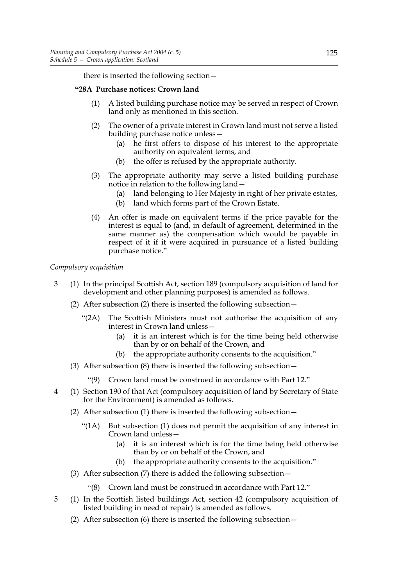there is inserted the following section—

# **"28A Purchase notices: Crown land**

- (1) A listed building purchase notice may be served in respect of Crown land only as mentioned in this section.
- (2) The owner of a private interest in Crown land must not serve a listed building purchase notice unless—
	- (a) he first offers to dispose of his interest to the appropriate authority on equivalent terms, and
	- (b) the offer is refused by the appropriate authority.
- (3) The appropriate authority may serve a listed building purchase notice in relation to the following land—
	- (a) land belonging to Her Majesty in right of her private estates,
	- (b) land which forms part of the Crown Estate.
- (4) An offer is made on equivalent terms if the price payable for the interest is equal to (and, in default of agreement, determined in the same manner as) the compensation which would be payable in respect of it if it were acquired in pursuance of a listed building purchase notice."

# *Compulsory acquisition*

- 3 (1) In the principal Scottish Act, section 189 (compulsory acquisition of land for development and other planning purposes) is amended as follows.
	- (2) After subsection (2) there is inserted the following subsection—
		- "(2A) The Scottish Ministers must not authorise the acquisition of any interest in Crown land unless—
			- (a) it is an interest which is for the time being held otherwise than by or on behalf of the Crown, and
			- (b) the appropriate authority consents to the acquisition."
	- (3) After subsection (8) there is inserted the following subsection—
		- "(9) Crown land must be construed in accordance with Part 12."
- 4 (1) Section 190 of that Act (compulsory acquisition of land by Secretary of State for the Environment) is amended as follows.
	- (2) After subsection (1) there is inserted the following subsection—
		- "(1A) But subsection (1) does not permit the acquisition of any interest in Crown land unless—
			- (a) it is an interest which is for the time being held otherwise than by or on behalf of the Crown, and
			- (b) the appropriate authority consents to the acquisition."
	- (3) After subsection (7) there is added the following subsection—
		- "(8) Crown land must be construed in accordance with Part 12."
- 5 (1) In the Scottish listed buildings Act, section 42 (compulsory acquisition of listed building in need of repair) is amended as follows.
	- (2) After subsection (6) there is inserted the following subsection—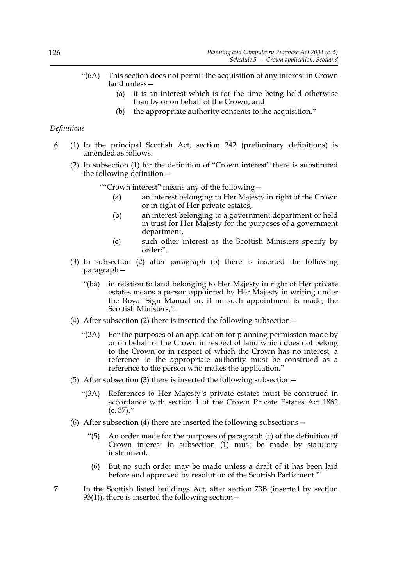- "(6A) This section does not permit the acquisition of any interest in Crown land unless—
	- (a) it is an interest which is for the time being held otherwise than by or on behalf of the Crown, and
	- (b) the appropriate authority consents to the acquisition."

### *Definitions*

- 6 (1) In the principal Scottish Act, section 242 (preliminary definitions) is amended as follows.
	- (2) In subsection (1) for the definition of "Crown interest" there is substituted the following definition—

""Crown interest" means any of the following—

- (a) an interest belonging to Her Majesty in right of the Crown or in right of Her private estates,
- (b) an interest belonging to a government department or held in trust for Her Majesty for the purposes of a government department,
- (c) such other interest as the Scottish Ministers specify by order;".
- (3) In subsection (2) after paragraph (b) there is inserted the following paragraph—
	- "(ba) in relation to land belonging to Her Majesty in right of Her private estates means a person appointed by Her Majesty in writing under the Royal Sign Manual or, if no such appointment is made, the Scottish Ministers;".
- (4) After subsection (2) there is inserted the following subsection—
	- "(2A) For the purposes of an application for planning permission made by or on behalf of the Crown in respect of land which does not belong to the Crown or in respect of which the Crown has no interest, a reference to the appropriate authority must be construed as a reference to the person who makes the application."
- (5) After subsection (3) there is inserted the following subsection—
	- "(3A) References to Her Majesty's private estates must be construed in accordance with section 1 of the Crown Private Estates Act 1862 (c. 37)."
- (6) After subsection (4) there are inserted the following subsections—
	- "(5) An order made for the purposes of paragraph (c) of the definition of Crown interest in subsection (1) must be made by statutory instrument.
	- (6) But no such order may be made unless a draft of it has been laid before and approved by resolution of the Scottish Parliament."
- 7 In the Scottish listed buildings Act, after section 73B (inserted by section  $93(1)$ , there is inserted the following section –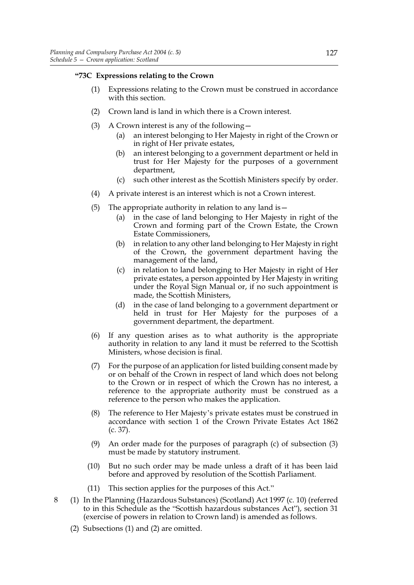# **"73C Expressions relating to the Crown**

- (1) Expressions relating to the Crown must be construed in accordance with this section.
- (2) Crown land is land in which there is a Crown interest.
- (3) A Crown interest is any of the following—
	- (a) an interest belonging to Her Majesty in right of the Crown or in right of Her private estates,
	- (b) an interest belonging to a government department or held in trust for Her Majesty for the purposes of a government department,
	- (c) such other interest as the Scottish Ministers specify by order.
- (4) A private interest is an interest which is not a Crown interest.
- (5) The appropriate authority in relation to any land is  $-$ 
	- (a) in the case of land belonging to Her Majesty in right of the Crown and forming part of the Crown Estate, the Crown Estate Commissioners,
	- (b) in relation to any other land belonging to Her Majesty in right of the Crown, the government department having the management of the land,
	- (c) in relation to land belonging to Her Majesty in right of Her private estates, a person appointed by Her Majesty in writing under the Royal Sign Manual or, if no such appointment is made, the Scottish Ministers,
	- (d) in the case of land belonging to a government department or held in trust for Her Majesty for the purposes of a government department, the department.
- (6) If any question arises as to what authority is the appropriate authority in relation to any land it must be referred to the Scottish Ministers, whose decision is final.
- (7) For the purpose of an application for listed building consent made by or on behalf of the Crown in respect of land which does not belong to the Crown or in respect of which the Crown has no interest, a reference to the appropriate authority must be construed as a reference to the person who makes the application.
- (8) The reference to Her Majesty's private estates must be construed in accordance with section 1 of the Crown Private Estates Act 1862 (c. 37).
- (9) An order made for the purposes of paragraph (c) of subsection (3) must be made by statutory instrument.
- (10) But no such order may be made unless a draft of it has been laid before and approved by resolution of the Scottish Parliament.
- (11) This section applies for the purposes of this Act."
- 8 (1) In the Planning (Hazardous Substances) (Scotland) Act 1997 (c. 10) (referred to in this Schedule as the "Scottish hazardous substances Act"), section 31 (exercise of powers in relation to Crown land) is amended as follows.
	- (2) Subsections (1) and (2) are omitted.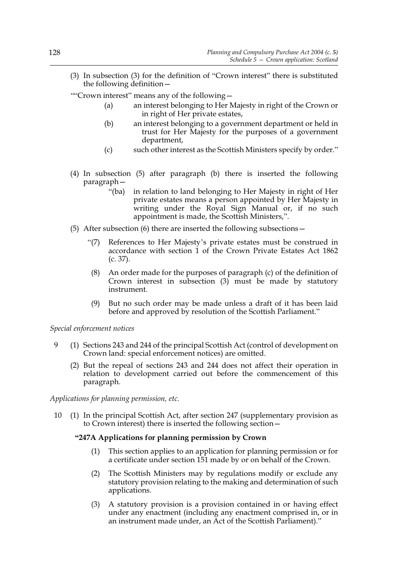- (3) In subsection (3) for the definition of "Crown interest" there is substituted the following definition—
- ""Crown interest" means any of the following—
	- (a) an interest belonging to Her Majesty in right of the Crown or in right of Her private estates,
	- (b) an interest belonging to a government department or held in trust for Her Majesty for the purposes of a government department,
	- (c) such other interest as the Scottish Ministers specify by order."
- (4) In subsection (5) after paragraph (b) there is inserted the following paragraph—
	- "(ba) in relation to land belonging to Her Majesty in right of Her private estates means a person appointed by Her Majesty in writing under the Royal Sign Manual or, if no such appointment is made, the Scottish Ministers,".
- (5) After subsection (6) there are inserted the following subsections—
	- "(7) References to Her Majesty's private estates must be construed in accordance with section 1 of the Crown Private Estates Act 1862 (c. 37).
	- (8) An order made for the purposes of paragraph (c) of the definition of Crown interest in subsection (3) must be made by statutory instrument.
	- (9) But no such order may be made unless a draft of it has been laid before and approved by resolution of the Scottish Parliament."

*Special enforcement notices*

- 9 (1) Sections 243 and 244 of the principal Scottish Act (control of development on Crown land: special enforcement notices) are omitted.
	- (2) But the repeal of sections 243 and 244 does not affect their operation in relation to development carried out before the commencement of this paragraph.

*Applications for planning permission, etc.*

10 (1) In the principal Scottish Act, after section 247 (supplementary provision as to Crown interest) there is inserted the following section—

# **"247A Applications for planning permission by Crown**

- (1) This section applies to an application for planning permission or for a certificate under section 151 made by or on behalf of the Crown.
- (2) The Scottish Ministers may by regulations modify or exclude any statutory provision relating to the making and determination of such applications.
- (3) A statutory provision is a provision contained in or having effect under any enactment (including any enactment comprised in, or in an instrument made under, an Act of the Scottish Parliament)."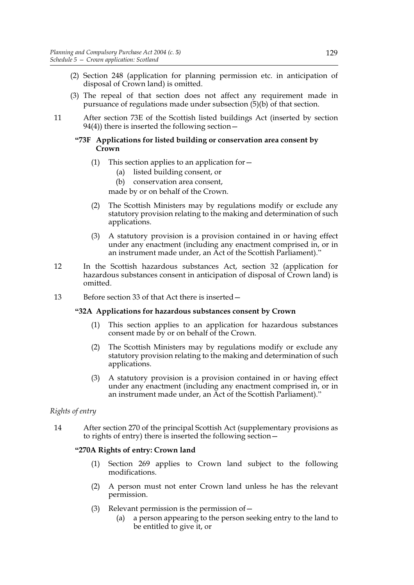- (2) Section 248 (application for planning permission etc. in anticipation of disposal of Crown land) is omitted.
- (3) The repeal of that section does not affect any requirement made in pursuance of regulations made under subsection  $(5)(b)$  of that section.
- 11 After section 73E of the Scottish listed buildings Act (inserted by section  $94(4)$ ) there is inserted the following section –

### **"73F Applications for listed building or conservation area consent by Crown**

- (1) This section applies to an application for  $-$ 
	- (a) listed building consent, or
	- (b) conservation area consent,
	- made by or on behalf of the Crown.
- (2) The Scottish Ministers may by regulations modify or exclude any statutory provision relating to the making and determination of such applications.
- (3) A statutory provision is a provision contained in or having effect under any enactment (including any enactment comprised in, or in an instrument made under, an Act of the Scottish Parliament)."
- 12 In the Scottish hazardous substances Act, section 32 (application for hazardous substances consent in anticipation of disposal of Crown land) is omitted.
- 13 Before section 33 of that Act there is inserted—

#### **"32A Applications for hazardous substances consent by Crown**

- (1) This section applies to an application for hazardous substances consent made by or on behalf of the Crown.
- (2) The Scottish Ministers may by regulations modify or exclude any statutory provision relating to the making and determination of such applications.
- (3) A statutory provision is a provision contained in or having effect under any enactment (including any enactment comprised in, or in an instrument made under, an Act of the Scottish Parliament)."

# *Rights of entry*

14 After section 270 of the principal Scottish Act (supplementary provisions as to rights of entry) there is inserted the following section—

#### **"270A Rights of entry: Crown land**

- (1) Section 269 applies to Crown land subject to the following modifications.
- (2) A person must not enter Crown land unless he has the relevant permission.
- (3) Relevant permission is the permission of  $-$ 
	- (a) a person appearing to the person seeking entry to the land to be entitled to give it, or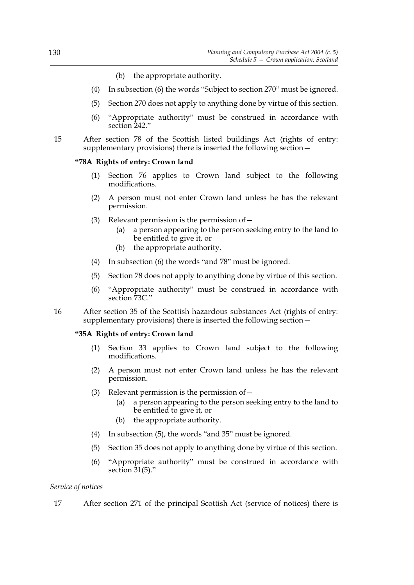- (b) the appropriate authority.
- (4) In subsection (6) the words "Subject to section 270" must be ignored.
- (5) Section 270 does not apply to anything done by virtue of this section.
- (6) "Appropriate authority" must be construed in accordance with section 242."
- 15 After section 78 of the Scottish listed buildings Act (rights of entry: supplementary provisions) there is inserted the following section—

### **"78A Rights of entry: Crown land**

- (1) Section 76 applies to Crown land subject to the following modifications.
- (2) A person must not enter Crown land unless he has the relevant permission.
- (3) Relevant permission is the permission of  $$ 
	- a person appearing to the person seeking entry to the land to be entitled to give it, or
	- (b) the appropriate authority.
- (4) In subsection (6) the words "and 78" must be ignored.
- (5) Section 78 does not apply to anything done by virtue of this section.
- (6) "Appropriate authority" must be construed in accordance with section 73C."
- 16 After section 35 of the Scottish hazardous substances Act (rights of entry: supplementary provisions) there is inserted the following section—

# **"35A Rights of entry: Crown land**

- (1) Section 33 applies to Crown land subject to the following modifications.
- (2) A person must not enter Crown land unless he has the relevant permission.
- (3) Relevant permission is the permission of—
	- (a) a person appearing to the person seeking entry to the land to be entitled to give it, or
	- (b) the appropriate authority.
- (4) In subsection (5), the words "and 35" must be ignored.
- (5) Section 35 does not apply to anything done by virtue of this section.
- (6) "Appropriate authority" must be construed in accordance with section  $31(5)$ ."

*Service of notices*

17 After section 271 of the principal Scottish Act (service of notices) there is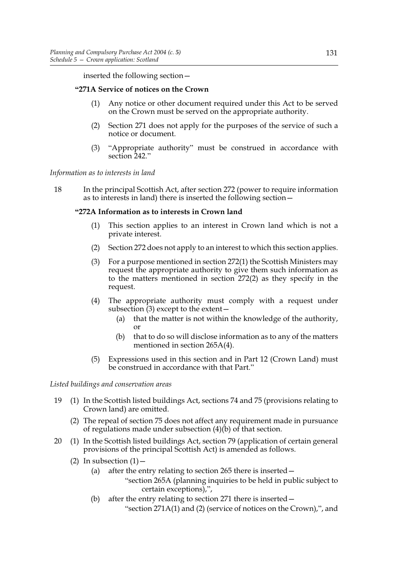inserted the following section—

# **"271A Service of notices on the Crown**

- (1) Any notice or other document required under this Act to be served on the Crown must be served on the appropriate authority.
- (2) Section 271 does not apply for the purposes of the service of such a notice or document.
- (3) "Appropriate authority" must be construed in accordance with section 242."

*Information as to interests in land*

18 In the principal Scottish Act, after section 272 (power to require information as to interests in land) there is inserted the following section—

### **"272A Information as to interests in Crown land**

- (1) This section applies to an interest in Crown land which is not a private interest.
- (2) Section 272 does not apply to an interest to which this section applies.
- (3) For a purpose mentioned in section 272(1) the Scottish Ministers may request the appropriate authority to give them such information as to the matters mentioned in section 272(2) as they specify in the request.
- (4) The appropriate authority must comply with a request under subsection  $(3)$  except to the extent  $-$ 
	- (a) that the matter is not within the knowledge of the authority, or
	- (b) that to do so will disclose information as to any of the matters mentioned in section 265A(4).
- (5) Expressions used in this section and in Part 12 (Crown Land) must be construed in accordance with that Part."

*Listed buildings and conservation areas*

- 19 (1) In the Scottish listed buildings Act, sections 74 and 75 (provisions relating to Crown land) are omitted.
	- (2) The repeal of section 75 does not affect any requirement made in pursuance of regulations made under subsection  $(4)(b)$  of that section.
- 20 (1) In the Scottish listed buildings Act, section 79 (application of certain general provisions of the principal Scottish Act) is amended as follows.
	- (2) In subsection  $(1)$  -
		- (a) after the entry relating to section 265 there is inserted—
			- "section 265A (planning inquiries to be held in public subject to certain exceptions),",
		- (b) after the entry relating to section 271 there is inserted— "section 271A(1) and (2) (service of notices on the Crown),", and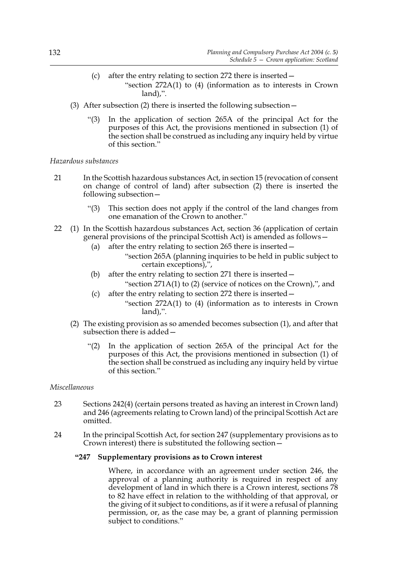- (c) after the entry relating to section 272 there is inserted— "section 272A(1) to (4) (information as to interests in Crown land),".
- (3) After subsection (2) there is inserted the following subsection—
	- "(3) In the application of section 265A of the principal Act for the purposes of this Act, the provisions mentioned in subsection (1) of the section shall be construed as including any inquiry held by virtue of this section."

# *Hazardous substances*

- 21 In the Scottish hazardous substances Act, in section 15 (revocation of consent on change of control of land) after subsection (2) there is inserted the following subsection—
	- "(3) This section does not apply if the control of the land changes from one emanation of the Crown to another."
- 22 (1) In the Scottish hazardous substances Act, section 36 (application of certain general provisions of the principal Scottish Act) is amended as follows—
	- (a) after the entry relating to section 265 there is inserted—
		- "section 265A (planning inquiries to be held in public subject to certain exceptions),",
	- (b) after the entry relating to section 271 there is inserted—
		- "section 271A(1) to (2) (service of notices on the Crown),", and
	- (c) after the entry relating to section 272 there is inserted— "section 272A(1) to (4) (information as to interests in Crown land),".
	- (2) The existing provision as so amended becomes subsection (1), and after that subsection there is added—
		- "(2) In the application of section 265A of the principal Act for the purposes of this Act, the provisions mentioned in subsection (1) of the section shall be construed as including any inquiry held by virtue of this section."

#### *Miscellaneous*

- 23 Sections 242(4) (certain persons treated as having an interest in Crown land) and 246 (agreements relating to Crown land) of the principal Scottish Act are omitted.
- 24 In the principal Scottish Act, for section 247 (supplementary provisions as to Crown interest) there is substituted the following section—

#### **"247 Supplementary provisions as to Crown interest**

Where, in accordance with an agreement under section 246, the approval of a planning authority is required in respect of any development of land in which there is a Crown interest, sections 78 to 82 have effect in relation to the withholding of that approval, or the giving of it subject to conditions, as if it were a refusal of planning permission, or, as the case may be, a grant of planning permission subject to conditions."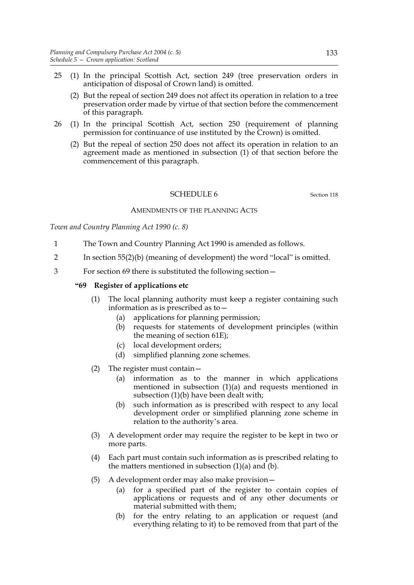- 25 (1) In the principal Scottish Act, section 249 (tree preservation orders in anticipation of disposal of Crown land) is omitted.
	- (2) But the repeal of section 249 does not affect its operation in relation to a tree preservation order made by virtue of that section before the commencement of this paragraph.
- 26 (1) In the principal Scottish Act, section 250 (requirement of planning permission for continuance of use instituted by the Crown) is omitted.
	- (2) But the repeal of section 250 does not affect its operation in relation to an agreement made as mentioned in subsection (1) of that section before the commencement of this paragraph.

### SCHEDULE 6 Section 118

### AMENDMENTS OF THE PLANNING ACTS

*Town and Country Planning Act 1990 (c. 8)*

- 1 The Town and Country Planning Act 1990 is amended as follows.
- 2 In section 55(2)(b) (meaning of development) the word "local" is omitted.
- 3 For section 69 there is substituted the following section—

### **"69 Register of applications etc**

- (1) The local planning authority must keep a register containing such information as is prescribed as to—
	- (a) applications for planning permission;
	- (b) requests for statements of development principles (within the meaning of section 61E);
	- (c) local development orders;
	- (d) simplified planning zone schemes.
- (2) The register must contain—
	- (a) information as to the manner in which applications mentioned in subsection (1)(a) and requests mentioned in subsection (1)(b) have been dealt with;
	- (b) such information as is prescribed with respect to any local development order or simplified planning zone scheme in relation to the authority's area.
- (3) A development order may require the register to be kept in two or more parts.
- (4) Each part must contain such information as is prescribed relating to the matters mentioned in subsection  $(1)(a)$  and  $(b)$ .
- (5) A development order may also make provision—
	- (a) for a specified part of the register to contain copies of applications or requests and of any other documents or material submitted with them;
	- (b) for the entry relating to an application or request (and everything relating to it) to be removed from that part of the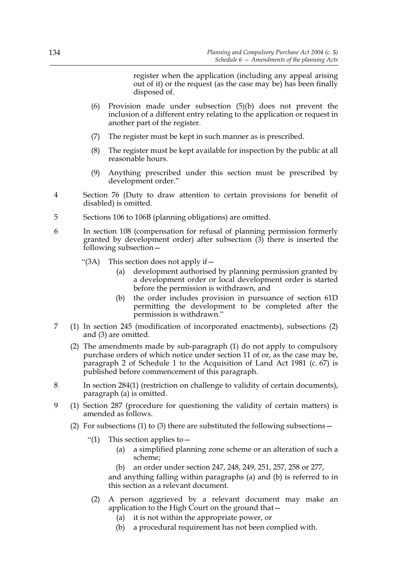register when the application (including any appeal arising out of it) or the request (as the case may be) has been finally disposed of.

- (6) Provision made under subsection (5)(b) does not prevent the inclusion of a different entry relating to the application or request in another part of the register.
- (7) The register must be kept in such manner as is prescribed.
- (8) The register must be kept available for inspection by the public at all reasonable hours.
- (9) Anything prescribed under this section must be prescribed by development order."
- 4 Section 76 (Duty to draw attention to certain provisions for benefit of disabled) is omitted.
- 5 Sections 106 to 106B (planning obligations) are omitted.
- 6 In section 108 (compensation for refusal of planning permission formerly granted by development order) after subsection (3) there is inserted the following subsection—
	- "(3A) This section does not apply if—
		- (a) development authorised by planning permission granted by a development order or local development order is started before the permission is withdrawn, and
		- (b) the order includes provision in pursuance of section 61D permitting the development to be completed after the permission is withdrawn."
- 7 (1) In section 245 (modification of incorporated enactments), subsections (2) and (3) are omitted.
	- (2) The amendments made by sub-paragraph (1) do not apply to compulsory purchase orders of which notice under section 11 of or, as the case may be, paragraph 2 of Schedule 1 to the Acquisition of Land Act 1981 (c. 67) is published before commencement of this paragraph.
- 8 In section 284(1) (restriction on challenge to validity of certain documents), paragraph (a) is omitted.
- 9 (1) Section 287 (procedure for questioning the validity of certain matters) is amended as follows.
	- (2) For subsections (1) to (3) there are substituted the following subsections  $-$ 
		- "(1) This section applies to  $-$ 
			- (a) a simplified planning zone scheme or an alteration of such a scheme;
			- an order under section 247, 248, 249, 251, 257, 258 or 277,

and anything falling within paragraphs (a) and (b) is referred to in this section as a relevant document.

- (2) A person aggrieved by a relevant document may make an application to the High Court on the ground that  $-$ 
	- (a) it is not within the appropriate power, or
	- (b) a procedural requirement has not been complied with.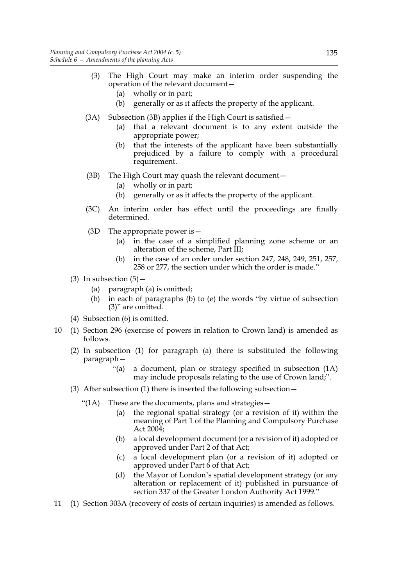- (3) The High Court may make an interim order suspending the operation of the relevant document—
	- (a) wholly or in part;
	- (b) generally or as it affects the property of the applicant.
- (3A) Subsection (3B) applies if the High Court is satisfied—
	- (a) that a relevant document is to any extent outside the appropriate power;
	- (b) that the interests of the applicant have been substantially prejudiced by a failure to comply with a procedural requirement.
- (3B) The High Court may quash the relevant document—
	- (a) wholly or in part;
	- (b) generally or as it affects the property of the applicant.
- (3C) An interim order has effect until the proceedings are finally determined.
- (3D The appropriate power is—
	- (a) in the case of a simplified planning zone scheme or an alteration of the scheme, Part III;
	- (b) in the case of an order under section 247, 248, 249, 251, 257, 258 or 277, the section under which the order is made."
- (3) In subsection  $(5)$ 
	- (a) paragraph (a) is omitted;
	- (b) in each of paragraphs (b) to (e) the words "by virtue of subsection (3)" are omitted.
- (4) Subsection (6) is omitted.
- 10 (1) Section 296 (exercise of powers in relation to Crown land) is amended as follows.
	- (2) In subsection (1) for paragraph (a) there is substituted the following paragraph—
		- "(a) a document, plan or strategy specified in subsection (1A) may include proposals relating to the use of Crown land;".
	- (3) After subsection (1) there is inserted the following subsection—
		- "(1A) These are the documents, plans and strategies—
			- (a) the regional spatial strategy (or a revision of it) within the meaning of Part 1 of the Planning and Compulsory Purchase Act 2004;
			- (b) a local development document (or a revision of it) adopted or approved under Part 2 of that Act;
			- (c) a local development plan (or a revision of it) adopted or approved under Part 6 of that Act;
			- (d) the Mayor of London's spatial development strategy (or any alteration or replacement of it) published in pursuance of section 337 of the Greater London Authority Act 1999."
- 11 (1) Section 303A (recovery of costs of certain inquiries) is amended as follows.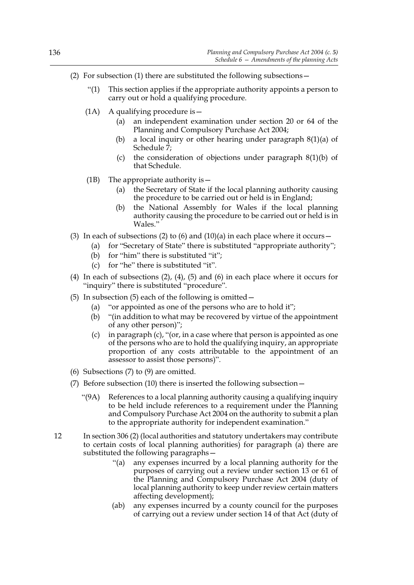- (2) For subsection (1) there are substituted the following subsections—
	- "(1) This section applies if the appropriate authority appoints a person to carry out or hold a qualifying procedure.
	- (1A) A qualifying procedure is—
		- (a) an independent examination under section 20 or 64 of the Planning and Compulsory Purchase Act 2004;
		- (b) a local inquiry or other hearing under paragraph 8(1)(a) of Schedule  $\bar{7}$ ;
		- (c) the consideration of objections under paragraph 8(1)(b) of that Schedule.
	- (1B) The appropriate authority is  $-$ 
		- (a) the Secretary of State if the local planning authority causing the procedure to be carried out or held is in England;
		- (b) the National Assembly for Wales if the local planning authority causing the procedure to be carried out or held is in Wales."
- (3) In each of subsections (2) to (6) and (10)(a) in each place where it occurs  $-$ 
	- (a) for "Secretary of State" there is substituted "appropriate authority";
	- (b) for "him" there is substituted "it";
	- (c) for "he" there is substituted "it".
- (4) In each of subsections  $(2)$ ,  $(4)$ ,  $(5)$  and  $(6)$  in each place where it occurs for "inquiry" there is substituted "procedure".
- (5) In subsection (5) each of the following is omitted  $-$ 
	- (a) "or appointed as one of the persons who are to hold it";
	- (b) "(in addition to what may be recovered by virtue of the appointment of any other person)";
	- (c) in paragraph (c), "(or, in a case where that person is appointed as one of the persons who are to hold the qualifying inquiry, an appropriate proportion of any costs attributable to the appointment of an assessor to assist those persons)".
- (6) Subsections  $(7)$  to  $(9)$  are omitted.
- (7) Before subsection (10) there is inserted the following subsection—
	- "(9A) References to a local planning authority causing a qualifying inquiry to be held include references to a requirement under the Planning and Compulsory Purchase Act 2004 on the authority to submit a plan to the appropriate authority for independent examination."
- 12 In section 306 (2) (local authorities and statutory undertakers may contribute to certain costs of local planning authorities) for paragraph (a) there are substituted the following paragraphs—
	- "(a) any expenses incurred by a local planning authority for the purposes of carrying out a review under section 13 or 61 of the Planning and Compulsory Purchase Act 2004 (duty of local planning authority to keep under review certain matters affecting development);
	- (ab) any expenses incurred by a county council for the purposes of carrying out a review under section 14 of that Act (duty of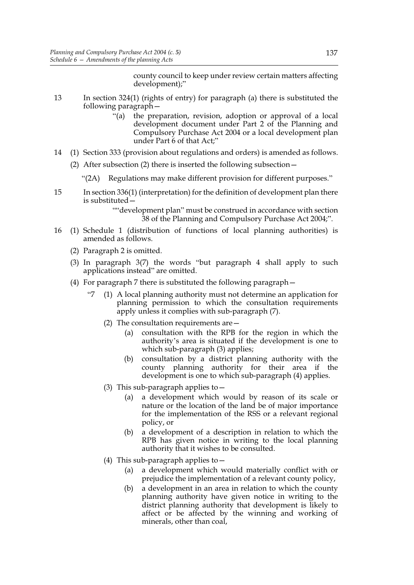county council to keep under review certain matters affecting development);"

- 13 In section 324(1) (rights of entry) for paragraph (a) there is substituted the following paragraph—
	- "(a) the preparation, revision, adoption or approval of a local development document under Part 2 of the Planning and Compulsory Purchase Act 2004 or a local development plan under Part 6 of that Act;"
- 14 (1) Section 333 (provision about regulations and orders) is amended as follows.
	- (2) After subsection (2) there is inserted the following subsection—
		- "(2A) Regulations may make different provision for different purposes."
- 15 In section 336(1) (interpretation) for the definition of development plan there is substituted—

""development plan" must be construed in accordance with section 38 of the Planning and Compulsory Purchase Act 2004;".

- 16 (1) Schedule 1 (distribution of functions of local planning authorities) is amended as follows.
	- (2) Paragraph 2 is omitted.
	- (3) In paragraph 3(7) the words "but paragraph 4 shall apply to such applications instead" are omitted.
	- (4) For paragraph 7 there is substituted the following paragraph—
		- "7 (1) A local planning authority must not determine an application for planning permission to which the consultation requirements apply unless it complies with sub-paragraph (7).
			- (2) The consultation requirements are  $-$ 
				- (a) consultation with the RPB for the region in which the authority's area is situated if the development is one to which sub-paragraph (3) applies;
				- (b) consultation by a district planning authority with the county planning authority for their area if the development is one to which sub-paragraph (4) applies.
			- (3) This sub-paragraph applies to  $-$ 
				- (a) a development which would by reason of its scale or nature or the location of the land be of major importance for the implementation of the RSS or a relevant regional policy, or
				- (b) a development of a description in relation to which the RPB has given notice in writing to the local planning authority that it wishes to be consulted.
			- (4) This sub-paragraph applies to  $-$ 
				- (a) a development which would materially conflict with or prejudice the implementation of a relevant county policy,
				- (b) a development in an area in relation to which the county planning authority have given notice in writing to the district planning authority that development is likely to affect or be affected by the winning and working of minerals, other than coal,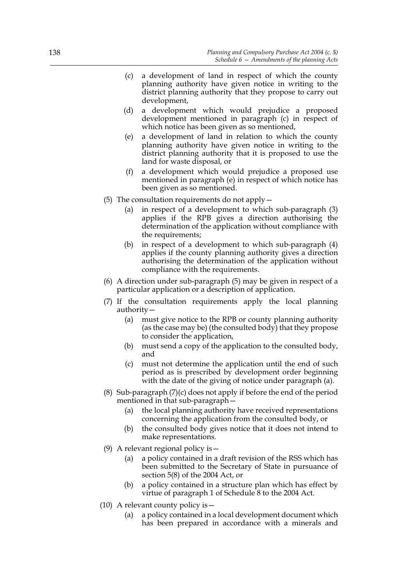- (c) a development of land in respect of which the county planning authority have given notice in writing to the district planning authority that they propose to carry out development,
- (d) a development which would prejudice a proposed development mentioned in paragraph (c) in respect of which notice has been given as so mentioned,
- (e) a development of land in relation to which the county planning authority have given notice in writing to the district planning authority that it is proposed to use the land for waste disposal, or
- (f) a development which would prejudice a proposed use mentioned in paragraph (e) in respect of which notice has been given as so mentioned.
- (5) The consultation requirements do not apply  $-$ 
	- (a) in respect of a development to which sub-paragraph (3) applies if the RPB gives a direction authorising the determination of the application without compliance with the requirements;
	- (b) in respect of a development to which sub-paragraph (4) applies if the county planning authority gives a direction authorising the determination of the application without compliance with the requirements.
- (6) A direction under sub-paragraph (5) may be given in respect of a particular application or a description of application.
- (7) If the consultation requirements apply the local planning authority—
	- (a) must give notice to the RPB or county planning authority (as the case may be) (the consulted body) that they propose to consider the application,
	- (b) must send a copy of the application to the consulted body, and
	- (c) must not determine the application until the end of such period as is prescribed by development order beginning with the date of the giving of notice under paragraph (a).
- (8) Sub-paragraph (7)(c) does not apply if before the end of the period mentioned in that sub-paragraph—
	- (a) the local planning authority have received representations concerning the application from the consulted body, or
	- (b) the consulted body gives notice that it does not intend to make representations.
- (9) A relevant regional policy is—
	- (a) a policy contained in a draft revision of the RSS which has been submitted to the Secretary of State in pursuance of section 5(8) of the 2004 Act, or
	- (b) a policy contained in a structure plan which has effect by virtue of paragraph 1 of Schedule 8 to the 2004 Act.
- (10) A relevant county policy is—
	- (a) a policy contained in a local development document which has been prepared in accordance with a minerals and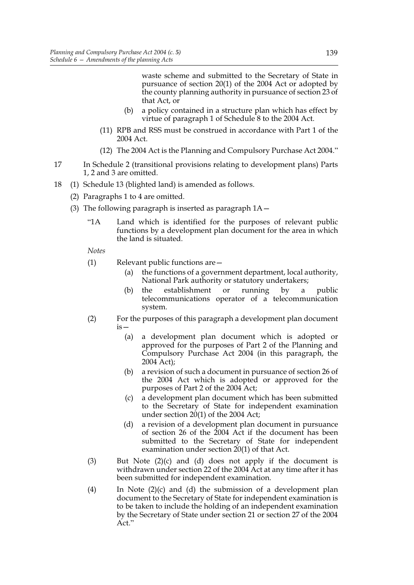waste scheme and submitted to the Secretary of State in pursuance of section 20(1) of the 2004 Act or adopted by the county planning authority in pursuance of section 23 of that Act, or

- (b) a policy contained in a structure plan which has effect by virtue of paragraph 1 of Schedule 8 to the 2004 Act.
- (11) RPB and RSS must be construed in accordance with Part 1 of the 2004 Act.
- (12) The 2004 Act is the Planning and Compulsory Purchase Act 2004."
- 17 In Schedule 2 (transitional provisions relating to development plans) Parts 1, 2 and 3 are omitted.
- 18 (1) Schedule 13 (blighted land) is amended as follows.
	- (2) Paragraphs 1 to 4 are omitted.
	- (3) The following paragraph is inserted as paragraph  $1A$  -
		- "1A Land which is identified for the purposes of relevant public functions by a development plan document for the area in which the land is situated.

*Notes*

- (1) Relevant public functions are—
	- (a) the functions of a government department, local authority, National Park authority or statutory undertakers;
	- (b) the establishment or running by a public telecommunications operator of a telecommunication system.
- (2) For the purposes of this paragraph a development plan document is—
	- (a) a development plan document which is adopted or approved for the purposes of Part 2 of the Planning and Compulsory Purchase Act 2004 (in this paragraph, the 2004 Act);
	- (b) a revision of such a document in pursuance of section 26 of the 2004 Act which is adopted or approved for the purposes of Part 2 of the 2004 Act;
	- (c) a development plan document which has been submitted to the Secretary of State for independent examination under section 20(1) of the 2004 Act;
	- (d) a revision of a development plan document in pursuance of section 26 of the 2004 Act if the document has been submitted to the Secretary of State for independent examination under section 20(1) of that Act.
- (3) But Note  $(2)(c)$  and  $(d)$  does not apply if the document is withdrawn under section 22 of the 2004 Act at any time after it has been submitted for independent examination.
- (4) In Note (2)(c) and (d) the submission of a development plan document to the Secretary of State for independent examination is to be taken to include the holding of an independent examination by the Secretary of State under section 21 or section 27 of the 2004 Act."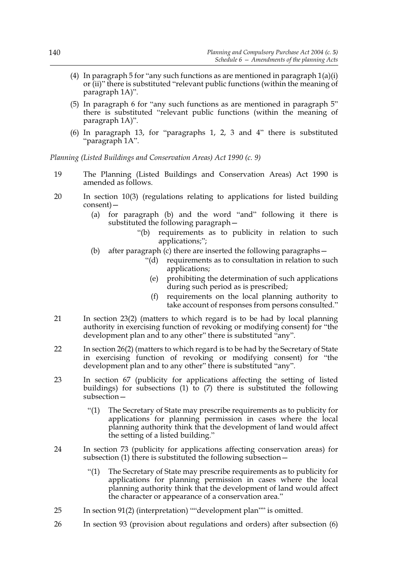- (4) In paragraph 5 for "any such functions as are mentioned in paragraph  $1(a)(i)$ or (ii)" there is substituted "relevant public functions (within the meaning of paragraph 1A)".
- (5) In paragraph 6 for "any such functions as are mentioned in paragraph 5" there is substituted "relevant public functions (within the meaning of paragraph 1A)".
- (6) In paragraph 13, for "paragraphs 1, 2, 3 and 4" there is substituted "paragraph 1A".

*Planning (Listed Buildings and Conservation Areas) Act 1990 (c. 9)*

- 19 The Planning (Listed Buildings and Conservation Areas) Act 1990 is amended as follows.
- 20 In section 10(3) (regulations relating to applications for listed building consent)—
	- (a) for paragraph (b) and the word "and" following it there is substituted the following paragraph—
		- "(b) requirements as to publicity in relation to such applications;";
	- (b) after paragraph (c) there are inserted the following paragraphs—
		- "(d) requirements as to consultation in relation to such applications;
			- (e) prohibiting the determination of such applications during such period as is prescribed;
			- (f) requirements on the local planning authority to take account of responses from persons consulted."
- 21 In section 23(2) (matters to which regard is to be had by local planning authority in exercising function of revoking or modifying consent) for "the development plan and to any other" there is substituted "any".
- 22 In section 26(2) (matters to which regard is to be had by the Secretary of State in exercising function of revoking or modifying consent) for "the development plan and to any other" there is substituted "any".
- 23 In section 67 (publicity for applications affecting the setting of listed buildings) for subsections (1) to (7) there is substituted the following subsection—
	- "(1) The Secretary of State may prescribe requirements as to publicity for applications for planning permission in cases where the local planning authority think that the development of land would affect the setting of a listed building."
- 24 In section 73 (publicity for applications affecting conservation areas) for subsection (1) there is substituted the following subsection—
	- "(1) The Secretary of State may prescribe requirements as to publicity for applications for planning permission in cases where the local planning authority think that the development of land would affect the character or appearance of a conservation area."
- 25 In section 91(2) (interpretation) ""development plan"" is omitted.
- 26 In section 93 (provision about regulations and orders) after subsection (6)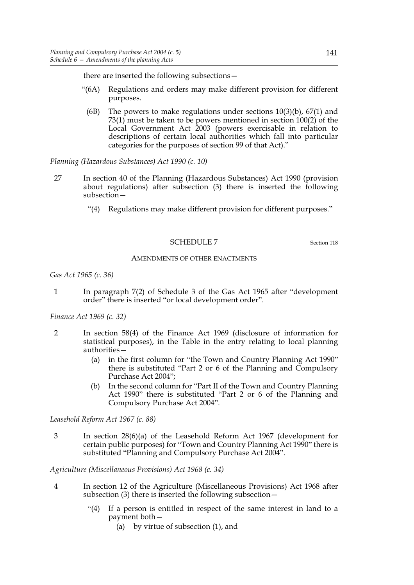there are inserted the following subsections—

- "(6A) Regulations and orders may make different provision for different purposes.
- (6B) The powers to make regulations under sections  $10(3)(b)$ ,  $67(1)$  and 73(1) must be taken to be powers mentioned in section 100(2) of the Local Government Act 2003 (powers exercisable in relation to descriptions of certain local authorities which fall into particular categories for the purposes of section 99 of that Act)."

*Planning (Hazardous Substances) Act 1990 (c. 10)*

- 27 In section 40 of the Planning (Hazardous Substances) Act 1990 (provision about regulations) after subsection (3) there is inserted the following subsection—
	- "(4) Regulations may make different provision for different purposes."

# SCHEDULE 7 Section 118

#### AMENDMENTS OF OTHER ENACTMENTS

*Gas Act 1965 (c. 36)*

1 In paragraph 7(2) of Schedule 3 of the Gas Act 1965 after "development order" there is inserted "or local development order".

*Finance Act 1969 (c. 32)*

- 2 In section 58(4) of the Finance Act 1969 (disclosure of information for statistical purposes), in the Table in the entry relating to local planning authorities—
	- (a) in the first column for "the Town and Country Planning Act 1990" there is substituted "Part 2 or 6 of the Planning and Compulsory Purchase Act 2004";
	- (b) In the second column for "Part II of the Town and Country Planning Act 1990" there is substituted "Part 2 or 6 of the Planning and Compulsory Purchase Act 2004".

*Leasehold Reform Act 1967 (c. 88)*

3 In section 28(6)(a) of the Leasehold Reform Act 1967 (development for certain public purposes) for "Town and Country Planning Act 1990" there is substituted "Planning and Compulsory Purchase Act 2004".

*Agriculture (Miscellaneous Provisions) Act 1968 (c. 34)*

- 4 In section 12 of the Agriculture (Miscellaneous Provisions) Act 1968 after subsection (3) there is inserted the following subsection—
	- "(4) If a person is entitled in respect of the same interest in land to a payment both—
		- (a) by virtue of subsection (1), and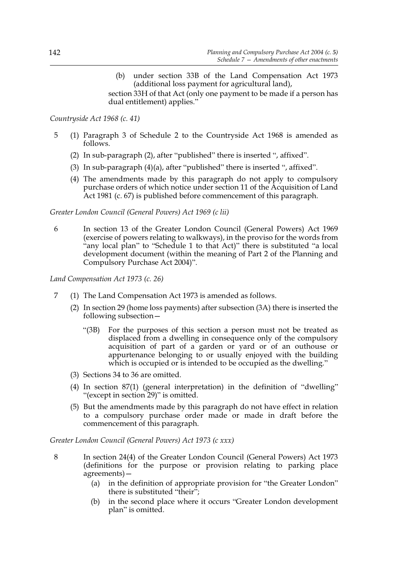(b) under section 33B of the Land Compensation Act 1973 (additional loss payment for agricultural land),

section 33H of that Act (only one payment to be made if a person has dual entitlement) applies."

# *Countryside Act 1968 (c. 41)*

- 5 (1) Paragraph 3 of Schedule 2 to the Countryside Act 1968 is amended as follows.
	- (2) In sub-paragraph (2), after "published" there is inserted ", affixed".
	- (3) In sub-paragraph (4)(a), after "published" there is inserted ", affixed".
	- (4) The amendments made by this paragraph do not apply to compulsory purchase orders of which notice under section 11 of the Acquisition of Land Act 1981 (c. 67) is published before commencement of this paragraph.

# *Greater London Council (General Powers) Act 1969 (c lii)*

6 In section 13 of the Greater London Council (General Powers) Act 1969 (exercise of powers relating to walkways), in the proviso for the words from "any local plan" to "Schedule 1 to that Act)" there is substituted "a local development document (within the meaning of Part 2 of the Planning and Compulsory Purchase Act 2004)".

# *Land Compensation Act 1973 (c. 26)*

- 7 (1) The Land Compensation Act 1973 is amended as follows.
	- (2) In section 29 (home loss payments) after subsection (3A) there is inserted the following subsection—
		- "(3B) For the purposes of this section a person must not be treated as displaced from a dwelling in consequence only of the compulsory acquisition of part of a garden or yard or of an outhouse or appurtenance belonging to or usually enjoyed with the building which is occupied or is intended to be occupied as the dwelling."
	- (3) Sections 34 to 36 are omitted.
	- (4) In section 87(1) (general interpretation) in the definition of "dwelling" "(except in section 29)" is omitted.
	- (5) But the amendments made by this paragraph do not have effect in relation to a compulsory purchase order made or made in draft before the commencement of this paragraph.

*Greater London Council (General Powers) Act 1973 (c xxx)*

- 8 In section 24(4) of the Greater London Council (General Powers) Act 1973 (definitions for the purpose or provision relating to parking place agreements)—
	- (a) in the definition of appropriate provision for "the Greater London" there is substituted "their";
	- (b) in the second place where it occurs "Greater London development plan" is omitted.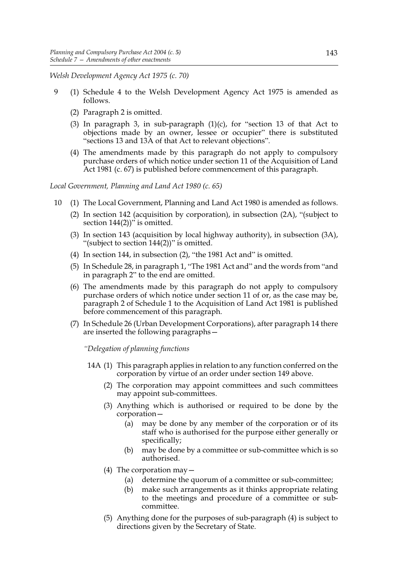*Welsh Development Agency Act 1975 (c. 70)*

- 9 (1) Schedule 4 to the Welsh Development Agency Act 1975 is amended as follows.
	- (2) Paragraph 2 is omitted.
	- (3) In paragraph 3, in sub-paragraph  $(1)(c)$ , for "section 13 of that Act to objections made by an owner, lessee or occupier" there is substituted "sections 13 and 13A of that Act to relevant objections".
	- (4) The amendments made by this paragraph do not apply to compulsory purchase orders of which notice under section 11 of the Acquisition of Land Act 1981 (c. 67) is published before commencement of this paragraph.

*Local Government, Planning and Land Act 1980 (c. 65)*

- 10 (1) The Local Government, Planning and Land Act 1980 is amended as follows.
	- (2) In section 142 (acquisition by corporation), in subsection (2A), "(subject to section  $144(2)$ <sup>"</sup> is omitted.
	- (3) In section 143 (acquisition by local highway authority), in subsection (3A), "(subject to section 144(2))" is omitted.
	- (4) In section 144, in subsection (2), "the 1981 Act and" is omitted.
	- (5) In Schedule 28, in paragraph 1, "The 1981 Act and" and the words from "and in paragraph 2" to the end are omitted.
	- (6) The amendments made by this paragraph do not apply to compulsory purchase orders of which notice under section 11 of or, as the case may be, paragraph 2 of Schedule 1 to the Acquisition of Land Act 1981 is published before commencement of this paragraph.
	- (7) In Schedule 26 (Urban Development Corporations), after paragraph 14 there are inserted the following paragraphs—

*"Delegation of planning functions*

- 14A (1) This paragraph applies in relation to any function conferred on the corporation by virtue of an order under section 149 above.
	- (2) The corporation may appoint committees and such committees may appoint sub-committees.
	- (3) Anything which is authorised or required to be done by the corporation—
		- (a) may be done by any member of the corporation or of its staff who is authorised for the purpose either generally or specifically;
		- (b) may be done by a committee or sub-committee which is so authorised.
	- (4) The corporation may—
		- (a) determine the quorum of a committee or sub-committee;
		- (b) make such arrangements as it thinks appropriate relating to the meetings and procedure of a committee or subcommittee.
	- (5) Anything done for the purposes of sub-paragraph (4) is subject to directions given by the Secretary of State.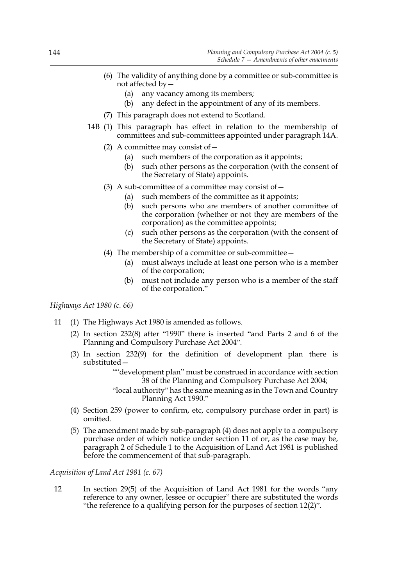- (6) The validity of anything done by a committee or sub-committee is not affected by—
	- (a) any vacancy among its members;
	- (b) any defect in the appointment of any of its members.
- (7) This paragraph does not extend to Scotland.
- 14B (1) This paragraph has effect in relation to the membership of committees and sub-committees appointed under paragraph 14A.
	- (2) A committee may consist of  $-$ 
		- (a) such members of the corporation as it appoints;
		- (b) such other persons as the corporation (with the consent of the Secretary of State) appoints.
	- (3) A sub-committee of a committee may consist of  $-$ 
		- (a) such members of the committee as it appoints;
		- (b) such persons who are members of another committee of the corporation (whether or not they are members of the corporation) as the committee appoints;
		- (c) such other persons as the corporation (with the consent of the Secretary of State) appoints.
	- (4) The membership of a committee or sub-committee—
		- (a) must always include at least one person who is a member of the corporation;
		- (b) must not include any person who is a member of the staff of the corporation."

*Highways Act 1980 (c. 66)*

- 11 (1) The Highways Act 1980 is amended as follows.
	- (2) In section 232(8) after "1990" there is inserted "and Parts 2 and 6 of the Planning and Compulsory Purchase Act 2004".
	- (3) In section 232(9) for the definition of development plan there is substituted—

""development plan" must be construed in accordance with section 38 of the Planning and Compulsory Purchase Act 2004;

"local authority" has the same meaning as in the Town and Country Planning Act 1990."

- (4) Section 259 (power to confirm, etc, compulsory purchase order in part) is omitted.
- (5) The amendment made by sub-paragraph (4) does not apply to a compulsory purchase order of which notice under section 11 of or, as the case may be, paragraph 2 of Schedule 1 to the Acquisition of Land Act 1981 is published before the commencement of that sub-paragraph.

# *Acquisition of Land Act 1981 (c. 67)*

12 In section 29(5) of the Acquisition of Land Act 1981 for the words "any reference to any owner, lessee or occupier" there are substituted the words "the reference to a qualifying person for the purposes of section 12(2)".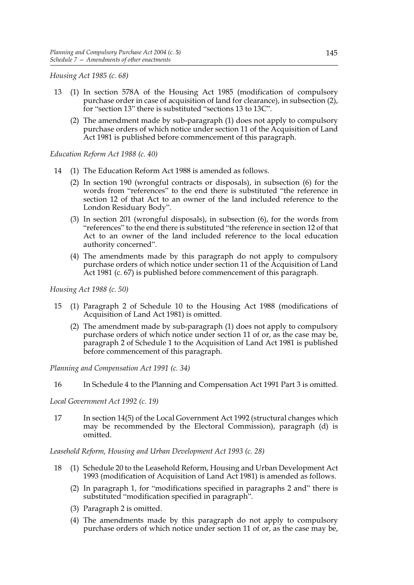*Housing Act 1985 (c. 68)*

- 13 (1) In section 578A of the Housing Act 1985 (modification of compulsory purchase order in case of acquisition of land for clearance), in subsection (2), for "section 13" there is substituted "sections 13 to 13C".
	- (2) The amendment made by sub-paragraph (1) does not apply to compulsory purchase orders of which notice under section 11 of the Acquisition of Land Act 1981 is published before commencement of this paragraph.

*Education Reform Act 1988 (c. 40)*

- 14 (1) The Education Reform Act 1988 is amended as follows.
	- (2) In section 190 (wrongful contracts or disposals), in subsection (6) for the words from "references" to the end there is substituted "the reference in section 12 of that Act to an owner of the land included reference to the London Residuary Body".
	- (3) In section 201 (wrongful disposals), in subsection (6), for the words from "references" to the end there is substituted "the reference in section 12 of that Act to an owner of the land included reference to the local education authority concerned".
	- (4) The amendments made by this paragraph do not apply to compulsory purchase orders of which notice under section 11 of the Acquisition of Land Act 1981 (c. 67) is published before commencement of this paragraph.

*Housing Act 1988 (c. 50)*

- 15 (1) Paragraph 2 of Schedule 10 to the Housing Act 1988 (modifications of Acquisition of Land Act 1981) is omitted.
	- (2) The amendment made by sub-paragraph (1) does not apply to compulsory purchase orders of which notice under section 11 of or, as the case may be, paragraph 2 of Schedule 1 to the Acquisition of Land Act 1981 is published before commencement of this paragraph.

*Planning and Compensation Act 1991 (c. 34)*

16 In Schedule 4 to the Planning and Compensation Act 1991 Part 3 is omitted.

*Local Government Act 1992 (c. 19)*

17 In section 14(5) of the Local Government Act 1992 (structural changes which may be recommended by the Electoral Commission), paragraph (d) is omitted.

*Leasehold Reform, Housing and Urban Development Act 1993 (c. 28)*

- 18 (1) Schedule 20 to the Leasehold Reform, Housing and Urban Development Act 1993 (modification of Acquisition of Land Act 1981) is amended as follows.
	- (2) In paragraph 1, for "modifications specified in paragraphs 2 and" there is substituted "modification specified in paragraph".
	- (3) Paragraph 2 is omitted.
	- (4) The amendments made by this paragraph do not apply to compulsory purchase orders of which notice under section 11 of or, as the case may be,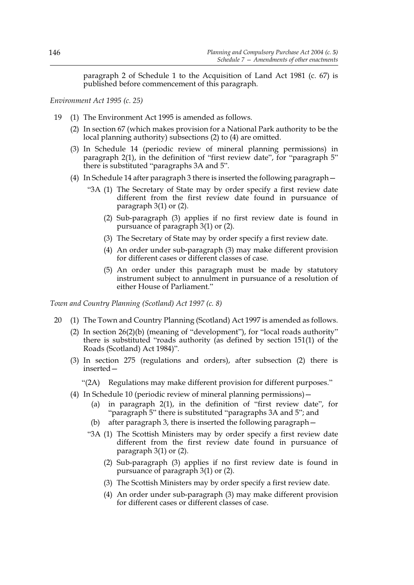paragraph 2 of Schedule 1 to the Acquisition of Land Act 1981 (c. 67) is published before commencement of this paragraph.

*Environment Act 1995 (c. 25)*

- 19 (1) The Environment Act 1995 is amended as follows.
	- (2) In section 67 (which makes provision for a National Park authority to be the local planning authority) subsections (2) to (4) are omitted.
	- (3) In Schedule 14 (periodic review of mineral planning permissions) in paragraph 2(1), in the definition of "first review date", for "paragraph 5" there is substituted "paragraphs 3A and 5".
	- (4) In Schedule 14 after paragraph 3 there is inserted the following paragraph—
		- "3A (1) The Secretary of State may by order specify a first review date different from the first review date found in pursuance of paragraph 3(1) or (2).
			- (2) Sub-paragraph (3) applies if no first review date is found in pursuance of paragraph 3(1) or (2).
			- (3) The Secretary of State may by order specify a first review date.
			- (4) An order under sub-paragraph (3) may make different provision for different cases or different classes of case.
			- (5) An order under this paragraph must be made by statutory instrument subject to annulment in pursuance of a resolution of either House of Parliament."

*Town and Country Planning (Scotland) Act 1997 (c. 8)*

- 20 (1) The Town and Country Planning (Scotland) Act 1997 is amended as follows.
	- (2) In section 26(2)(b) (meaning of "development"), for "local roads authority" there is substituted "roads authority (as defined by section 151(1) of the Roads (Scotland) Act 1984)".
	- (3) In section 275 (regulations and orders), after subsection (2) there is inserted—
		- "(2A) Regulations may make different provision for different purposes."
	- (4) In Schedule 10 (periodic review of mineral planning permissions)—
		- (a) in paragraph 2(1), in the definition of "first review date", for "paragraph 5" there is substituted "paragraphs 3A and 5"; and
		- (b) after paragraph 3, there is inserted the following paragraph—
		- "3A (1) The Scottish Ministers may by order specify a first review date different from the first review date found in pursuance of paragraph 3(1) or (2).
			- (2) Sub-paragraph (3) applies if no first review date is found in pursuance of paragraph 3(1) or (2).
			- (3) The Scottish Ministers may by order specify a first review date.
			- (4) An order under sub-paragraph (3) may make different provision for different cases or different classes of case.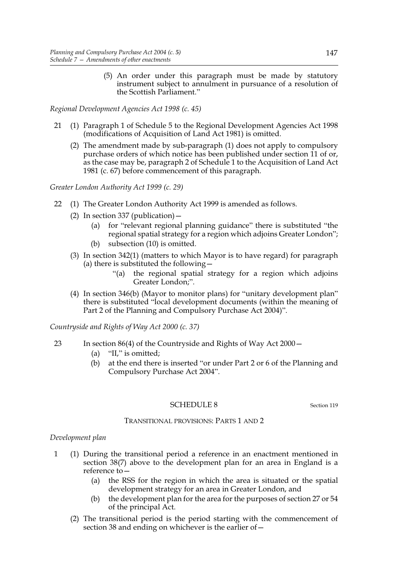(5) An order under this paragraph must be made by statutory instrument subject to annulment in pursuance of a resolution of the Scottish Parliament."

*Regional Development Agencies Act 1998 (c. 45)*

- 21 (1) Paragraph 1 of Schedule 5 to the Regional Development Agencies Act 1998 (modifications of Acquisition of Land Act 1981) is omitted.
	- (2) The amendment made by sub-paragraph (1) does not apply to compulsory purchase orders of which notice has been published under section 11 of or, as the case may be, paragraph 2 of Schedule 1 to the Acquisition of Land Act 1981 (c. 67) before commencement of this paragraph.

*Greater London Authority Act 1999 (c. 29)*

- 22 (1) The Greater London Authority Act 1999 is amended as follows.
	- (2) In section 337 (publication)  $-$ 
		- (a) for "relevant regional planning guidance" there is substituted "the regional spatial strategy for a region which adjoins Greater London";
		- (b) subsection (10) is omitted.
	- (3) In section 342(1) (matters to which Mayor is to have regard) for paragraph (a) there is substituted the following—
		- "(a) the regional spatial strategy for a region which adjoins Greater London;".
	- (4) In section 346(b) (Mayor to monitor plans) for "unitary development plan" there is substituted "local development documents (within the meaning of Part 2 of the Planning and Compulsory Purchase Act 2004)".

*Countryside and Rights of Way Act 2000 (c. 37)*

- 23 In section 86(4) of the Countryside and Rights of Way Act 2000—
	- (a) "II," is omitted;
	- (b) at the end there is inserted "or under Part 2 or 6 of the Planning and Compulsory Purchase Act 2004".

#### SCHEDULE 8 Section 119

### TRANSITIONAL PROVISIONS: PARTS 1 AND 2

#### *Development plan*

- 1 (1) During the transitional period a reference in an enactment mentioned in section 38(7) above to the development plan for an area in England is a reference to—
	- (a) the RSS for the region in which the area is situated or the spatial development strategy for an area in Greater London, and
	- (b) the development plan for the area for the purposes of section 27 or 54 of the principal Act.
	- (2) The transitional period is the period starting with the commencement of section 38 and ending on whichever is the earlier of—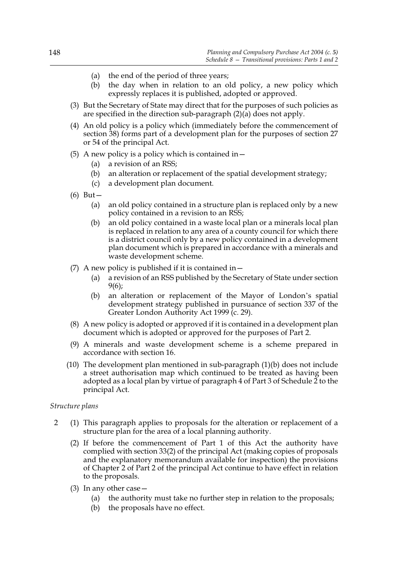- (a) the end of the period of three years;
- (b) the day when in relation to an old policy, a new policy which expressly replaces it is published, adopted or approved.
- (3) But the Secretary of State may direct that for the purposes of such policies as are specified in the direction sub-paragraph  $(2)(\overline{a})$  does not apply.
- (4) An old policy is a policy which (immediately before the commencement of section 38) forms part of a development plan for the purposes of section 27 or 54 of the principal Act.
- (5) A new policy is a policy which is contained in  $-$ 
	- (a) a revision of an RSS;
	- (b) an alteration or replacement of the spatial development strategy;
	- (c) a development plan document.
- (6) But—
	- (a) an old policy contained in a structure plan is replaced only by a new policy contained in a revision to an RSS;
	- (b) an old policy contained in a waste local plan or a minerals local plan is replaced in relation to any area of a county council for which there is a district council only by a new policy contained in a development plan document which is prepared in accordance with a minerals and waste development scheme.
- (7) A new policy is published if it is contained in  $-$ 
	- (a) a revision of an RSS published by the Secretary of State under section 9(6);
	- (b) an alteration or replacement of the Mayor of London's spatial development strategy published in pursuance of section 337 of the Greater London Authority Act 1999 (c. 29).
- (8) A new policy is adopted or approved if it is contained in a development plan document which is adopted or approved for the purposes of Part 2.
- (9) A minerals and waste development scheme is a scheme prepared in accordance with section 16.
- (10) The development plan mentioned in sub-paragraph (1)(b) does not include a street authorisation map which continued to be treated as having been adopted as a local plan by virtue of paragraph 4 of Part 3 of Schedule 2 to the principal Act.

# *Structure plans*

- 2 (1) This paragraph applies to proposals for the alteration or replacement of a structure plan for the area of a local planning authority.
	- (2) If before the commencement of Part 1 of this Act the authority have complied with section 33(2) of the principal Act (making copies of proposals and the explanatory memorandum available for inspection) the provisions of Chapter 2 of Part 2 of the principal Act continue to have effect in relation to the proposals.
	- (3) In any other case—
		- (a) the authority must take no further step in relation to the proposals;
		- (b) the proposals have no effect.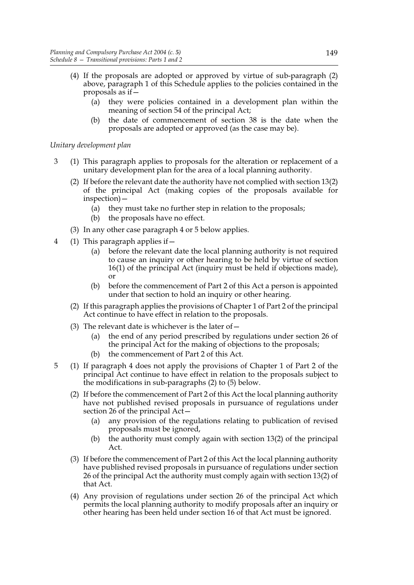- (4) If the proposals are adopted or approved by virtue of sub-paragraph (2) above, paragraph 1 of this Schedule applies to the policies contained in the proposals as if—
	- (a) they were policies contained in a development plan within the meaning of section 54 of the principal Act;
	- (b) the date of commencement of section 38 is the date when the proposals are adopted or approved (as the case may be).

# *Unitary development plan*

- 3 (1) This paragraph applies to proposals for the alteration or replacement of a unitary development plan for the area of a local planning authority.
	- (2) If before the relevant date the authority have not complied with section 13(2) of the principal Act (making copies of the proposals available for inspection)—
		- (a) they must take no further step in relation to the proposals;
		- (b) the proposals have no effect.
	- (3) In any other case paragraph 4 or 5 below applies.
- 4 (1) This paragraph applies if—
	- (a) before the relevant date the local planning authority is not required to cause an inquiry or other hearing to be held by virtue of section 16(1) of the principal Act (inquiry must be held if objections made), or
	- (b) before the commencement of Part 2 of this Act a person is appointed under that section to hold an inquiry or other hearing.
	- (2) If this paragraph applies the provisions of Chapter 1 of Part 2 of the principal Act continue to have effect in relation to the proposals.
	- (3) The relevant date is whichever is the later of  $-$ 
		- (a) the end of any period prescribed by regulations under section 26 of the principal Act for the making of objections to the proposals;
		- (b) the commencement of Part 2 of this Act.
- 5 (1) If paragraph 4 does not apply the provisions of Chapter 1 of Part 2 of the principal Act continue to have effect in relation to the proposals subject to the modifications in sub-paragraphs (2) to (5) below.
	- (2) If before the commencement of Part 2 of this Act the local planning authority have not published revised proposals in pursuance of regulations under section 26 of the principal Act—
		- (a) any provision of the regulations relating to publication of revised proposals must be ignored,
		- (b) the authority must comply again with section 13(2) of the principal Act.
	- (3) If before the commencement of Part 2 of this Act the local planning authority have published revised proposals in pursuance of regulations under section 26 of the principal Act the authority must comply again with section 13(2) of that Act.
	- (4) Any provision of regulations under section 26 of the principal Act which permits the local planning authority to modify proposals after an inquiry or other hearing has been held under section 16 of that Act must be ignored.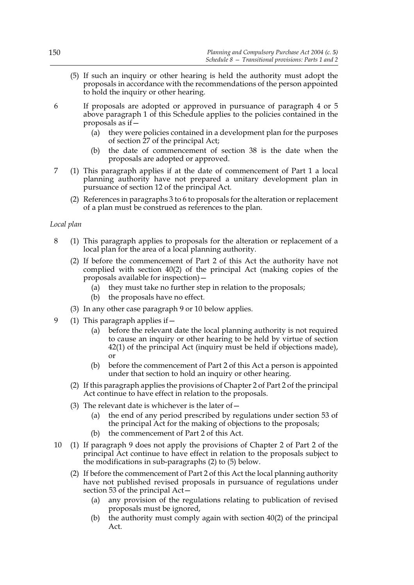- (5) If such an inquiry or other hearing is held the authority must adopt the proposals in accordance with the recommendations of the person appointed to hold the inquiry or other hearing.
- 6 If proposals are adopted or approved in pursuance of paragraph 4 or 5 above paragraph 1 of this Schedule applies to the policies contained in the proposals as if—
	- (a) they were policies contained in a development plan for the purposes of section 27 of the principal Act;
	- (b) the date of commencement of section 38 is the date when the proposals are adopted or approved.
- 7 (1) This paragraph applies if at the date of commencement of Part 1 a local planning authority have not prepared a unitary development plan in pursuance of section 12 of the principal Act.
	- (2) References in paragraphs 3 to 6 to proposals for the alteration or replacement of a plan must be construed as references to the plan.

### *Local plan*

- 8 (1) This paragraph applies to proposals for the alteration or replacement of a local plan for the area of a local planning authority.
	- (2) If before the commencement of Part 2 of this Act the authority have not complied with section 40(2) of the principal Act (making copies of the proposals available for inspection)—
		- (a) they must take no further step in relation to the proposals;
		- (b) the proposals have no effect.
	- (3) In any other case paragraph 9 or 10 below applies.
- 9 (1) This paragraph applies if—
	- (a) before the relevant date the local planning authority is not required to cause an inquiry or other hearing to be held by virtue of section 42(1) of the principal Act (inquiry must be held if objections made), or
	- (b) before the commencement of Part 2 of this Act a person is appointed under that section to hold an inquiry or other hearing.
	- (2) If this paragraph applies the provisions of Chapter 2 of Part 2 of the principal Act continue to have effect in relation to the proposals.
	- (3) The relevant date is whichever is the later of  $-$ 
		- (a) the end of any period prescribed by regulations under section 53 of the principal Act for the making of objections to the proposals;
		- (b) the commencement of Part 2 of this Act.
- 10 (1) If paragraph 9 does not apply the provisions of Chapter 2 of Part 2 of the principal Act continue to have effect in relation to the proposals subject to the modifications in sub-paragraphs (2) to (5) below.
	- (2) If before the commencement of Part 2 of this Act the local planning authority have not published revised proposals in pursuance of regulations under section 53 of the principal  $Act-$ 
		- (a) any provision of the regulations relating to publication of revised proposals must be ignored,
		- (b) the authority must comply again with section 40(2) of the principal Act.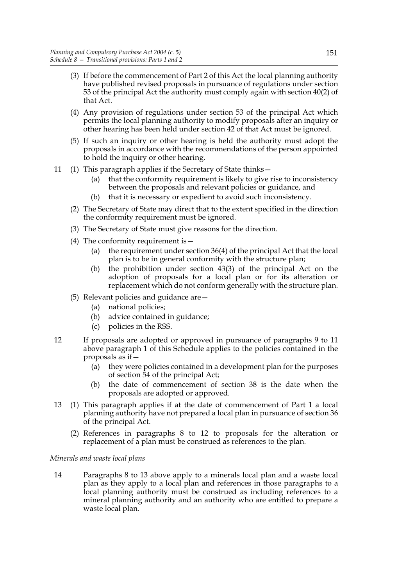- (3) If before the commencement of Part 2 of this Act the local planning authority have published revised proposals in pursuance of regulations under section 53 of the principal Act the authority must comply again with section 40(2) of that Act.
- (4) Any provision of regulations under section 53 of the principal Act which permits the local planning authority to modify proposals after an inquiry or other hearing has been held under section 42 of that Act must be ignored.
- (5) If such an inquiry or other hearing is held the authority must adopt the proposals in accordance with the recommendations of the person appointed to hold the inquiry or other hearing.
- 11 (1) This paragraph applies if the Secretary of State thinks—
	- (a) that the conformity requirement is likely to give rise to inconsistency between the proposals and relevant policies or guidance, and
	- (b) that it is necessary or expedient to avoid such inconsistency.
	- (2) The Secretary of State may direct that to the extent specified in the direction the conformity requirement must be ignored.
	- (3) The Secretary of State must give reasons for the direction.
	- (4) The conformity requirement is—
		- (a) the requirement under section 36(4) of the principal Act that the local plan is to be in general conformity with the structure plan;
		- (b) the prohibition under section 43(3) of the principal Act on the adoption of proposals for a local plan or for its alteration or replacement which do not conform generally with the structure plan.
	- (5) Relevant policies and guidance are—
		- (a) national policies;
		- (b) advice contained in guidance;
		- (c) policies in the RSS.
- 12 If proposals are adopted or approved in pursuance of paragraphs 9 to 11 above paragraph 1 of this Schedule applies to the policies contained in the proposals as if—
	- (a) they were policies contained in a development plan for the purposes of section 54 of the principal Act;
	- (b) the date of commencement of section 38 is the date when the proposals are adopted or approved.
- 13 (1) This paragraph applies if at the date of commencement of Part 1 a local planning authority have not prepared a local plan in pursuance of section 36 of the principal Act.
	- (2) References in paragraphs 8 to 12 to proposals for the alteration or replacement of a plan must be construed as references to the plan.

# *Minerals and waste local plans*

14 Paragraphs 8 to 13 above apply to a minerals local plan and a waste local plan as they apply to a local plan and references in those paragraphs to a local planning authority must be construed as including references to a mineral planning authority and an authority who are entitled to prepare a waste local plan.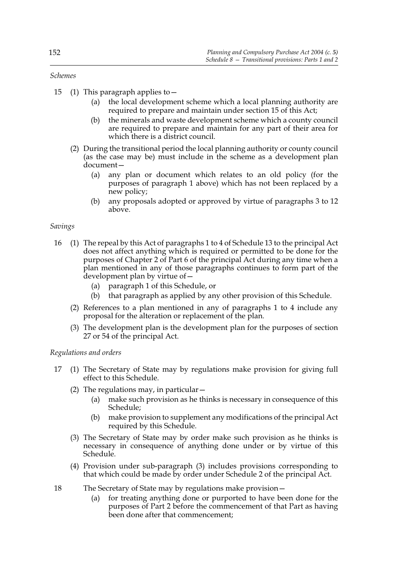*Schemes*

- 15 (1) This paragraph applies to—
	- (a) the local development scheme which a local planning authority are required to prepare and maintain under section 15 of this Act;
	- (b) the minerals and waste development scheme which a county council are required to prepare and maintain for any part of their area for which there is a district council.
	- (2) During the transitional period the local planning authority or county council (as the case may be) must include in the scheme as a development plan document—
		- (a) any plan or document which relates to an old policy (for the purposes of paragraph 1 above) which has not been replaced by a new policy;
		- (b) any proposals adopted or approved by virtue of paragraphs 3 to 12 above.

### *Savings*

- 16 (1) The repeal by this Act of paragraphs 1 to 4 of Schedule 13 to the principal Act does not affect anything which is required or permitted to be done for the purposes of Chapter 2 of Part 6 of the principal Act during any time when a plan mentioned in any of those paragraphs continues to form part of the development plan by virtue of—
	- (a) paragraph 1 of this Schedule, or
	- (b) that paragraph as applied by any other provision of this Schedule.
	- (2) References to a plan mentioned in any of paragraphs 1 to 4 include any proposal for the alteration or replacement of the plan.
	- (3) The development plan is the development plan for the purposes of section 27 or 54 of the principal Act.

# *Regulations and orders*

- 17 (1) The Secretary of State may by regulations make provision for giving full effect to this Schedule.
	- (2) The regulations may, in particular—
		- (a) make such provision as he thinks is necessary in consequence of this Schedule;
		- (b) make provision to supplement any modifications of the principal Act required by this Schedule.
	- (3) The Secretary of State may by order make such provision as he thinks is necessary in consequence of anything done under or by virtue of this Schedule.
	- (4) Provision under sub-paragraph (3) includes provisions corresponding to that which could be made by order under Schedule 2 of the principal Act.
- 18 The Secretary of State may by regulations make provision—
	- (a) for treating anything done or purported to have been done for the purposes of Part 2 before the commencement of that Part as having been done after that commencement;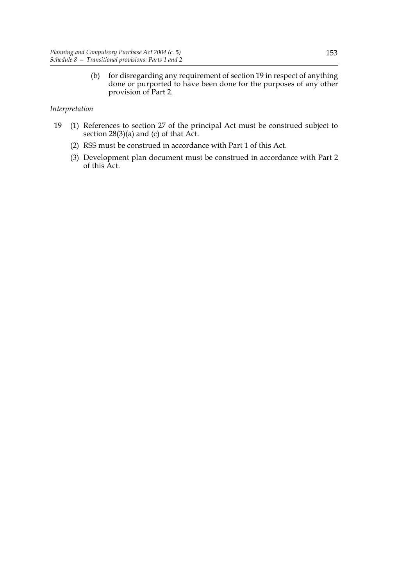(b) for disregarding any requirement of section 19 in respect of anything done or purported to have been done for the purposes of any other provision of Part 2.

# *Interpretation*

- 19 (1) References to section 27 of the principal Act must be construed subject to section 28(3)(a) and (c) of that Act.
	- (2) RSS must be construed in accordance with Part 1 of this Act.
	- (3) Development plan document must be construed in accordance with Part 2 of this Act.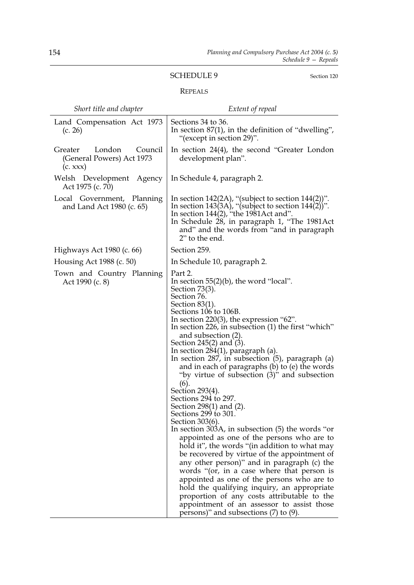# SCHEDULE 9 Section 120

# REPEALS

| Short title and chapter                                                    | Extent of repeal                                                                                                                                                                                                                                                                                                                                                                                                                                                                                                                                                                                                                                                                                                                                                                                                                                                                                                                                                                                                                                                                                                                                                       |
|----------------------------------------------------------------------------|------------------------------------------------------------------------------------------------------------------------------------------------------------------------------------------------------------------------------------------------------------------------------------------------------------------------------------------------------------------------------------------------------------------------------------------------------------------------------------------------------------------------------------------------------------------------------------------------------------------------------------------------------------------------------------------------------------------------------------------------------------------------------------------------------------------------------------------------------------------------------------------------------------------------------------------------------------------------------------------------------------------------------------------------------------------------------------------------------------------------------------------------------------------------|
| Land Compensation Act 1973<br>(c. 26)                                      | Sections 34 to 36.<br>In section $87(1)$ , in the definition of "dwelling",<br>"(except in section 29)".                                                                                                                                                                                                                                                                                                                                                                                                                                                                                                                                                                                                                                                                                                                                                                                                                                                                                                                                                                                                                                                               |
| London<br>Council<br>Greater<br>(General Powers) Act 1973<br>$(c.$ xxx $)$ | In section $24(4)$ , the second "Greater London"<br>development plan".                                                                                                                                                                                                                                                                                                                                                                                                                                                                                                                                                                                                                                                                                                                                                                                                                                                                                                                                                                                                                                                                                                 |
| Welsh Development<br>Agency<br>Act 1975 (c. 70)                            | In Schedule 4, paragraph 2.                                                                                                                                                                                                                                                                                                                                                                                                                                                                                                                                                                                                                                                                                                                                                                                                                                                                                                                                                                                                                                                                                                                                            |
| Local Government, Planning<br>and Land Act 1980 (c. 65)                    | In section $142(2A)$ , "(subject to section $144(2)$ )".<br>In section 143(3A), "(subject to section $144(2)'$ )".<br>In section $144(2)$ , "the 1981Act and".<br>In Schedule 28, in paragraph 1, "The 1981Act<br>and" and the words from "and in paragraph<br>2" to the end.                                                                                                                                                                                                                                                                                                                                                                                                                                                                                                                                                                                                                                                                                                                                                                                                                                                                                          |
| Highways Act 1980 (c. 66)                                                  | Section 259.                                                                                                                                                                                                                                                                                                                                                                                                                                                                                                                                                                                                                                                                                                                                                                                                                                                                                                                                                                                                                                                                                                                                                           |
| Housing Act 1988 (c. 50)                                                   | In Schedule 10, paragraph 2.                                                                                                                                                                                                                                                                                                                                                                                                                                                                                                                                                                                                                                                                                                                                                                                                                                                                                                                                                                                                                                                                                                                                           |
| Town and Country Planning<br>Act 1990 (c. 8)                               | Part 2.<br>In section $55(2)(b)$ , the word "local".<br>Section 73(3).<br>Section 76.<br>Section $83(1)$ .<br>Sections 106 to 106B.<br>In section $220(3)$ , the expression "62".<br>In section 226, in subsection (1) the first "which"<br>and subsection (2).<br>Section $245(2)$ and $(3)$ .<br>In section $284(1)$ , paragraph (a).<br>In section $287$ , in subsection $(5)$ , paragraph $(a)$<br>and in each of paragraphs (b) to (e) the words<br>"by virtue of subsection (3)" and subsection<br>(6).<br>Section 293(4).<br>Sections 294 to 297.<br>Section 298(1) and (2).<br>Sections 299 to 301.<br>Section 303(6).<br>In section $303A$ , in subsection $(5)$ the words "or<br>appointed as one of the persons who are to<br>hold it", the words "(in addition to what may<br>be recovered by virtue of the appointment of<br>any other person)" and in paragraph (c) the<br>words "(or, in a case where that person is<br>appointed as one of the persons who are to<br>hold the qualifying inquiry, an appropriate<br>proportion of any costs attributable to the<br>appointment of an assessor to assist those<br>persons)" and subsections (7) to (9). |